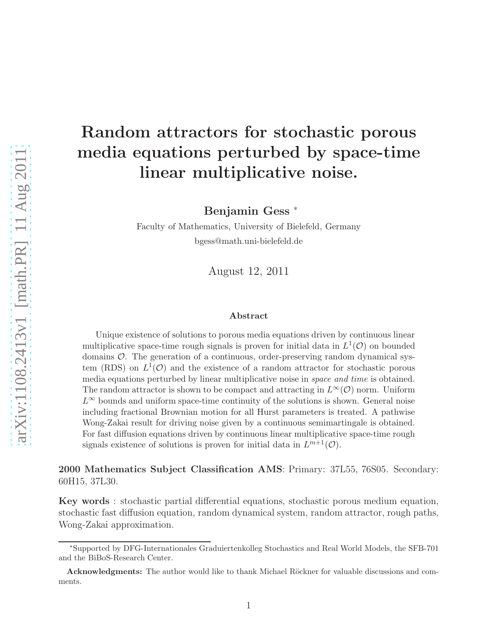# Random attractors for stochastic porous media equations perturbed by space-time linear multiplicative noise.

Benjamin Gess <sup>∗</sup>

Faculty of Mathematics, University of Bielefeld, Germany bgess@math.uni-bielefeld.de

August 12, 2011

#### Abstract

Unique existence of solutions to porous media equations driven by continuous linear multiplicative space-time rough signals is proven for initial data in  $L^1(\mathcal{O})$  on bounded domains  $\mathcal{O}$ . The generation of a continuous, order-preserving random dynamical system (RDS) on  $L^1(\mathcal{O})$  and the existence of a random attractor for stochastic porous media equations perturbed by linear multiplicative noise in *space and time* is obtained. The random attractor is shown to be compact and attracting in  $L^{\infty}(\mathcal{O})$  norm. Uniform  $L^{\infty}$  bounds and uniform space-time continuity of the solutions is shown. General noise including fractional Brownian motion for all Hurst parameters is treated. A pathwise Wong-Zakai result for driving noise given by a continuous semimartingale is obtained. For fast diffusion equations driven by continuous linear multiplicative space-time rough signals existence of solutions is proven for initial data in  $L^{m+1}(\mathcal{O})$ .

2000 Mathematics Subject Classification AMS: Primary: 37L55, 76S05. Secondary: 60H15, 37L30.

Key words : stochastic partial differential equations, stochastic porous medium equation, stochastic fast diffusion equation, random dynamical system, random attractor, rough paths, Wong-Zakai approximation.

<sup>∗</sup>Supported by DFG-Internationales Graduiertenkolleg Stochastics and Real World Models, the SFB-701 and the BiBoS-Research Center.

Acknowledgments: The author would like to thank Michael Röckner for valuable discussions and comments.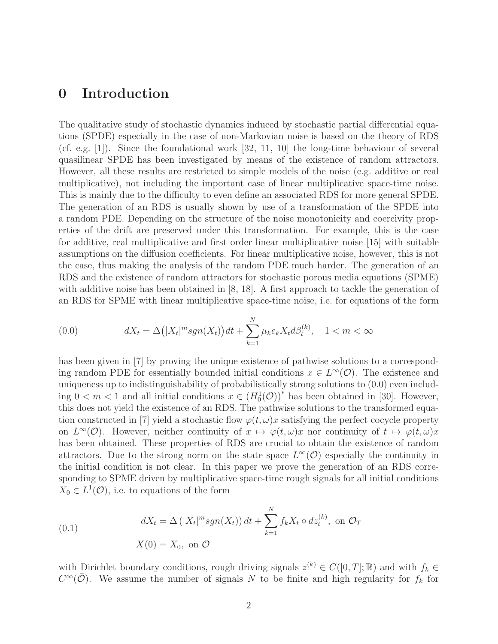# 0 Introduction

The qualitative study of stochastic dynamics induced by stochastic partial differential equations (SPDE) especially in the case of non-Markovian noise is based on the theory of RDS (cf. e.g. [1]). Since the foundational work [32, 11, 10] the long-time behaviour of several quasilinear SPDE has been investigated by means of the existence of random attractors. However, all these results are restricted to simple models of the noise (e.g. additive or real multiplicative), not including the important case of linear multiplicative space-time noise. This is mainly due to the difficulty to even define an associated RDS for more general SPDE. The generation of an RDS is usually shown by use of a transformation of the SPDE into a random PDE. Depending on the structure of the noise monotonicity and coercivity properties of the drift are preserved under this transformation. For example, this is the case for additive, real multiplicative and first order linear multiplicative noise [15] with suitable assumptions on the diffusion coefficients. For linear multiplicative noise, however, this is not the case, thus making the analysis of the random PDE much harder. The generation of an RDS and the existence of random attractors for stochastic porous media equations (SPME) with additive noise has been obtained in [8, 18]. A first approach to tackle the generation of an RDS for SPME with linear multiplicative space-time noise, i.e. for equations of the form

(0.0) 
$$
dX_t = \Delta(|X_t|^m sgn(X_t))dt + \sum_{k=1}^{N} \mu_k e_k X_t d\beta_t^{(k)}, \quad 1 < m < \infty
$$

has been given in [7] by proving the unique existence of pathwise solutions to a corresponding random PDE for essentially bounded initial conditions  $x \in L^{\infty}(\mathcal{O})$ . The existence and uniqueness up to indistinguishability of probabilistically strong solutions to (0.0) even including  $0 < m < 1$  and all initial conditions  $x \in (H_0^1(\mathcal{O}))^*$  has been obtained in [30]. However, this does not yield the existence of an RDS. The pathwise solutions to the transformed equation constructed in [7] yield a stochastic flow  $\varphi(t,\omega)x$  satisfying the perfect cocycle property on  $L^{\infty}(\mathcal{O})$ . However, neither continuity of  $x \mapsto \varphi(t,\omega)x$  nor continuity of  $t \mapsto \varphi(t,\omega)x$ has been obtained. These properties of RDS are crucial to obtain the existence of random attractors. Due to the strong norm on the state space  $L^{\infty}(\mathcal{O})$  especially the continuity in the initial condition is not clear. In this paper we prove the generation of an RDS corresponding to SPME driven by multiplicative space-time rough signals for all initial conditions  $X_0 \in L^1(\mathcal{O})$ , i.e. to equations of the form

(0.1) 
$$
dX_t = \Delta(|X_t|^m sgn(X_t)) dt + \sum_{k=1}^N f_k X_t \circ dz_t^{(k)}, \text{ on } \mathcal{O}_T
$$

$$
X(0) = X_0, \text{ on } \mathcal{O}
$$

with Dirichlet boundary conditions, rough driving signals  $z^{(k)} \in C([0,T];\mathbb{R})$  and with  $f_k \in$  $C^{\infty}(\overline{\mathcal{O}})$ . We assume the number of signals N to be finite and high regularity for  $f_k$  for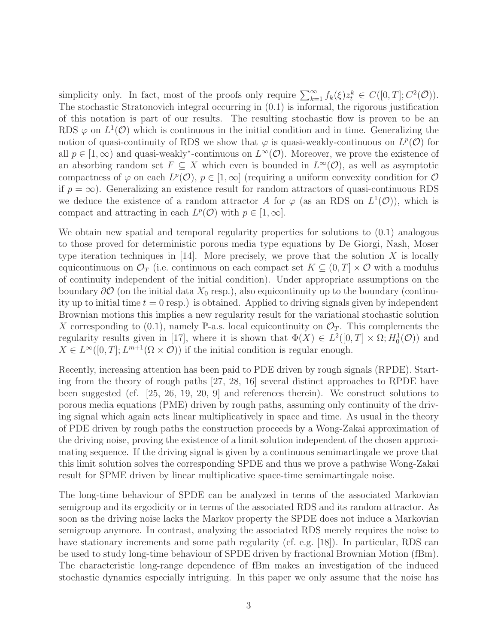simplicity only. In fact, most of the proofs only require  $\sum_{k=1}^{\infty} f_k(\xi) z_t^k \in C([0,T]; C^2(\overline{O}))$ . The stochastic Stratonovich integral occurring in (0.1) is informal, the rigorous justification of this notation is part of our results. The resulting stochastic flow is proven to be an RDS  $\varphi$  on  $L^1(\mathcal{O})$  which is continuous in the initial condition and in time. Generalizing the notion of quasi-continuity of RDS we show that  $\varphi$  is quasi-weakly-continuous on  $L^p(\mathcal{O})$  for all  $p \in [1, \infty)$  and quasi-weakly<sup>\*</sup>-continuous on  $L^{\infty}(\mathcal{O})$ . Moreover, we prove the existence of an absorbing random set  $F \subseteq X$  which even is bounded in  $L^{\infty}(\mathcal{O})$ , as well as asymptotic compactness of  $\varphi$  on each  $L^p(\mathcal{O}), p \in [1, \infty]$  (requiring a uniform convexity condition for  $\mathcal{O}$ ) if  $p = \infty$ ). Generalizing an existence result for random attractors of quasi-continuous RDS we deduce the existence of a random attractor A for  $\varphi$  (as an RDS on  $L^1(\mathcal{O})$ ), which is compact and attracting in each  $L^p(\mathcal{O})$  with  $p \in [1,\infty]$ .

We obtain new spatial and temporal regularity properties for solutions to  $(0.1)$  analogous to those proved for deterministic porous media type equations by De Giorgi, Nash, Moser type iteration techniques in [14]. More precisely, we prove that the solution X is locally equicontinuous on  $\mathcal{O}_T$  (i.e. continuous on each compact set  $K \subseteq (0,T] \times \mathcal{O}$  with a modulus of continuity independent of the initial condition). Under appropriate assumptions on the boundary  $\partial O$  (on the initial data  $X_0$  resp.), also equicontinuity up to the boundary (continuity up to initial time  $t = 0$  resp.) is obtained. Applied to driving signals given by independent Brownian motions this implies a new regularity result for the variational stochastic solution X corresponding to (0.1), namely P-a.s. local equicontinuity on  $\mathcal{O}_T$ . This complements the regularity results given in [17], where it is shown that  $\Phi(X) \in L^2([0,T] \times \Omega; H_0^1(\mathcal{O}))$  and  $X \in L^{\infty}([0,T]; L^{m+1}(\Omega \times \mathcal{O}))$  if the initial condition is regular enough.

Recently, increasing attention has been paid to PDE driven by rough signals (RPDE). Starting from the theory of rough paths [27, 28, 16] several distinct approaches to RPDE have been suggested (cf. [25, 26, 19, 20, 9] and references therein). We construct solutions to porous media equations (PME) driven by rough paths, assuming only continuity of the driving signal which again acts linear multiplicatively in space and time. As usual in the theory of PDE driven by rough paths the construction proceeds by a Wong-Zakai approximation of the driving noise, proving the existence of a limit solution independent of the chosen approximating sequence. If the driving signal is given by a continuous semimartingale we prove that this limit solution solves the corresponding SPDE and thus we prove a pathwise Wong-Zakai result for SPME driven by linear multiplicative space-time semimartingale noise.

The long-time behaviour of SPDE can be analyzed in terms of the associated Markovian semigroup and its ergodicity or in terms of the associated RDS and its random attractor. As soon as the driving noise lacks the Markov property the SPDE does not induce a Markovian semigroup anymore. In contrast, analyzing the associated RDS merely requires the noise to have stationary increments and some path regularity (cf. e.g. [18]). In particular, RDS can be used to study long-time behaviour of SPDE driven by fractional Brownian Motion (fBm). The characteristic long-range dependence of fBm makes an investigation of the induced stochastic dynamics especially intriguing. In this paper we only assume that the noise has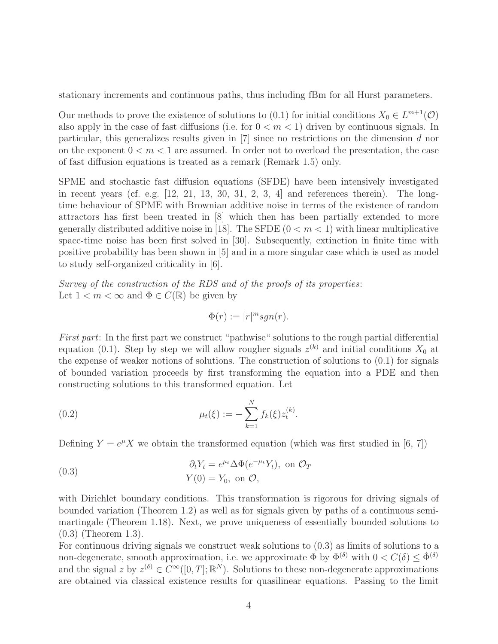stationary increments and continuous paths, thus including fBm for all Hurst parameters.

Our methods to prove the existence of solutions to (0.1) for initial conditions  $X_0 \in L^{m+1}(\mathcal{O})$ also apply in the case of fast diffusions (i.e. for  $0 < m < 1$ ) driven by continuous signals. In particular, this generalizes results given in [7] since no restrictions on the dimension d nor on the exponent  $0 \leq m \leq 1$  are assumed. In order not to overload the presentation, the case of fast diffusion equations is treated as a remark (Remark 1.5) only.

SPME and stochastic fast diffusion equations (SFDE) have been intensively investigated in recent years (cf. e.g.  $[12, 21, 13, 30, 31, 2, 3, 4]$  and references therein). The longtime behaviour of SPME with Brownian additive noise in terms of the existence of random attractors has first been treated in [8] which then has been partially extended to more generally distributed additive noise in [18]. The SFDE  $(0 < m < 1)$  with linear multiplicative space-time noise has been first solved in [30]. Subsequently, extinction in finite time with positive probability has been shown in [5] and in a more singular case which is used as model to study self-organized criticality in [6].

Survey of the construction of the RDS and of the proofs of its properties: Let  $1 < m < \infty$  and  $\Phi \in C(\mathbb{R})$  be given by

$$
\Phi(r):=|r|^m sgn(r).
$$

First part: In the first part we construct "pathwise" solutions to the rough partial differential equation (0.1). Step by step we will allow rougher signals  $z^{(k)}$  and initial conditions  $X_0$  at the expense of weaker notions of solutions. The construction of solutions to (0.1) for signals of bounded variation proceeds by first transforming the equation into a PDE and then constructing solutions to this transformed equation. Let

(0.2) 
$$
\mu_t(\xi) := -\sum_{k=1}^N f_k(\xi) z_t^{(k)}.
$$

Defining  $Y = e^{\mu} X$  we obtain the transformed equation (which was first studied in [6, 7])

(0.3) 
$$
\partial_t Y_t = e^{\mu t} \Delta \Phi(e^{-\mu t} Y_t), \text{ on } \mathcal{O}_T
$$

$$
Y(0) = Y_0, \text{ on } \mathcal{O},
$$

with Dirichlet boundary conditions. This transformation is rigorous for driving signals of bounded variation (Theorem 1.2) as well as for signals given by paths of a continuous semimartingale (Theorem 1.18). Next, we prove uniqueness of essentially bounded solutions to (0.3) (Theorem 1.3).

For continuous driving signals we construct weak solutions to (0.3) as limits of solutions to a non-degenerate, smooth approximation, i.e. we approximate  $\Phi$  by  $\Phi^{(\delta)}$  with  $0 < C(\delta) < \dot{\Phi}^{(\delta)}$ and the signal z by  $z^{(\delta)} \in C^{\infty}([0,T];\mathbb{R}^N)$ . Solutions to these non-degenerate approximations are obtained via classical existence results for quasilinear equations. Passing to the limit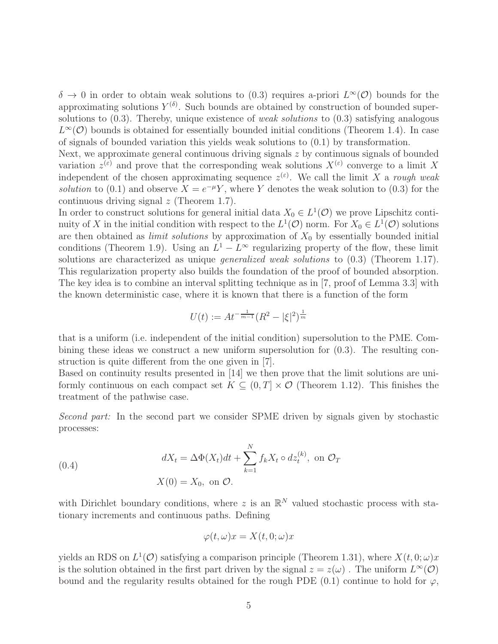$\delta \to 0$  in order to obtain weak solutions to (0.3) requires a-priori  $L^{\infty}(\mathcal{O})$  bounds for the approximating solutions  $Y^{(\delta)}$ . Such bounds are obtained by construction of bounded supersolutions to  $(0.3)$ . Thereby, unique existence of *weak solutions* to  $(0.3)$  satisfying analogous  $L^{\infty}(\mathcal{O})$  bounds is obtained for essentially bounded initial conditions (Theorem 1.4). In case of signals of bounded variation this yields weak solutions to  $(0.1)$  by transformation.

Next, we approximate general continuous driving signals z by continuous signals of bounded variation  $z^{(\varepsilon)}$  and prove that the corresponding weak solutions  $X^{(\varepsilon)}$  converge to a limit X independent of the chosen approximating sequence  $z^{(\varepsilon)}$ . We call the limit X a rough weak solution to (0.1) and observe  $X = e^{-\mu}Y$ , where Y denotes the weak solution to (0.3) for the continuous driving signal  $z$  (Theorem 1.7).

In order to construct solutions for general initial data  $X_0 \in L^1(\mathcal{O})$  we prove Lipschitz continuity of X in the initial condition with respect to the  $L^1(\mathcal{O})$  norm. For  $X_0 \in L^1(\mathcal{O})$  solutions are then obtained as *limit solutions* by approximation of  $X_0$  by essentially bounded initial conditions (Theorem 1.9). Using an  $L^1 - L^\infty$  regularizing property of the flow, these limit solutions are characterized as unique *generalized weak solutions* to  $(0.3)$  (Theorem 1.17). This regularization property also builds the foundation of the proof of bounded absorption. The key idea is to combine an interval splitting technique as in [7, proof of Lemma 3.3] with the known deterministic case, where it is known that there is a function of the form

$$
U(t) := At^{-\frac{1}{m-1}} (R^2 - |\xi|^2)^{\frac{1}{m}}
$$

that is a uniform (i.e. independent of the initial condition) supersolution to the PME. Combining these ideas we construct a new uniform supersolution for (0.3). The resulting construction is quite different from the one given in [7].

Based on continuity results presented in [14] we then prove that the limit solutions are uniformly continuous on each compact set  $K \subseteq (0, T] \times \mathcal{O}$  (Theorem 1.12). This finishes the treatment of the pathwise case.

Second part: In the second part we consider SPME driven by signals given by stochastic processes:

(0.4) 
$$
dX_t = \Delta \Phi(X_t)dt + \sum_{k=1}^N f_k X_t \circ dz_t^{(k)}, \text{ on } \mathcal{O}_T
$$

$$
X(0) = X_0, \text{ on } \mathcal{O}.
$$

with Dirichlet boundary conditions, where z is an  $\mathbb{R}^N$  valued stochastic process with stationary increments and continuous paths. Defining

$$
\varphi(t,\omega)x = X(t,0;\omega)x
$$

yields an RDS on  $L^1(\mathcal{O})$  satisfying a comparison principle (Theorem 1.31), where  $X(t, 0; \omega)x$ is the solution obtained in the first part driven by the signal  $z = z(\omega)$ . The uniform  $L^{\infty}(\mathcal{O})$ bound and the regularity results obtained for the rough PDE (0.1) continue to hold for  $\varphi$ ,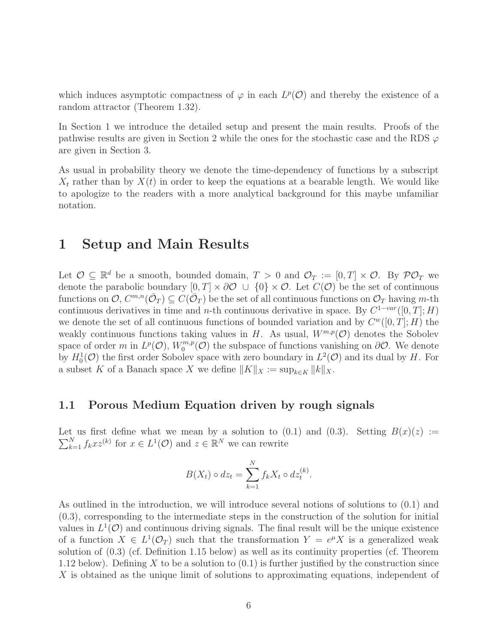which induces asymptotic compactness of  $\varphi$  in each  $L^p(\mathcal{O})$  and thereby the existence of a random attractor (Theorem 1.32).

In Section 1 we introduce the detailed setup and present the main results. Proofs of the pathwise results are given in Section 2 while the ones for the stochastic case and the RDS  $\varphi$ are given in Section 3.

As usual in probability theory we denote the time-dependency of functions by a subscript  $X_t$  rather than by  $X(t)$  in order to keep the equations at a bearable length. We would like to apologize to the readers with a more analytical background for this maybe unfamiliar notation.

# 1 Setup and Main Results

Let  $\mathcal{O} \subseteq \mathbb{R}^d$  be a smooth, bounded domain,  $T > 0$  and  $\mathcal{O}_T := [0, T] \times \mathcal{O}$ . By  $\mathcal{P} \mathcal{O}_T$  we denote the parabolic boundary  $[0, T] \times \partial O \cup \{0\} \times O$ . Let  $C(O)$  be the set of continuous functions on  $\mathcal{O}, C^{m,n}(\bar{\mathcal{O}}_T) \subseteq C(\bar{\mathcal{O}}_T)$  be the set of all continuous functions on  $\mathcal{O}_T$  having m-th continuous derivatives in time and n-th continuous derivative in space. By  $C^{1-var}([0,T]; H)$ we denote the set of all continuous functions of bounded variation and by  $C^w([0,T];H)$  the weakly continuous functions taking values in H. As usual,  $W^{m,p}(\mathcal{O})$  denotes the Sobolev space of order m in  $L^p(\mathcal{O}), W_0^{m,p}$  $\mathcal{O}_0^{m,p}(\mathcal{O})$  the subspace of functions vanishing on  $\partial\mathcal{O}$ . We denote by  $H_0^1(\mathcal{O})$  the first order Sobolev space with zero boundary in  $L^2(\mathcal{O})$  and its dual by H. For a subset K of a Banach space X we define  $||K||_X := \sup_{k \in K} ||k||_X$ .

# 1.1 Porous Medium Equation driven by rough signals

Let us first define what we mean by a solution to (0.1) and (0.3). Setting  $B(x)(z) :=$  $\sum_{k=1}^{N} f_k x z^{(k)}$  for  $x \in L^1(\mathcal{O})$  and  $z \in \mathbb{R}^N$  we can rewrite

$$
B(X_t) \circ dz_t = \sum_{k=1}^N f_k X_t \circ dz_t^{(k)}.
$$

As outlined in the introduction, we will introduce several notions of solutions to (0.1) and (0.3), corresponding to the intermediate steps in the construction of the solution for initial values in  $L^1(\mathcal{O})$  and continuous driving signals. The final result will be the unique existence of a function  $X \in L^1(\mathcal{O}_T)$  such that the transformation  $Y = e^{\mu}X$  is a generalized weak solution of (0.3) (cf. Definition 1.15 below) as well as its continuity properties (cf. Theorem 1.12 below). Defining X to be a solution to  $(0.1)$  is further justified by the construction since X is obtained as the unique limit of solutions to approximating equations, independent of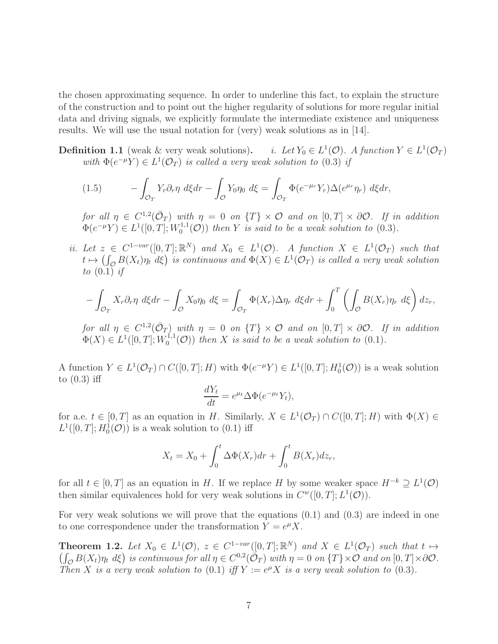the chosen approximating sequence. In order to underline this fact, to explain the structure of the construction and to point out the higher regularity of solutions for more regular initial data and driving signals, we explicitly formulate the intermediate existence and uniqueness results. We will use the usual notation for (very) weak solutions as in [14].

Definition 1.1 (weak  $\&$  very weak solutions). <sup>1</sup>( $\mathcal{O}$ ). A function  $Y \in L^1(\mathcal{O}_T)$ with  $\Phi(e^{-\mu}Y) \in L^1(\mathcal{O}_T)$  is called a very weak solution to (0.3) if

(1.5) 
$$
- \int_{\mathcal{O}_T} Y_r \partial_r \eta \ d\xi dr - \int_{\mathcal{O}} Y_0 \eta_0 \ d\xi = \int_{\mathcal{O}_T} \Phi(e^{-\mu_r} Y_r) \Delta(e^{\mu_r} \eta_r) \ d\xi dr,
$$

for all  $\eta \in C^{1,2}(\bar{\mathcal{O}}_T)$  with  $\eta = 0$  on  $\{T\} \times \mathcal{O}$  and on  $[0,T] \times \partial \mathcal{O}$ . If in addition  $\Phi(e^{-\mu}Y) \in L^1([0,T];W_0^{1,1})$  $\mathcal{O}_0^{1,1}(\mathcal{O})$  then Y is said to be a weak solution to  $(0.3)$ .

ii. Let  $z \in C^{1-var}([0,T]; \mathbb{R}^N)$  and  $X_0 \in L^1(\mathcal{O})$ . A function  $X \in L^1(\mathcal{O}_T)$  such that  $t \mapsto (\int_{\mathcal{O}} B(X_t)\eta_t \, d\xi)$  is continuous and  $\Phi(X) \in L^1(\mathcal{O}_T)$  is called a very weak solution to  $(0.1)$  if

$$
-\int_{\mathcal{O}_T} X_r \partial_r \eta \, d\xi dr - \int_{\mathcal{O}} X_0 \eta_0 \, d\xi = \int_{\mathcal{O}_T} \Phi(X_r) \Delta \eta_r \, d\xi dr + \int_0^T \left( \int_{\mathcal{O}} B(X_r) \eta_r \, d\xi \right) dz_r,
$$

for all  $\eta \in C^{1,2}(\bar{\mathcal{O}}_T)$  with  $\eta = 0$  on  $\{T\} \times \mathcal{O}$  and on  $[0,T] \times \partial \mathcal{O}$ . If in addition  $\Phi(X) \in L^1([0,T];W_0^{1,1})$  $\mathcal{O}_0^{1,1}(\mathcal{O})$  then X is said to be a weak solution to  $(0.1)$ .

A function  $Y \in L^1(\mathcal{O}_T) \cap C([0,T];H)$  with  $\Phi(e^{-\mu}Y) \in L^1([0,T];H_0^1(\mathcal{O}))$  is a weak solution to  $(0.3)$  iff

$$
\frac{dY_t}{dt} = e^{\mu t} \Delta \Phi(e^{-\mu t} Y_t),
$$

for a.e.  $t \in [0, T]$  as an equation in H. Similarly,  $X \in L^1(\mathcal{O}_T) \cap C([0, T]; H)$  with  $\Phi(X) \in$  $L^1([0,T]; H_0^1(\mathcal{O}))$  is a weak solution to  $(0.1)$  iff

$$
X_t = X_0 + \int_0^t \Delta \Phi(X_r) dr + \int_0^t B(X_r) dz_r,
$$

for all  $t \in [0, T]$  as an equation in H. If we replace H by some weaker space  $H^{-k} \supseteq L^{1}(\mathcal{O})$ then similar equivalences hold for very weak solutions in  $C^w([0,T]; L^1(\mathcal{O}))$ .

For very weak solutions we will prove that the equations (0.1) and (0.3) are indeed in one to one correspondence under the transformation  $Y = e^{\mu} X$ .

**Theorem 1.2.** Let  $X_0 \in L^1(\mathcal{O})$ ,  $z \in C^{1-var}([0,T]; \mathbb{R}^N)$  and  $X \in L^1(\mathcal{O}_T)$  such that  $t \mapsto$  $\left(\int_{\mathcal{O}} B(X_t)\eta_t \,d\xi\right)$  is continuous for all  $\eta \in C^{0,2}(\overline{\mathcal{O}}_T)$  with  $\eta = 0$  on  $\{T\} \times \mathcal{O}$  and on  $[0,T] \times \partial\mathcal{O}$ . Then X is a very weak solution to (0.1) iff  $Y := e^{\mu} X$  is a very weak solution to (0.3).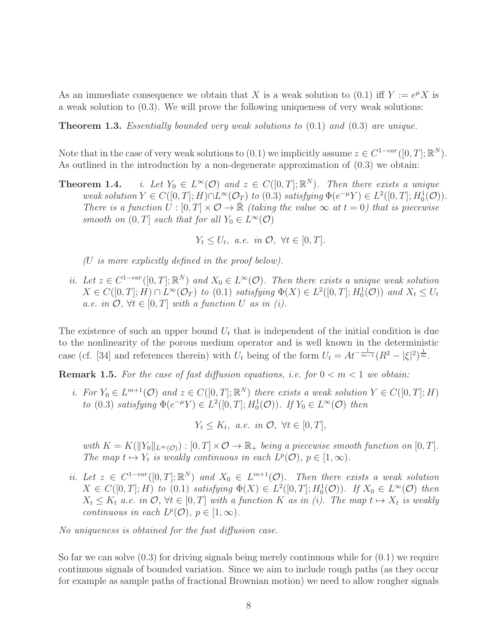As an immediate consequence we obtain that X is a weak solution to (0.1) iff  $Y := e^{\mu} X$  is a weak solution to (0.3). We will prove the following uniqueness of very weak solutions:

**Theorem 1.3.** Essentially bounded very weak solutions to  $(0.1)$  and  $(0.3)$  are unique.

Note that in the case of very weak solutions to  $(0.1)$  we implicitly assume  $z \in C^{1-var}([0,T]; \mathbb{R}^N)$ . As outlined in the introduction by a non-degenerate approximation of (0.3) we obtain:

Theorem 1.4.  $\infty(\mathcal{O})$  and  $z \in C([0,T];\mathbb{R}^N)$ . Then there exists a unique weak solution  $Y \in C([0,T];H) \cap L^{\infty}(\mathcal{O}_{T})$  to  $(0.3)$  satisfying  $\Phi(e^{-\mu}Y) \in L^{2}([0,T];H_{0}^{1}(\mathcal{O}))$ . There is a function  $U : [0, T] \times \mathcal{O} \to \mathbb{R}$  (taking the value  $\infty$  at  $t = 0$ ) that is piecewise smooth on  $(0, T]$  such that for all  $Y_0 \in L^{\infty}(\mathcal{O})$ 

$$
Y_t \le U_t, \ a.e. \ in \ \mathcal{O}, \ \forall t \in [0, T].
$$

(U is more explicitly defined in the proof below).

ii. Let  $z \in C^{1-var}([0,T]; \mathbb{R}^N)$  and  $X_0 \in L^{\infty}(\mathcal{O})$ . Then there exists a unique weak solution  $X \in C([0, T]; H) \cap L^{\infty}(\mathcal{O}_{T})$  to  $(0.1)$  satisfying  $\Phi(X) \in L^{2}([0, T]; H_{0}^{1}(\mathcal{O}))$  and  $X_{t} \leq U_{t}$ a.e. in  $\mathcal{O}, \forall t \in [0, T]$  with a function U as in (i).

The existence of such an upper bound  $U_t$  that is independent of the initial condition is due to the nonlinearity of the porous medium operator and is well known in the deterministic case (cf. [34] and references therein) with  $U_t$  being of the form  $U_t = At^{-\frac{1}{m-1}}(R^2 - |\xi|^2)^{\frac{1}{m}}$ .

**Remark 1.5.** For the case of fast diffusion equations, i.e. for  $0 < m < 1$  we obtain:

i. For  $Y_0 \in L^{m+1}(\mathcal{O})$  and  $z \in C([0,T];\mathbb{R}^N)$  there exists a weak solution  $Y \in C([0,T];H)$ to (0.3) satisfying  $\Phi(e^{-\mu}Y) \in L^2([0,T]; H_0^1(\mathcal{O}))$ . If  $Y_0 \in L^{\infty}(\mathcal{O})$  then

 $Y_t \leq K_t$ , a.e. in  $\mathcal{O}, \forall t \in [0, T],$ 

with  $K = K(||Y_0||_{L^{\infty}(\mathcal{O}))} : [0, T] \times \mathcal{O} \rightarrow \mathbb{R}_+$  being a piecewise smooth function on  $[0, T]$ . The map  $t \mapsto Y_t$  is weakly continuous in each  $L^p(\mathcal{O}), p \in [1, \infty)$ .

ii. Let  $z \in C^{1-var}([0,T]; \mathbb{R}^N)$  and  $X_0 \in L^{m+1}(\mathcal{O})$ . Then there exists a weak solution  $X \in C([0,T]; H)$  to  $(0.1)$  satisfying  $\Phi(X) \in L^2([0,T]; H_0^1(\mathcal{O}))$ . If  $X_0 \in L^{\infty}(\mathcal{O})$  then  $X_t \leq K_t$  a.e. in  $\mathcal{O}, \forall t \in [0,T]$  with a function K as in (i). The map  $t \mapsto X_t$  is weakly continuous in each  $L^p(\mathcal{O}), p \in [1, \infty)$ .

No uniqueness is obtained for the fast diffusion case.

So far we can solve (0.3) for driving signals being merely continuous while for (0.1) we require continuous signals of bounded variation. Since we aim to include rough paths (as they occur for example as sample paths of fractional Brownian motion) we need to allow rougher signals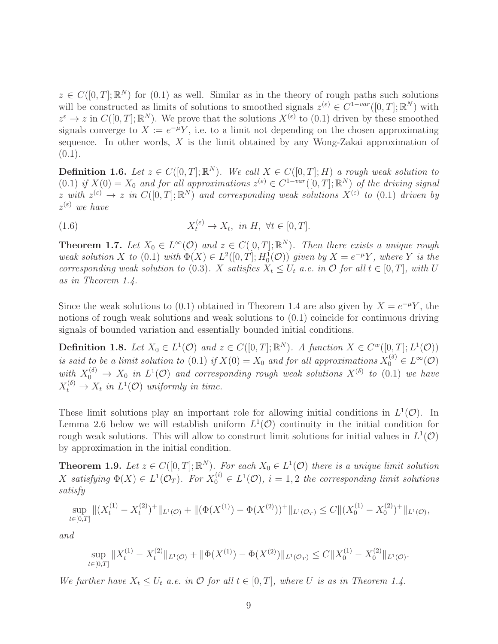$z \in C([0,T];\mathbb{R}^N)$  for  $(0.1)$  as well. Similar as in the theory of rough paths such solutions will be constructed as limits of solutions to smoothed signals  $z^{(\varepsilon)} \in C^{1-var}([0,T]; \mathbb{R}^N)$  with  $z^{\varepsilon} \to z$  in  $C([0,T];\mathbb{R}^N)$ . We prove that the solutions  $X^{(\varepsilon)}$  to  $(0.1)$  driven by these smoothed signals converge to  $X := e^{-\mu}Y$ , i.e. to a limit not depending on the chosen approximating sequence. In other words,  $X$  is the limit obtained by any Wong-Zakai approximation of  $(0.1).$ 

**Definition 1.6.** Let  $z \in C([0,T];\mathbb{R}^N)$ . We call  $X \in C([0,T];H)$  a rough weak solution to  $(0.1)$  if  $X(0) = X_0$  and for all approximations  $z^{(\varepsilon)} \in C^{1-var}([0,T]; \mathbb{R}^N)$  of the driving signal z with  $z^{(\varepsilon)} \to z$  in  $C([0,T];\mathbb{R}^N)$  and corresponding weak solutions  $X^{(\varepsilon)}$  to  $(0.1)$  driven by  $z^{(\varepsilon)}$  we have

(1.6) 
$$
X_t^{(\varepsilon)} \to X_t, \ \text{in } H, \ \forall t \in [0, T].
$$

**Theorem 1.7.** Let  $X_0 \in L^{\infty}(\mathcal{O})$  and  $z \in C([0,T];\mathbb{R}^N)$ . Then there exists a unique rough weak solution X to (0.1) with  $\Phi(X) \in L^2([0,T]; H_0^1(\mathcal{O}))$  given by  $X = e^{-\mu}Y$ , where Y is the corresponding weak solution to (0.3). X satisfies  $X_t \leq U_t$  a.e. in  $\mathcal O$  for all  $t \in [0, T]$ , with U as in Theorem 1.4.

Since the weak solutions to (0.1) obtained in Theorem 1.4 are also given by  $X = e^{-\mu}Y$ , the notions of rough weak solutions and weak solutions to (0.1) coincide for continuous driving signals of bounded variation and essentially bounded initial conditions.

**Definition 1.8.** Let  $X_0 \in L^1(\mathcal{O})$  and  $z \in C([0,T];\mathbb{R}^N)$ . A function  $X \in C^w([0,T];L^1(\mathcal{O}))$ is said to be a limit solution to (0.1) if  $X(0) = X_0$  and for all approximations  $X_0^{(\delta)} \in L^{\infty}(\mathcal{O})$ with  $X_0^{(\delta)} \to X_0$  in  $L^1(\mathcal{O})$  and corresponding rough weak solutions  $X^{(\delta)}$  to  $(0.1)$  we have  $X_t^{(\delta)} \to X_t$  in  $L^1(\mathcal{O})$  uniformly in time.

These limit solutions play an important role for allowing initial conditions in  $L^1(\mathcal{O})$ . In Lemma 2.6 below we will establish uniform  $L^1(\mathcal{O})$  continuity in the initial condition for rough weak solutions. This will allow to construct limit solutions for initial values in  $L^1(\mathcal{O})$ by approximation in the initial condition.

**Theorem 1.9.** Let  $z \in C([0,T];\mathbb{R}^N)$ . For each  $X_0 \in L^1(\mathcal{O})$  there is a unique limit solution X satisfying  $\Phi(X) \in L^1(\mathcal{O}_T)$ . For  $X_0^{(i)} \in L^1(\mathcal{O})$ ,  $i = 1, 2$  the corresponding limit solutions satisfy

$$
\sup_{t\in[0,T]}\|(X_t^{(1)}-X_t^{(2)})^+\|_{L^1(\mathcal{O})}+\|(\Phi(X^{(1)})-\Phi(X^{(2)}))^+\|_{L^1(\mathcal{O}_T)}\leq C\|(X_0^{(1)}-X_0^{(2)})^+\|_{L^1(\mathcal{O})},
$$

and

$$
\sup_{t\in[0,T]}\|X_t^{(1)} - X_t^{(2)}\|_{L^1(\mathcal{O})} + \|\Phi(X^{(1)}) - \Phi(X^{(2)})\|_{L^1(\mathcal{O}_T)} \le C\|X_0^{(1)} - X_0^{(2)}\|_{L^1(\mathcal{O})}.
$$

We further have  $X_t \leq U_t$  a.e. in  $\mathcal O$  for all  $t \in [0,T]$ , where U is as in Theorem 1.4.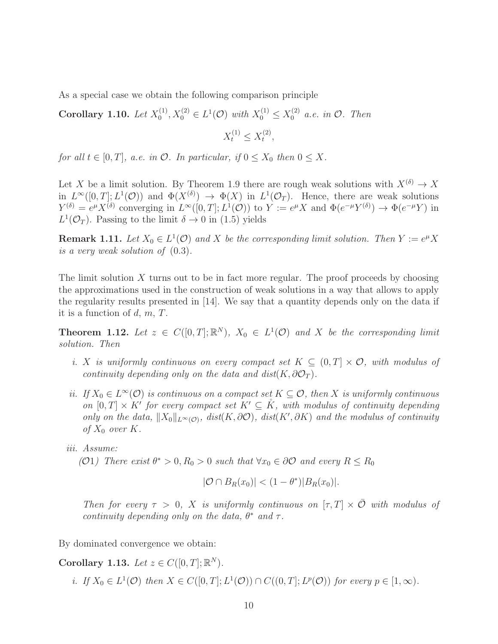As a special case we obtain the following comparison principle

Corollary 1.10. Let  $X_0^{(1)}$  $X_0^{(1)}, X_0^{(2)} \in L^1(\mathcal{O})$  with  $X_0^{(1)} \leq X_0^{(2)}$  a.e. in  $\mathcal{O}$ . Then  $X_t^{(1)} \leq X_t^{(2)}$  $\frac{1}{t}$ ,

for all  $t \in [0, T]$ , a.e. in  $\mathcal{O}$ . In particular, if  $0 \leq X_0$  then  $0 \leq X$ .

Let X be a limit solution. By Theorem 1.9 there are rough weak solutions with  $X^{(\delta)} \to X$ in  $L^{\infty}([0,T];L^{1}(\mathcal{O}))$  and  $\Phi(X^{(\delta)}) \to \Phi(X)$  in  $L^{1}(\mathcal{O}_{T})$ . Hence, there are weak solutions  $Y^{(\delta)} = e^{\mu} X^{(\delta)}$  converging in  $L^{\infty}([0,T]; L^{1}(\mathcal{O}))$  to  $Y := e^{\mu} X$  and  $\Phi(e^{-\mu} Y^{(\delta)}) \to \Phi(e^{-\mu} Y)$  in  $L^1(\mathcal{O}_T)$ . Passing to the limit  $\delta \to 0$  in (1.5) yields

**Remark 1.11.** Let  $X_0 \in L^1(\mathcal{O})$  and X be the corresponding limit solution. Then  $Y := e^{\mu} X$ is a very weak solution of (0.3).

The limit solution  $X$  turns out to be in fact more regular. The proof proceeds by choosing the approximations used in the construction of weak solutions in a way that allows to apply the regularity results presented in [14]. We say that a quantity depends only on the data if it is a function of  $d, m, T$ .

**Theorem 1.12.** Let  $z \in C([0,T];\mathbb{R}^N)$ ,  $X_0 \in L^1(\mathcal{O})$  and X be the corresponding limit solution. Then

- i. X is uniformly continuous on every compact set  $K \subseteq (0,T] \times \mathcal{O}$ , with modulus of continuity depending only on the data and dist( $K, \partial \mathcal{O}_T$ ).
- ii. If  $X_0 \in L^{\infty}(\mathcal{O})$  is continuous on a compact set  $K \subseteq \mathcal{O}$ , then X is uniformly continuous on  $[0, T] \times K'$  for every compact set  $K' \subseteq \mathring{K}$ , with modulus of continuity depending only on the data,  $||X_0||_{L^{\infty}(\mathcal{O})}$ ,  $dist(K, \partial \mathcal{O})$ ,  $dist(K', \partial K)$  and the modulus of continuity of  $X_0$  over  $K$ .
- iii. Assume:

(O1) There exist  $\theta^* > 0$ ,  $R_0 > 0$  such that  $\forall x_0 \in \partial \mathcal{O}$  and every  $R \leq R_0$ 

$$
|\mathcal{O} \cap B_R(x_0)| < (1 - \theta^*)|B_R(x_0)|.
$$

Then for every  $\tau > 0$ , X is uniformly continuous on  $[\tau, T] \times \overline{\mathcal{O}}$  with modulus of continuity depending only on the data,  $\theta^*$  and  $\tau$ .

By dominated convergence we obtain:

Corollary 1.13. Let  $z \in C([0, T]; \mathbb{R}^N)$ .

i. If  $X_0 \in L^1(\mathcal{O})$  then  $X \in C([0,T]; L^1(\mathcal{O})) \cap C((0,T]; L^p(\mathcal{O}))$  for every  $p \in [1,\infty)$ .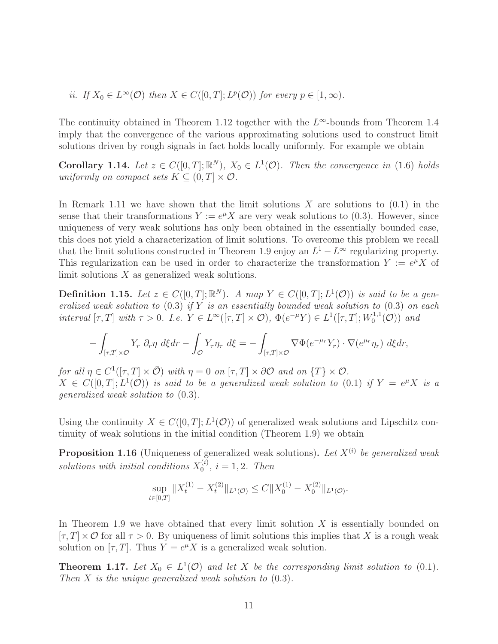*ii.* If  $X_0 \in L^{\infty}(\mathcal{O})$  then  $X \in C([0, T]; L^p(\mathcal{O}))$  for every  $p \in [1, \infty)$ .

The continuity obtained in Theorem 1.12 together with the  $L^{\infty}$ -bounds from Theorem 1.4 imply that the convergence of the various approximating solutions used to construct limit solutions driven by rough signals in fact holds locally uniformly. For example we obtain

**Corollary 1.14.** Let  $z \in C([0,T];\mathbb{R}^N)$ ,  $X_0 \in L^1(\mathcal{O})$ . Then the convergence in (1.6) holds uniformly on compact sets  $K \subseteq (0, T] \times \mathcal{O}$ .

In Remark 1.11 we have shown that the limit solutions  $X$  are solutions to  $(0.1)$  in the sense that their transformations  $Y := e^{\mu} X$  are very weak solutions to (0.3). However, since uniqueness of very weak solutions has only been obtained in the essentially bounded case, this does not yield a characterization of limit solutions. To overcome this problem we recall that the limit solutions constructed in Theorem 1.9 enjoy an  $L^1 - L^\infty$  regularizing property. This regularization can be used in order to characterize the transformation  $Y := e^{\mu} X$  of limit solutions  $X$  as generalized weak solutions.

**Definition 1.15.** Let  $z \in C([0,T];\mathbb{R}^N)$ . A map  $Y \in C([0,T];L^1(\mathcal{O}))$  is said to be a generalized weak solution to  $(0.3)$  if Y is an essentially bounded weak solution to  $(0.3)$  on each interval  $[\tau, T]$  with  $\tau > 0$ . I.e.  $Y \in L^{\infty}([\tau, T] \times \mathcal{O}), \Phi(e^{-\mu}Y) \in L^{1}([\tau, T]; W_0^{1,1})$  $\binom{1,1}{0}$  and

$$
-\int_{[\tau,T]\times\mathcal{O}} Y_r \, \partial_r \eta \, d\xi dr - \int_{\mathcal{O}} Y_\tau \eta_\tau \, d\xi = -\int_{[\tau,T]\times\mathcal{O}} \nabla \Phi(e^{-\mu_r} Y_r) \cdot \nabla(e^{\mu_r} \eta_r) \, d\xi dr,
$$

for all  $\eta \in C^1([\tau, T] \times \overline{\mathcal{O}})$  with  $\eta = 0$  on  $[\tau, T] \times \partial \mathcal{O}$  and on  $\{T\} \times \mathcal{O}$ .  $X \in C([0,T]; L<sup>1</sup>(\mathcal{O}))$  is said to be a generalized weak solution to  $(0.1)$  if  $Y = e^{\mu}X$  is a generalized weak solution to (0.3).

Using the continuity  $X \in C([0,T]; L^1(\mathcal{O}))$  of generalized weak solutions and Lipschitz continuity of weak solutions in the initial condition (Theorem 1.9) we obtain

**Proposition 1.16** (Uniqueness of generalized weak solutions). Let  $X^{(i)}$  be generalized weak solutions with initial conditions  $X_0^{(i)}$  $i^{(i)}$ ,  $i = 1, 2$ . Then

$$
\sup_{t \in [0,T]} \|X_t^{(1)} - X_t^{(2)}\|_{L^1(\mathcal{O})} \le C \|X_0^{(1)} - X_0^{(2)}\|_{L^1(\mathcal{O})}.
$$

In Theorem 1.9 we have obtained that every limit solution  $X$  is essentially bounded on  $[\tau, T] \times \mathcal{O}$  for all  $\tau > 0$ . By uniqueness of limit solutions this implies that X is a rough weak solution on  $[\tau, T]$ . Thus  $Y = e^{\mu} X$  is a generalized weak solution.

**Theorem 1.17.** Let  $X_0 \in L^1(\mathcal{O})$  and let X be the corresponding limit solution to (0.1). Then X is the unique generalized weak solution to  $(0.3)$ .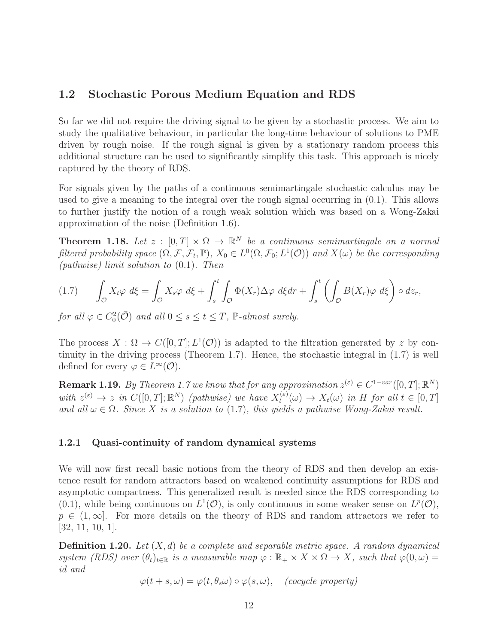# 1.2 Stochastic Porous Medium Equation and RDS

So far we did not require the driving signal to be given by a stochastic process. We aim to study the qualitative behaviour, in particular the long-time behaviour of solutions to PME driven by rough noise. If the rough signal is given by a stationary random process this additional structure can be used to significantly simplify this task. This approach is nicely captured by the theory of RDS.

For signals given by the paths of a continuous semimartingale stochastic calculus may be used to give a meaning to the integral over the rough signal occurring in  $(0.1)$ . This allows to further justify the notion of a rough weak solution which was based on a Wong-Zakai approximation of the noise (Definition 1.6).

**Theorem 1.18.** Let  $z : [0, T] \times \Omega \to \mathbb{R}^N$  be a continuous semimartingale on a normal filtered probability space  $(\Omega, \mathcal{F}, \mathcal{F}_t, \mathbb{P}), X_0 \in L^0(\Omega, \mathcal{F}_0; L^1(\mathcal{O}))$  and  $X(\omega)$  be the corresponding (*pathwise*) limit solution to  $(0.1)$ . Then

$$
(1.7) \qquad \int_{\mathcal{O}} X_t \varphi \, d\xi = \int_{\mathcal{O}} X_s \varphi \, d\xi + \int_s^t \int_{\mathcal{O}} \Phi(X_r) \Delta \varphi \, d\xi dr + \int_s^t \left( \int_{\mathcal{O}} B(X_r) \varphi \, d\xi \right) \circ dz_r,
$$

for all  $\varphi \in C_0^2(\overline{\mathcal{O}})$  and all  $0 \leq s \leq t \leq T$ ,  $\mathbb{P}\text{-almost surely.}$ 

The process  $X: \Omega \to C([0, T]; L^1(\mathcal{O}))$  is adapted to the filtration generated by z by continuity in the driving process (Theorem 1.7). Hence, the stochastic integral in (1.7) is well defined for every  $\varphi \in L^{\infty}(\mathcal{O})$ .

**Remark 1.19.** By Theorem 1.7 we know that for any approximation  $z^{(\varepsilon)} \in C^{1-var}([0,T]; \mathbb{R}^N)$ with  $z^{(\varepsilon)} \to z$  in  $C([0,T];\mathbb{R}^N)$  (pathwise) we have  $X_t^{(\varepsilon)}$  $t^{(\varepsilon)}(u) \to X_t(\omega)$  in H for all  $t \in [0,T]$ and all  $\omega \in \Omega$ . Since X is a solution to (1.7), this yields a pathwise Wong-Zakai result.

#### 1.2.1 Quasi-continuity of random dynamical systems

We will now first recall basic notions from the theory of RDS and then develop an existence result for random attractors based on weakened continuity assumptions for RDS and asymptotic compactness. This generalized result is needed since the RDS corresponding to  $(0.1)$ , while being continuous on  $L^1(\mathcal{O})$ , is only continuous in some weaker sense on  $L^p(\mathcal{O})$ ,  $p \in (1,\infty]$ . For more details on the theory of RDS and random attractors we refer to [32, 11, 10, 1].

**Definition 1.20.** Let  $(X, d)$  be a complete and separable metric space. A random dynamical system (RDS) over  $(\theta_t)_{t \in \mathbb{R}}$  is a measurable map  $\varphi : \mathbb{R}_+ \times X \times \Omega \to X$ , such that  $\varphi(0, \omega) =$ id and

$$
\varphi(t+s,\omega)=\varphi(t,\theta_s\omega)\circ\varphi(s,\omega),\quad (cocycle\ property)
$$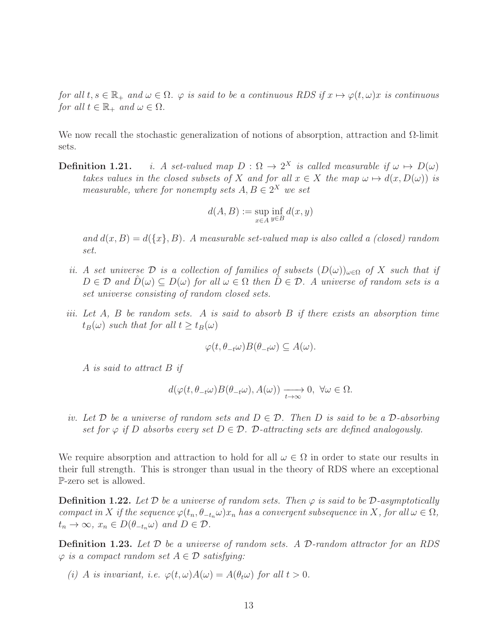for all  $t, s \in \mathbb{R}_+$  and  $\omega \in \Omega$ .  $\varphi$  is said to be a continuous RDS if  $x \mapsto \varphi(t, \omega)x$  is continuous for all  $t \in \mathbb{R}_+$  and  $\omega \in \Omega$ .

We now recall the stochastic generalization of notions of absorption, attraction and  $\Omega$ -limit sets.

**Definition 1.21.** i. A set-valued map  $D: \Omega \to 2^X$  is called measurable if  $\omega \mapsto D(\omega)$ takes values in the closed subsets of X and for all  $x \in X$  the map  $\omega \mapsto d(x, D(\omega))$  is measurable, where for nonempty sets  $A, B \in 2^X$  we set

$$
d(A, B) := \sup_{x \in A} \inf_{y \in B} d(x, y)
$$

and  $d(x, B) = d({x}, B)$ . A measurable set-valued map is also called a (closed) random set.

- ii. A set universe D is a collection of families of subsets  $(D(\omega))_{\omega \in \Omega}$  of X such that if  $D \in \mathcal{D}$  and  $D(\omega) \subseteq D(\omega)$  for all  $\omega \in \Omega$  then  $D \in \mathcal{D}$ . A universe of random sets is a set universe consisting of random closed sets.
- iii. Let  $A$ ,  $B$  be random sets.  $A$  is said to absorb  $B$  if there exists an absorption time  $t_B(\omega)$  such that for all  $t \geq t_B(\omega)$

$$
\varphi(t, \theta_{-t}\omega)B(\theta_{-t}\omega) \subseteq A(\omega).
$$

A is said to attract B if

$$
d(\varphi(t,\theta_{-t}\omega)B(\theta_{-t}\omega),A(\omega))\xrightarrow[t\to\infty]{}0,\ \forall\omega\in\Omega.
$$

iv. Let D be a universe of random sets and  $D \in \mathcal{D}$ . Then D is said to be a D-absorbing set for  $\varphi$  if D absorbs every set  $D \in \mathcal{D}$ . D-attracting sets are defined analogously.

We require absorption and attraction to hold for all  $\omega \in \Omega$  in order to state our results in their full strength. This is stronger than usual in the theory of RDS where an exceptional P-zero set is allowed.

**Definition 1.22.** Let D be a universe of random sets. Then  $\varphi$  is said to be D-asymptotically compact in X if the sequence  $\varphi(t_n, \theta_{-t_n}\omega)x_n$  has a convergent subsequence in X, for all  $\omega \in \Omega$ ,  $t_n \to \infty$ ,  $x_n \in D(\theta_{-t_n}\omega)$  and  $D \in \mathcal{D}$ .

Definition 1.23. Let  $D$  be a universe of random sets. A D-random attractor for an RDS  $\varphi$  is a compact random set  $A \in \mathcal{D}$  satisfying:

(i) A is invariant, i.e.  $\varphi(t,\omega)A(\omega) = A(\theta_t\omega)$  for all  $t > 0$ .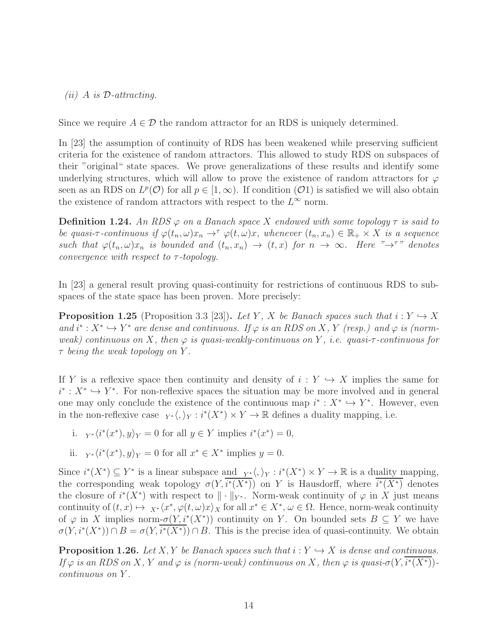$(ii)$  A is D-attracting.

Since we require  $A \in \mathcal{D}$  the random attractor for an RDS is uniquely determined.

In [23] the assumption of continuity of RDS has been weakened while preserving sufficient criteria for the existence of random attractors. This allowed to study RDS on subspaces of their "original" state spaces. We prove generalizations of these results and identify some underlying structures, which will allow to prove the existence of random attractors for  $\varphi$ seen as an RDS on  $L^p(\mathcal{O})$  for all  $p \in [1,\infty)$ . If condition  $(\mathcal{O}1)$  is satisfied we will also obtain the existence of random attractors with respect to the  $L^{\infty}$  norm.

**Definition 1.24.** An RDS  $\varphi$  on a Banach space X endowed with some topology  $\tau$  is said to be quasi- $\tau$ -continuous if  $\varphi(t_n,\omega)x_n \to^\tau \varphi(t,\omega)x$ , whenever  $(t_n,x_n) \in \mathbb{R}_+ \times X$  is a sequence such that  $\varphi(t_n,\omega)x_n$  is bounded and  $(t_n,x_n) \to (t,x)$  for  $n \to \infty$ . Here " $\to^{\tau}$ " denotes convergence with respect to  $\tau$ -topology.

In [23] a general result proving quasi-continuity for restrictions of continuous RDS to subspaces of the state space has been proven. More precisely:

**Proposition 1.25** (Proposition 3.3 [23]). Let Y, X be Banach spaces such that  $i: Y \hookrightarrow X$ and  $i^*: X^* \hookrightarrow Y^*$  are dense and continuous. If  $\varphi$  is an RDS on X, Y (resp.) and  $\varphi$  is (normweak) continuous on X, then  $\varphi$  is quasi-weakly-continuous on Y, i.e. quasi- $\tau$ -continuous for  $\tau$  being the weak topology on Y.

If Y is a reflexive space then continuity and density of  $i: Y \hookrightarrow X$  implies the same for  $i^*$ :  $X^*$  →  $Y^*$ . For non-reflexive spaces the situation may be more involved and in general one may only conclude the existence of the continuous map  $i^* : X^* \hookrightarrow Y^*$ . However, even in the non-reflexive case  $Y^* \langle, \rangle_Y : i^*(X^*) \times Y \to \mathbb{R}$  defines a duality mapping, i.e.

- i.  $Y^* \langle i^*(x^*), y \rangle_Y = 0$  for all  $y \in Y$  implies  $i^*(x^*) = 0$ ,
- ii.  $Y^* \langle i^*(x^*), y \rangle_Y = 0$  for all  $x^* \in X^*$  implies  $y = 0$ .

Since  $i^*(X^*) \subseteq Y^*$  is a linear subspace and  $Y^*_{X} \langle, \rangle_Y : i^*(X^*) \times Y \to \mathbb{R}$  is a duality mapping, the corresponding weak topology  $\sigma(Y, i^*(X^*))$  on Y is Hausdorff, where  $i^*(X^*)$  denotes the closure of  $i^*(X^*)$  with respect to  $\|\cdot\|_{Y^*}$ . Norm-weak continuity of  $\varphi$  in X just means continuity of  $(t, x) \mapsto X^* \langle x^*, \varphi(t, \omega)x \rangle_X$  for all  $x^* \in X^*, \omega \in \Omega$ . Hence, norm-weak continuity of  $\varphi$  in X implies norm- $\sigma(Y, i^*(X^*))$  continuity on Y. On bounded sets  $B \subseteq Y$  we have  $\sigma(Y, i^*(X^*)) \cap B = \sigma(Y, i^*(X^*)) \cap B$ . This is the precise idea of quasi-continuity. We obtain

**Proposition 1.26.** Let X, Y be Banach spaces such that  $i: Y \hookrightarrow X$  is dense and continuous. If  $\varphi$  is an RDS on X, Y and  $\varphi$  is (norm-weak) continuous on X, then  $\varphi$  is quasi- $\sigma(Y,i^*(X^*))$ continuous on Y .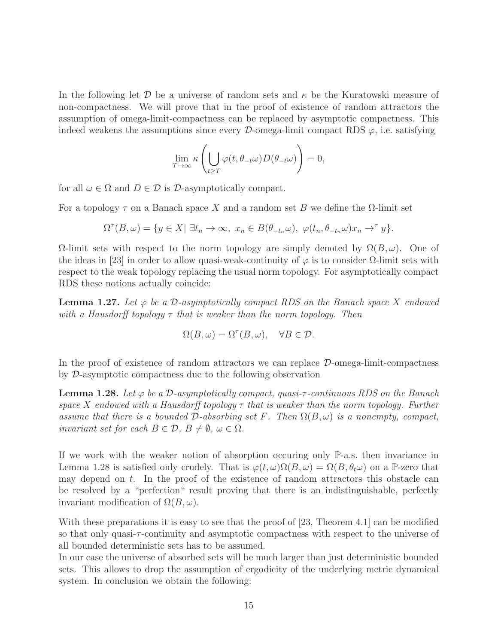In the following let  $\mathcal D$  be a universe of random sets and  $\kappa$  be the Kuratowski measure of non-compactness. We will prove that in the proof of existence of random attractors the assumption of omega-limit-compactness can be replaced by asymptotic compactness. This indeed weakens the assumptions since every  $\mathcal{D}$ -omega-limit compact RDS  $\varphi$ , i.e. satisfying

$$
\lim_{T \to \infty} \kappa \left( \bigcup_{t \geq T} \varphi(t, \theta_{-t} \omega) D(\theta_{-t} \omega) \right) = 0,
$$

for all  $\omega \in \Omega$  and  $D \in \mathcal{D}$  is  $\mathcal{D}$ -asymptotically compact.

For a topology  $\tau$  on a Banach space X and a random set B we define the  $\Omega$ -limit set

$$
\Omega^{\tau}(B,\omega) = \{ y \in X | \ \exists t_n \to \infty, \ x_n \in B(\theta_{-t_n}\omega), \ \varphi(t_n,\theta_{-t_n}\omega)x_n \to^{\tau} y \}.
$$

 $Ω$ -limit sets with respect to the norm topology are simply denoted by  $Ω(B, ω)$ . One of the ideas in [23] in order to allow quasi-weak-continuity of  $\varphi$  is to consider  $\Omega$ -limit sets with respect to the weak topology replacing the usual norm topology. For asymptotically compact RDS these notions actually coincide:

**Lemma 1.27.** Let  $\varphi$  be a D-asymptotically compact RDS on the Banach space X endowed with a Hausdorff topology  $\tau$  that is weaker than the norm topology. Then

$$
\Omega(B,\omega) = \Omega^{\tau}(B,\omega), \quad \forall B \in \mathcal{D}.
$$

In the proof of existence of random attractors we can replace D-omega-limit-compactness by D-asymptotic compactness due to the following observation

**Lemma 1.28.** Let  $\varphi$  be a D-asymptotically compact, quasi- $\tau$ -continuous RDS on the Banach space X endowed with a Hausdorff topology  $\tau$  that is weaker than the norm topology. Further assume that there is a bounded  $\mathcal D$ -absorbing set F. Then  $\Omega(B,\omega)$  is a nonempty, compact, invariant set for each  $B \in \mathcal{D}, B \neq \emptyset, \omega \in \Omega$ .

If we work with the weaker notion of absorption occuring only P-a.s. then invariance in Lemma 1.28 is satisfied only crudely. That is  $\varphi(t,\omega)\Omega(B,\omega) = \Omega(B,\theta_t\omega)$  on a P-zero that may depend on  $t$ . In the proof of the existence of random attractors this obstacle can be resolved by a "perfection" result proving that there is an indistinguishable, perfectly invariant modification of  $\Omega(B,\omega)$ .

With these preparations it is easy to see that the proof of [23, Theorem 4.1] can be modified so that only quasi-τ -continuity and asymptotic compactness with respect to the universe of all bounded deterministic sets has to be assumed.

In our case the universe of absorbed sets will be much larger than just deterministic bounded sets. This allows to drop the assumption of ergodicity of the underlying metric dynamical system. In conclusion we obtain the following: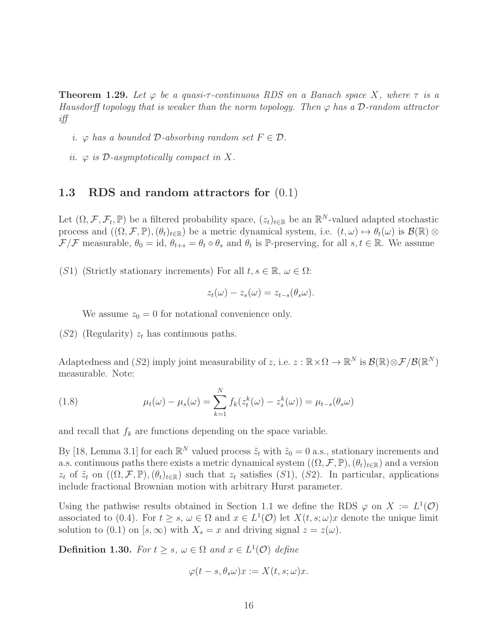**Theorem 1.29.** Let  $\varphi$  be a quasi- $\tau$ -continuous RDS on a Banach space X, where  $\tau$  is a Hausdorff topology that is weaker than the norm topology. Then  $\varphi$  has a D-random attractor iff

- i.  $\varphi$  has a bounded  $\mathcal{D}\text{-}absorbing$  random set  $F \in \mathcal{D}$ .
- ii.  $\varphi$  is D-asymptotically compact in X.

#### 1.3 RDS and random attractors for (0.1)

Let  $(\Omega, \mathcal{F}, \mathcal{F}_t, \mathbb{P})$  be a filtered probability space,  $(z_t)_{t \in \mathbb{R}}$  be an  $\mathbb{R}^N$ -valued adapted stochastic process and  $((\Omega, \mathcal{F}, \mathbb{P}), (\theta_t)_{t \in \mathbb{R}})$  be a metric dynamical system, i.e.  $(t, \omega) \mapsto \theta_t(\omega)$  is  $\mathcal{B}(\mathbb{R}) \otimes$  $\mathcal{F}/\mathcal{F}$  measurable,  $\theta_0 = id$ ,  $\theta_{t+s} = \theta_t \circ \theta_s$  and  $\theta_t$  is  $\mathbb{P}$ -preserving, for all  $s, t \in \mathbb{R}$ . We assume

(S1) (Strictly stationary increments) For all  $t, s \in \mathbb{R}, \omega \in \Omega$ :

$$
z_t(\omega)-z_s(\omega)=z_{t-s}(\theta_s\omega).
$$

We assume  $z_0 = 0$  for notational convenience only.

 $(S2)$  (Regularity)  $z_t$  has continuous paths.

Adaptedness and (S2) imply joint measurability of z, i.e.  $z : \mathbb{R} \times \Omega \to \mathbb{R}^N$  is  $\mathcal{B}(\mathbb{R}) \otimes \mathcal{F}/\mathcal{B}(\mathbb{R}^N)$ measurable. Note:

(1.8) 
$$
\mu_t(\omega) - \mu_s(\omega) = \sum_{k=1}^N f_k(z_t^k(\omega) - z_s^k(\omega)) = \mu_{t-s}(\theta_s \omega)
$$

and recall that  $f_k$  are functions depending on the space variable.

By [18, Lemma 3.1] for each  $\mathbb{R}^N$  valued process  $\tilde{z}_t$  with  $\tilde{z}_0 = 0$  a.s., stationary increments and a.s. continuous paths there exists a metric dynamical system  $((\Omega, \mathcal{F}, \mathbb{P}), (\theta_t)_{t \in \mathbb{R}})$  and a version  $z_t$  of  $\tilde{z}_t$  on  $((\Omega, \mathcal{F}, \mathbb{P}), (\theta_t)_{t \in \mathbb{R}})$  such that  $z_t$  satisfies  $(S1)$ ,  $(S2)$ . In particular, applications include fractional Brownian motion with arbitrary Hurst parameter.

Using the pathwise results obtained in Section 1.1 we define the RDS  $\varphi$  on  $X := L^1(\mathcal{O})$ associated to (0.4). For  $t \geq s$ ,  $\omega \in \Omega$  and  $x \in L^1(\mathcal{O})$  let  $X(t, s; \omega)x$  denote the unique limit solution to (0.1) on [s,  $\infty$ ) with  $X_s = x$  and driving signal  $z = z(\omega)$ .

**Definition 1.30.** For  $t \geq s$ ,  $\omega \in \Omega$  and  $x \in L^1(\mathcal{O})$  define

$$
\varphi(t-s,\theta_s\omega)x:=X(t,s;\omega)x.
$$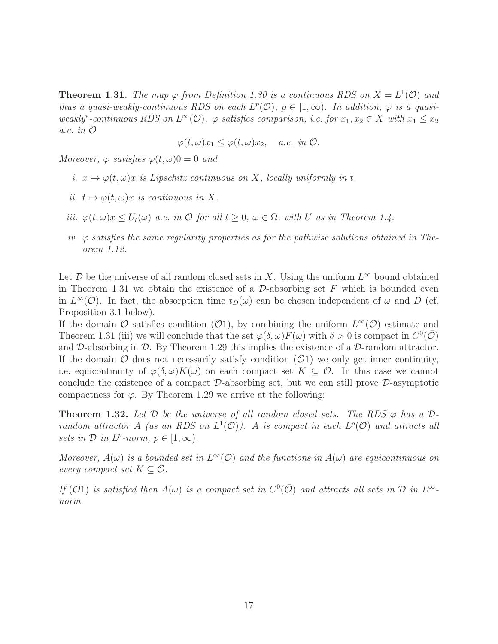**Theorem 1.31.** The map  $\varphi$  from Definition 1.30 is a continuous RDS on  $X = L^1(\mathcal{O})$  and thus a quasi-weakly-continuous RDS on each  $L^p(\mathcal{O})$ ,  $p \in [1,\infty)$ . In addition,  $\varphi$  is a quasiweakly<sup>\*</sup>-continuous RDS on  $L^{\infty}(\mathcal{O})$ .  $\varphi$  satisfies comparison, i.e. for  $x_1, x_2 \in X$  with  $x_1 \leq x_2$ a.e. in O

$$
\varphi(t,\omega)x_1 \leq \varphi(t,\omega)x_2, \quad a.e. \in \mathcal{D}.
$$

Moreover,  $\varphi$  satisfies  $\varphi(t,\omega)0=0$  and

- i.  $x \mapsto \varphi(t, \omega)x$  is Lipschitz continuous on X, locally uniformly in t.
- ii.  $t \mapsto \varphi(t, \omega)x$  is continuous in X.
- iii.  $\varphi(t,\omega)x \leq U_t(\omega)$  a.e. in  $\mathcal O$  for all  $t \geq 0$ ,  $\omega \in \Omega$ , with U as in Theorem 1.4.
- iv.  $\varphi$  satisfies the same regularity properties as for the pathwise solutions obtained in Theorem 1.12.

Let  $\mathcal D$  be the universe of all random closed sets in X. Using the uniform  $L^{\infty}$  bound obtained in Theorem 1.31 we obtain the existence of a  $\mathcal{D}\text{-absorbing set }F$  which is bounded even in  $L^{\infty}(\mathcal{O})$ . In fact, the absorption time  $t_D(\omega)$  can be chosen independent of  $\omega$  and  $D$  (cf. Proposition 3.1 below).

If the domain  $\mathcal O$  satisfies condition  $(\mathcal O1)$ , by combining the uniform  $L^{\infty}(\mathcal O)$  estimate and Theorem 1.31 (iii) we will conclude that the set  $\varphi(\delta,\omega) F(\omega)$  with  $\delta > 0$  is compact in  $C^0(\overline{\mathcal{O}})$ and D-absorbing in D. By Theorem 1.29 this implies the existence of a D-random attractor. If the domain  $\mathcal O$  does not necessarily satisfy condition  $(\mathcal O1)$  we only get inner continuity, i.e. equicontinuity of  $\varphi(\delta,\omega)K(\omega)$  on each compact set  $K\subseteq\mathcal{O}$ . In this case we cannot conclude the existence of a compact  $\mathcal{D}\text{-absorbing set}$ , but we can still prove  $\mathcal{D}\text{-asymptotic}$ compactness for  $\varphi$ . By Theorem 1.29 we arrive at the following:

**Theorem 1.32.** Let D be the universe of all random closed sets. The RDS  $\varphi$  has a Drandom attractor A (as an RDS on  $L^1(\mathcal{O})$ ). A is compact in each  $L^p(\mathcal{O})$  and attracts all sets in  $D$  in  $L^p$ -norm,  $p \in [1, \infty)$ .

Moreover,  $A(\omega)$  is a bounded set in  $L^{\infty}(\mathcal{O})$  and the functions in  $A(\omega)$  are equicontinuous on every compact set  $K \subseteq \mathcal{O}$ .

If (O1) is satisfied then  $A(\omega)$  is a compact set in  $C^0(\bar{\mathcal{O}})$  and attracts all sets in  $\mathcal D$  in  $L^\infty$ norm.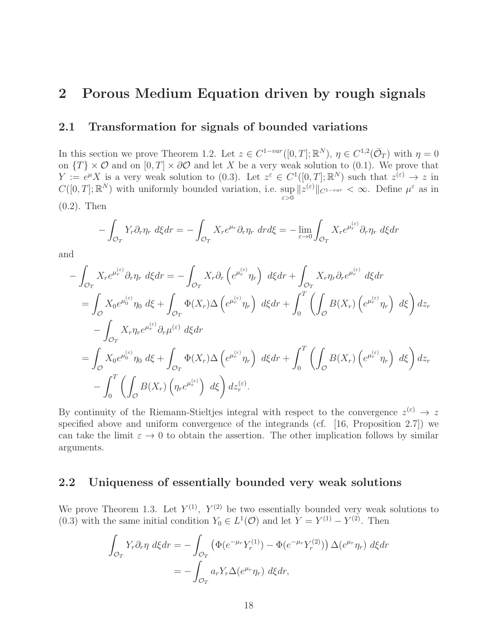# 2 Porous Medium Equation driven by rough signals

# 2.1 Transformation for signals of bounded variations

In this section we prove Theorem 1.2. Let  $z \in C^{1-var}([0,T]; \mathbb{R}^N)$ ,  $\eta \in C^{1,2}(\bar{\mathcal{O}}_T)$  with  $\eta = 0$ on  $\{T\} \times \mathcal{O}$  and on  $[0, T] \times \partial \mathcal{O}$  and let X be a very weak solution to (0.1). We prove that  $Y := e^{\mu} X$  is a very weak solution to (0.3). Let  $z^{\varepsilon} \in C^1([0,T];\mathbb{R}^N)$  such that  $z^{(\varepsilon)} \to z$  in  $C([0,T];\mathbb{R}^N)$  with uniformly bounded variation, i.e. sup  $\sup_{\varepsilon>0} \|z^{(\varepsilon)}\|_{C^{1-var}} < \infty$ . Define  $\mu^{\varepsilon}$  as in (0.2). Then

$$
-\int_{\mathcal{O}_T} Y_r \partial_r \eta_r d\xi dr = -\int_{\mathcal{O}_T} X_r e^{\mu_r} \partial_r \eta_r d\eta_r d\xi = -\lim_{\varepsilon \to 0} \int_{\mathcal{O}_T} X_r e^{\mu_r^{(\varepsilon)}} \partial_r \eta_r d\xi dr
$$

and

$$
-\int_{\mathcal{O}_{T}} X_{r} e^{\mu_{r}^{(\varepsilon)}} \partial_{r} \eta_{r} d\xi dr = -\int_{\mathcal{O}_{T}} X_{r} \partial_{r} \left( e^{\mu_{r}^{(\varepsilon)}} \eta_{r} \right) d\xi dr + \int_{\mathcal{O}_{T}} X_{r} \eta_{r} \partial_{r} e^{\mu_{r}^{(\varepsilon)}} d\xi dr \n= \int_{\mathcal{O}} X_{0} e^{\mu_{0}^{(\varepsilon)}} \eta_{0} d\xi + \int_{\mathcal{O}_{T}} \Phi(X_{r}) \Delta \left( e^{\mu_{r}^{(\varepsilon)}} \eta_{r} \right) d\xi dr + \int_{0}^{T} \left( \int_{\mathcal{O}} B(X_{r}) \left( e^{\mu_{r}^{(\varepsilon)}} \eta_{r} \right) d\xi \right) dz_{r} \n- \int_{\mathcal{O}_{T}} X_{r} \eta_{r} e^{\mu_{r}^{(\varepsilon)}} \partial_{r} \mu^{(\varepsilon)} d\xi dr \n= \int_{\mathcal{O}} X_{0} e^{\mu_{0}^{(\varepsilon)}} \eta_{0} d\xi + \int_{\mathcal{O}_{T}} \Phi(X_{r}) \Delta \left( e^{\mu_{r}^{(\varepsilon)}} \eta_{r} \right) d\xi dr + \int_{0}^{T} \left( \int_{\mathcal{O}} B(X_{r}) \left( e^{\mu_{r}^{(\varepsilon)}} \eta_{r} \right) d\xi \right) dz_{r} \n- \int_{0}^{T} \left( \int_{\mathcal{O}} B(X_{r}) \left( \eta_{r} e^{\mu_{r}^{(\varepsilon)}} \right) d\xi \right) dz_{r}^{(\varepsilon)}.
$$

By continuity of the Riemann-Stieltjes integral with respect to the convergence  $z^{(\varepsilon)} \to z$ specified above and uniform convergence of the integrands (cf. [16, Proposition 2.7]) we can take the limit  $\varepsilon \to 0$  to obtain the assertion. The other implication follows by similar arguments.

# 2.2 Uniqueness of essentially bounded very weak solutions

We prove Theorem 1.3. Let  $Y^{(1)}$ ,  $Y^{(2)}$  be two essentially bounded very weak solutions to (0.3) with the same initial condition  $Y_0 \in L^1(\mathcal{O})$  and let  $Y = Y^{(1)} - Y^{(2)}$ . Then

$$
\int_{\mathcal{O}_T} Y_r \partial_r \eta \, d\xi dr = -\int_{\mathcal{O}_T} \left( \Phi(e^{-\mu_r} Y_r^{(1)}) - \Phi(e^{-\mu_r} Y_r^{(2)}) \right) \Delta(e^{\mu_r} \eta_r) \, d\xi dr
$$
\n
$$
= -\int_{\mathcal{O}_T} a_r Y_r \Delta(e^{\mu_r} \eta_r) \, d\xi dr,
$$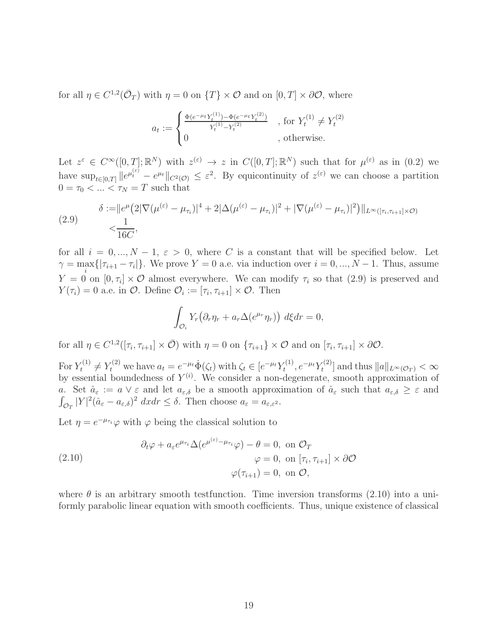for all  $\eta \in C^{1,2}(\bar{\mathcal{O}}_T)$  with  $\eta = 0$  on  $\{T\} \times \mathcal{O}$  and on  $[0, T] \times \partial \mathcal{O}$ , where

$$
a_t := \begin{cases} \frac{\Phi(e^{-\mu_t} Y_t^{(1)}) - \Phi(e^{-\mu_t} Y_t^{(2)})}{Y_t^{(1)} - Y_t^{(2)}} & , \text{ for } Y_t^{(1)} \neq Y_t^{(2)} \\ 0 & , \text{ otherwise.} \end{cases}
$$

Let  $z^{\varepsilon} \in C^{\infty}([0,T];\mathbb{R}^{N})$  with  $z^{(\varepsilon)} \to z$  in  $C([0,T];\mathbb{R}^{N})$  such that for  $\mu^{(\varepsilon)}$  as in  $(0.2)$  we have  $\sup_{t\in[0,T]}\|e^{\mu_t^{(\varepsilon)}}-e^{\mu_t}\|_{C^2(\mathcal{O})}\leq \varepsilon^2$ . By equicontinuity of  $z^{(\varepsilon)}$  we can choose a partition  $0 = \tau_0 < \ldots < \tau_N = T$  such that

(2.9) 
$$
\delta := ||e^{\mu} (2|\nabla(\mu^{(\varepsilon)} - \mu_{\tau_i})|^4 + 2|\Delta(\mu^{(\varepsilon)} - \mu_{\tau_i})|^2 + |\nabla(\mu^{(\varepsilon)} - \mu_{\tau_i})|^2) ||_{L^{\infty}([\tau_i, \tau_{i+1}] \times \mathcal{O})}
$$

$$
< \frac{1}{16C},
$$

for all  $i = 0, ..., N - 1, \varepsilon > 0$ , where C is a constant that will be specified below. Let  $\gamma = \max_i\{|\tau_{i+1} - \tau_i|\}\.$  We prove  $Y = 0$  a.e. via induction over  $i = 0, ..., N - 1$ . Thus, assume i  $Y = 0$  on  $[0, \tau_i] \times \mathcal{O}$  almost everywhere. We can modify  $\tau_i$  so that  $(2.9)$  is preserved and  $Y(\tau_i) = 0$  a.e. in  $\mathcal{O}$ . Define  $\mathcal{O}_i := [\tau_i, \tau_{i+1}] \times \mathcal{O}$ . Then

$$
\int_{\mathcal{O}_i} Y_r \big( \partial_r \eta_r + a_r \Delta(e^{\mu_r} \eta_r) \big) d\xi dr = 0,
$$

for all  $\eta \in C^{1,2}([\tau_i, \tau_{i+1}] \times \overline{\mathcal{O}})$  with  $\eta = 0$  on  $\{\tau_{i+1}\} \times \mathcal{O}$  and on  $[\tau_i, \tau_{i+1}] \times \partial \mathcal{O}$ .

For  $Y_t^{(1)} \neq Y_t^{(2)}$  we have  $a_t = e^{-\mu_t} \dot{\Phi}(\zeta_t)$  with  $\zeta_t \in [e^{-\mu_t} Y_t^{(1)}]$  $t^{(1)}, e^{-\mu_t} Y_t^{(2)}$  $\mathcal{L}^{(2)}_t$  and thus  $||a||_{L^{\infty}(\mathcal{O}_T)} < \infty$ by essential boundedness of  $Y^{(i)}$ . We consider a non-degenerate, smooth approximation of a. Set  $\hat{a}_{\varepsilon} := a \vee \varepsilon$  and let  $a_{\varepsilon,\delta}$  be a smooth approximation of  $\hat{a}_{\varepsilon}$  such that  $a_{\varepsilon,\delta} \geq \varepsilon$  and  $\int_{\mathcal{O}_T} |Y|^2 (\hat{a}_{\varepsilon} - a_{\varepsilon,\delta})^2 dx dr \leq \delta$ . Then choose  $a_{\varepsilon} = a_{\varepsilon,\varepsilon^2}$ .

Let  $\eta = e^{-\mu_{\tau_i}} \varphi$  with  $\varphi$  being the classical solution to

(2.10)  
\n
$$
\partial_t \varphi + a_{\varepsilon} e^{\mu_{\tau_i}} \Delta(e^{\mu^{(\varepsilon)} - \mu_{\tau_i}} \varphi) - \theta = 0, \text{ on } \mathcal{O}_T
$$
\n
$$
\varphi = 0, \text{ on } [\tau_i, \tau_{i+1}] \times \partial \mathcal{O}
$$
\n
$$
\varphi(\tau_{i+1}) = 0, \text{ on } \mathcal{O},
$$

where  $\theta$  is an arbitrary smooth testfunction. Time inversion transforms (2.10) into a uniformly parabolic linear equation with smooth coefficients. Thus, unique existence of classical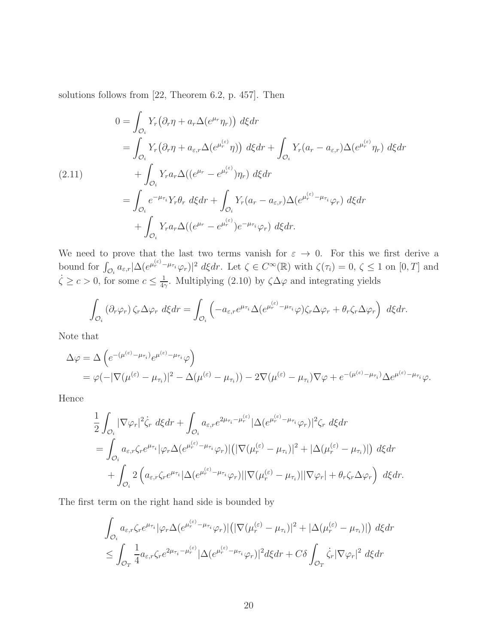solutions follows from [22, Theorem 6.2, p. 457]. Then

$$
0 = \int_{\mathcal{O}_i} Y_r (\partial_r \eta + a_r \Delta(e^{\mu_r} \eta_r)) d\xi dr
$$
  
\n
$$
= \int_{\mathcal{O}_i} Y_r (\partial_r \eta + a_{\varepsilon,r} \Delta(e^{\mu_r^{(\varepsilon)}} \eta)) d\xi dr + \int_{\mathcal{O}_i} Y_r (a_r - a_{\varepsilon,r}) \Delta(e^{\mu_r^{(\varepsilon)}} \eta_r) d\xi dr
$$
  
\n(2.11)  
\n
$$
+ \int_{\mathcal{O}_i} Y_r a_r \Delta((e^{\mu_r} - e^{\mu_r^{(\varepsilon)}}) \eta_r) d\xi dr
$$
  
\n
$$
= \int_{\mathcal{O}_i} e^{-\mu_{\tau_i}} Y_r \theta_r d\xi dr + \int_{\mathcal{O}_i} Y_r (a_r - a_{\varepsilon,r}) \Delta(e^{\mu_r^{(\varepsilon)}} - \mu_{\tau_i} \varphi_r) d\xi dr
$$
  
\n
$$
+ \int_{\mathcal{O}_i} Y_r a_r \Delta((e^{\mu_r} - e^{\mu_r^{(\varepsilon)}}) e^{-\mu_{\tau_i}} \varphi_r) d\xi dr.
$$

We need to prove that the last two terms vanish for  $\varepsilon \to 0$ . For this we first derive a bound for  $\int_{\mathcal{O}_i} a_{\varepsilon,r} |\Delta(e^{\mu_r^{(\varepsilon)}-\mu_{\tau_i}}\varphi_r)|^2 d\xi dr$ . Let  $\zeta \in C^{\infty}(\mathbb{R})$  with  $\zeta(\tau_i)=0, \zeta \leq 1$  on  $[0,T]$  and  $\dot{\zeta} \ge c > 0$ , for some  $c \le \frac{1}{4c}$  $\frac{1}{4\gamma}$ . Multiplying (2.10) by  $\zeta \Delta \varphi$  and integrating yields

$$
\int_{\mathcal{O}_i} (\partial_r \varphi_r) \zeta_r \Delta \varphi_r d\xi dr = \int_{\mathcal{O}_i} \left( -a_{\varepsilon,r} e^{\mu \tau_i} \Delta (e^{\mu_r^{(\varepsilon)} - \mu_{\tau_i}} \varphi) \zeta_r \Delta \varphi_r + \theta_r \zeta_r \Delta \varphi_r \right) d\xi dr.
$$

Note that

$$
\Delta \varphi = \Delta \left( e^{-(\mu^{(\varepsilon)} - \mu_{\tau_i})} e^{\mu^{(\varepsilon)} - \mu_{\tau_i}} \varphi \right)
$$
  
=  $\varphi (-|\nabla(\mu^{(\varepsilon)} - \mu_{\tau_i})|^2 - \Delta(\mu^{(\varepsilon)} - \mu_{\tau_i})) - 2\nabla(\mu^{(\varepsilon)} - \mu_{\tau_i}) \nabla \varphi + e^{-(\mu^{(\varepsilon)} - \mu_{\tau_i})} \Delta e^{\mu^{(\varepsilon)} - \mu_{\tau_i}} \varphi.$ 

Hence

$$
\frac{1}{2} \int_{\mathcal{O}_i} |\nabla \varphi_r|^2 \dot{\zeta}_r d\xi dr + \int_{\mathcal{O}_i} a_{\varepsilon,r} e^{2\mu_{\tau_i} - \mu_r^{(\varepsilon)}} |\Delta(e^{\mu_r^{(\varepsilon)} - \mu_{\tau_i}} \varphi_r)|^2 \zeta_r d\xi dr \n= \int_{\mathcal{O}_i} a_{\varepsilon,r} \zeta_r e^{\mu_{\tau_i}} |\varphi_r \Delta(e^{\mu_r^{(\varepsilon)} - \mu_{\tau_i}} \varphi_r)| (|\nabla (\mu_r^{(\varepsilon)} - \mu_{\tau_i})|^2 + |\Delta(\mu_r^{(\varepsilon)} - \mu_{\tau_i})|) d\xi dr \n+ \int_{\mathcal{O}_i} 2 \left( a_{\varepsilon,r} \zeta_r e^{\mu_{\tau_i}} |\Delta(e^{\mu_r^{(\varepsilon)} - \mu_{\tau_i}} \varphi_r)| |\nabla(\mu_r^{(\varepsilon)} - \mu_{\tau_i})| |\nabla \varphi_r| + \theta_r \zeta_r \Delta \varphi_r \right) d\xi dr.
$$

The first term on the right hand side is bounded by

$$
\int_{\mathcal{O}_i} a_{\varepsilon,r} \zeta_r e^{\mu_{\tau_i}} |\varphi_r \Delta(e^{\mu_r^{(\varepsilon)} - \mu_{\tau_i}} \varphi_r)| \left( |\nabla(\mu_r^{(\varepsilon)} - \mu_{\tau_i})|^2 + |\Delta(\mu_r^{(\varepsilon)} - \mu_{\tau_i})| \right) d\xi dr
$$
\n
$$
\leq \int_{\mathcal{O}_T} \frac{1}{4} a_{\varepsilon,r} \zeta_r e^{2\mu_{\tau_i} - \mu_r^{(\varepsilon)}} |\Delta(e^{\mu_r^{(\varepsilon)} - \mu_{\tau_i}} \varphi_r)|^2 d\xi dr + C\delta \int_{\mathcal{O}_T} \dot{\zeta}_r |\nabla \varphi_r|^2 d\xi dr
$$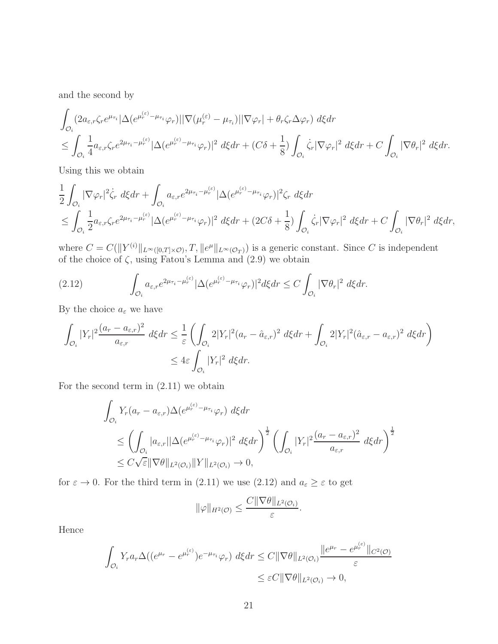and the second by

$$
\int_{\mathcal{O}_i} (2a_{\varepsilon,r}\zeta_r e^{\mu\tau_i} |\Delta(e^{\mu_r^{(\varepsilon)}-\mu\tau_i}\varphi_r)||\nabla(\mu_r^{(\varepsilon)}-\mu_{\tau_i})||\nabla\varphi_r| + \theta_r\zeta_r\Delta\varphi_r) d\xi dr \n\leq \int_{\mathcal{O}_i} \frac{1}{4} a_{\varepsilon,r}\zeta_r e^{2\mu\tau_i-\mu_r^{(\varepsilon)}} |\Delta(e^{\mu_r^{(\varepsilon)}-\mu\tau_i}\varphi_r)|^2 d\xi dr + (C\delta + \frac{1}{8}) \int_{\mathcal{O}_i} \dot{\zeta}_r |\nabla\varphi_r|^2 d\xi dr + C \int_{\mathcal{O}_i} |\nabla\theta_r|^2 d\xi dr.
$$

Using this we obtain

$$
\frac{1}{2} \int_{\mathcal{O}_i} |\nabla \varphi_r|^2 \dot{\zeta}_r d\xi dr + \int_{\mathcal{O}_i} a_{\varepsilon,r} e^{2\mu_{\tau_i} - \mu_r^{(\varepsilon)}} |\Delta(e^{\mu_r^{(\varepsilon)} - \mu_{\tau_i}} \varphi_r)|^2 \zeta_r d\xi dr
$$
\n
$$
\leq \int_{\mathcal{O}_i} \frac{1}{2} a_{\varepsilon,r} \zeta_r e^{2\mu_{\tau_i} - \mu_r^{(\varepsilon)}} |\Delta(e^{\mu_r^{(\varepsilon)} - \mu_{\tau_i}} \varphi_r)|^2 d\xi dr + (2C\delta + \frac{1}{8}) \int_{\mathcal{O}_i} \dot{\zeta}_r |\nabla \varphi_r|^2 d\xi dr + C \int_{\mathcal{O}_i} |\nabla \theta_r|^2 d\xi dr,
$$

where  $C = C(\|Y^{(i)}\|_{L^{\infty}([0,T]\times\mathcal{O})}, T, \|e^{\mu}\|_{L^{\infty}(\mathcal{O}_T)})$  is a generic constant. Since C is independent of the choice of  $\zeta$ , using Fatou's Lemma and  $(2.9)$  we obtain

(2.12) 
$$
\int_{\mathcal{O}_i} a_{\varepsilon,r} e^{2\mu_{\tau_i} - \mu_r^{(\varepsilon)}} |\Delta(e^{\mu_r^{(\varepsilon)} - \mu_{\tau_i}} \varphi_r)|^2 d\xi dr \leq C \int_{\mathcal{O}_i} |\nabla \theta_r|^2 d\xi dr.
$$

By the choice  $a_\varepsilon$  we have

$$
\int_{\mathcal{O}_i} |Y_r|^2 \frac{(a_r - a_{\varepsilon,r})^2}{a_{\varepsilon,r}} d\xi dr \le \frac{1}{\varepsilon} \left( \int_{\mathcal{O}_i} 2|Y_r|^2 (a_r - \hat{a}_{\varepsilon,r})^2 d\xi dr + \int_{\mathcal{O}_i} 2|Y_r|^2 (\hat{a}_{\varepsilon,r} - a_{\varepsilon,r})^2 d\xi dr \right)
$$
  

$$
\le 4\varepsilon \int_{\mathcal{O}_i} |Y_r|^2 d\xi dr.
$$

For the second term in (2.11) we obtain

$$
\int_{\mathcal{O}_i} Y_r(a_r - a_{\varepsilon,r}) \Delta(e^{\mu_r^{(\varepsilon)} - \mu_{\tau_i}} \varphi_r) d\xi dr
$$
\n
$$
\leq \left( \int_{\mathcal{O}_i} |a_{\varepsilon,r}| |\Delta(e^{\mu_r^{(\varepsilon)} - \mu_{\tau_i}} \varphi_r)|^2 d\xi dr \right)^{\frac{1}{2}} \left( \int_{\mathcal{O}_i} |Y_r|^2 \frac{(a_r - a_{\varepsilon,r})^2}{a_{\varepsilon,r}} d\xi dr \right)^{\frac{1}{2}}
$$
\n
$$
\leq C \sqrt{\varepsilon} \|\nabla \theta\|_{L^2(\mathcal{O}_i)} \|Y\|_{L^2(\mathcal{O}_i)} \to 0,
$$

for  $\varepsilon \to 0$ . For the third term in (2.11) we use (2.12) and  $a_{\varepsilon} \geq \varepsilon$  to get

$$
\|\varphi\|_{H^2(\mathcal{O})}\leq \frac{C\|\nabla\theta\|_{L^2(\mathcal{O}_i)}}{\varepsilon}.
$$

Hence

$$
\int_{\mathcal{O}_i} Y_r a_r \Delta((e^{\mu_r} - e^{\mu_r^{(\varepsilon)}}) e^{-\mu_{\tau_i}} \varphi_r) d\xi dr \leq C \|\nabla \theta\|_{L^2(\mathcal{O}_i)} \frac{\|e^{\mu_r} - e^{\mu_r^{(\varepsilon)}}\|_{C^2(\mathcal{O})}}{\varepsilon} \leq \varepsilon C \|\nabla \theta\|_{L^2(\mathcal{O}_i)} \to 0,
$$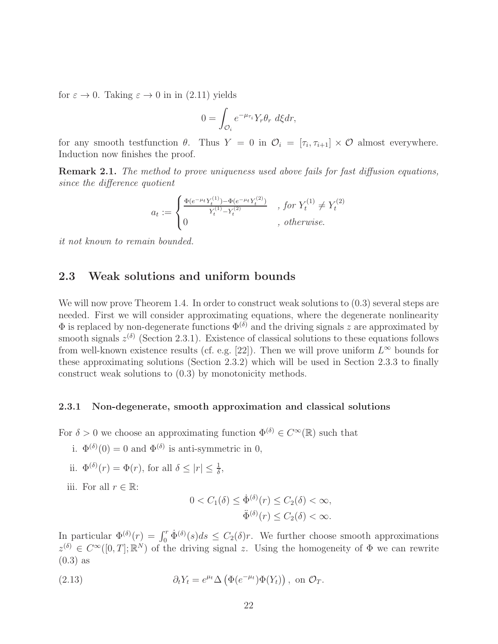for  $\varepsilon \to 0$ . Taking  $\varepsilon \to 0$  in in (2.11) yields

$$
0 = \int_{\mathcal{O}_i} e^{-\mu_{\tau_i}} Y_r \theta_r \ d\xi dr,
$$

for any smooth test function  $\theta$ . Thus  $Y = 0$  in  $\mathcal{O}_i = [\tau_i, \tau_{i+1}] \times \mathcal{O}$  almost everywhere. Induction now finishes the proof.

Remark 2.1. The method to prove uniqueness used above fails for fast diffusion equations, since the difference quotient

$$
a_t := \begin{cases} \frac{\Phi(e^{-\mu_t} Y_t^{(1)}) - \Phi(e^{-\mu_t} Y_t^{(2)})}{Y_t^{(1)} - Y_t^{(2)}} & , \text{ for } Y_t^{(1)} \neq Y_t^{(2)} \\ 0 & , \text{ otherwise.} \end{cases}
$$

it not known to remain bounded.

# 2.3 Weak solutions and uniform bounds

We will now prove Theorem 1.4. In order to construct weak solutions to  $(0.3)$  several steps are needed. First we will consider approximating equations, where the degenerate nonlinearity  $\Phi$  is replaced by non-degenerate functions  $\Phi^{(\delta)}$  and the driving signals z are approximated by smooth signals  $z^{(\delta)}$  (Section 2.3.1). Existence of classical solutions to these equations follows from well-known existence results (cf. e.g. [22]). Then we will prove uniform  $L^{\infty}$  bounds for these approximating solutions (Section 2.3.2) which will be used in Section 2.3.3 to finally construct weak solutions to (0.3) by monotonicity methods.

#### 2.3.1 Non-degenerate, smooth approximation and classical solutions

For  $\delta > 0$  we choose an approximating function  $\Phi^{(\delta)} \in C^{\infty}(\mathbb{R})$  such that

- i.  $\Phi^{(\delta)}(0) = 0$  and  $\Phi^{(\delta)}$  is anti-symmetric in 0,
- ii.  $\Phi^{(\delta)}(r) = \Phi(r)$ , for all  $\delta \leq |r| \leq \frac{1}{\delta}$ ,
- iii. For all  $r \in \mathbb{R}$ :

$$
0 < C_1(\delta) \le \dot{\Phi}^{(\delta)}(r) \le C_2(\delta) < \infty,
$$
\n
$$
\ddot{\Phi}^{(\delta)}(r) \le C_2(\delta) < \infty.
$$

In particular  $\Phi^{(\delta)}(r) = \int_0^r \dot{\Phi}^{(\delta)}(s)ds \leq C_2(\delta)r$ . We further choose smooth approximations  $z^{(\delta)} \in C^{\infty}([0,T];\mathbb{R}^N)$  of the driving signal z. Using the homogeneity of  $\Phi$  we can rewrite  $(0.3)$  as

(2.13) 
$$
\partial_t Y_t = e^{\mu t} \Delta \left( \Phi(e^{-\mu t}) \Phi(Y_t) \right), \text{ on } \mathcal{O}_T.
$$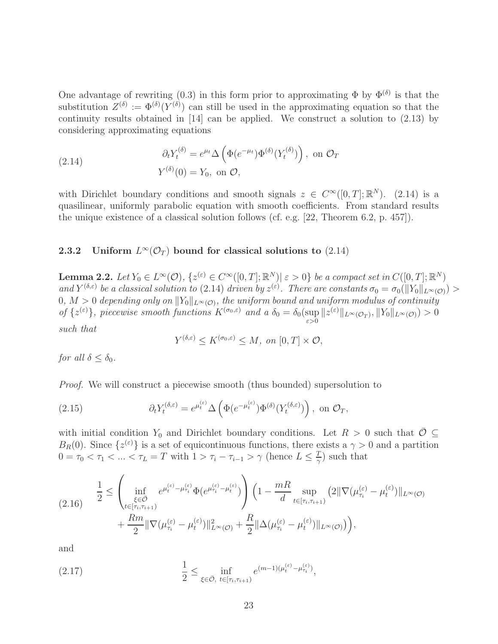One advantage of rewriting (0.3) in this form prior to approximating  $\Phi$  by  $\Phi^{(\delta)}$  is that the substitution  $Z^{(\delta)} := \Phi^{(\delta)}(Y^{(\delta)})$  can still be used in the approximating equation so that the continuity results obtained in [14] can be applied. We construct a solution to (2.13) by considering approximating equations

(2.14) 
$$
\partial_t Y_t^{(\delta)} = e^{\mu_t} \Delta \left( \Phi(e^{-\mu_t}) \Phi^{(\delta)} (Y_t^{(\delta)}) \right), \text{ on } \mathcal{O}_T
$$

$$
Y^{(\delta)}(0) = Y_0, \text{ on } \mathcal{O},
$$

with Dirichlet boundary conditions and smooth signals  $z \in C^{\infty}([0,T];\mathbb{R}^{N})$ . (2.14) is a quasilinear, uniformly parabolic equation with smooth coefficients. From standard results the unique existence of a classical solution follows (cf. e.g. [22, Theorem 6.2, p. 457]).

# 2.3.2 Uniform  $L^{\infty}(\mathcal{O}_T)$  bound for classical solutions to  $(2.14)$

**Lemma 2.2.** Let  $Y_0 \in L^{\infty}(\mathcal{O})$ ,  $\{z^{(\varepsilon)} \in C^{\infty}([0,T];\mathbb{R}^N) | \varepsilon > 0\}$  be a compact set in  $C([0,T];\mathbb{R}^N)$ and  $Y^{(\delta,\varepsilon)}$  be a classical solution to (2.14) driven by  $z^{(\varepsilon)}$ . There are constants  $\sigma_0 = \sigma_0(||Y_0||_{L^{\infty}(\mathcal{O})}) >$  $0, M > 0$  depending only on  $||Y_0||_{L^{\infty}(\mathcal{O})}$ , the uniform bound and uniform modulus of continuity of  $\{z^{(\varepsilon)}\}$ , piecewise smooth functions  $K^{(\sigma_0,\varepsilon)}$  and a  $\delta_0 = \delta_0(\sup_{\varepsilon>0} ||z^{(\varepsilon)}||_{L^{\infty}(\mathcal{O}_T)}, ||Y_0||_{L^{\infty}(\mathcal{O})}) > 0$ such that

$$
Y^{(\delta,\varepsilon)} \leq K^{(\sigma_0,\varepsilon)} \leq M, \text{ on } [0,T] \times \mathcal{O},
$$

for all  $\delta < \delta_0$ .

Proof. We will construct a piecewise smooth (thus bounded) supersolution to

(2.15) 
$$
\partial_t Y_t^{(\delta,\varepsilon)} = e^{\mu_t^{(\varepsilon)}} \Delta \left( \Phi(e^{-\mu_t^{(\varepsilon)}}) \Phi^{(\delta)}(Y_t^{(\delta,\varepsilon)}) \right), \text{ on } \mathcal{O}_T,
$$

with initial condition Y<sub>0</sub> and Dirichlet boundary conditions. Let  $R > 0$  such that  $\overline{\mathcal{O}} \subseteq$  $B_R(0)$ . Since  $\{z^{(\varepsilon)}\}$  is a set of equicontinuous functions, there exists a  $\gamma > 0$  and a partition  $0 = \tau_0 < \tau_1 < \ldots < \tau_L = T$  with  $1 > \tau_i - \tau_{i-1} > \gamma$  (hence  $L \leq \frac{T}{\gamma}$  $(\frac{T}{\gamma})$  such that

$$
(2.16) \qquad \frac{1}{2} \leq \left(\inf_{\substack{\xi \in \bar{\mathcal{O}} \\ t \in [\tau_i, \tau_{i+1})}} e^{\mu_t^{(\varepsilon)} - \mu_{\tau_i}^{(\varepsilon)}} \Phi(e^{\mu_{\tau_i}^{(\varepsilon)} - \mu_t^{(\varepsilon)}}) \right) \left(1 - \frac{mR}{d} \sup_{t \in [\tau_i, \tau_{i+1})} \left(2 \|\nabla(\mu_{\tau_i}^{(\varepsilon)} - \mu_t^{(\varepsilon)})\|_{L^{\infty}(\mathcal{O})} + \frac{Rm}{2} \|\nabla(\mu_{\tau_i}^{(\varepsilon)} - \mu_t^{(\varepsilon)})\|_{L^{\infty}(\mathcal{O})} + \frac{R}{2} \|\Delta(\mu_{\tau_i}^{(\varepsilon)} - \mu_t^{(\varepsilon)})\|_{L^{\infty}(\mathcal{O})} \right),
$$

and

(2.17) 
$$
\frac{1}{2} \leq \inf_{\xi \in \bar{\mathcal{O}}, \ t \in [\tau_i, \tau_{i+1})} e^{(m-1)(\mu_t^{(\varepsilon)} - \mu_{\tau_i}^{(\varepsilon)})},
$$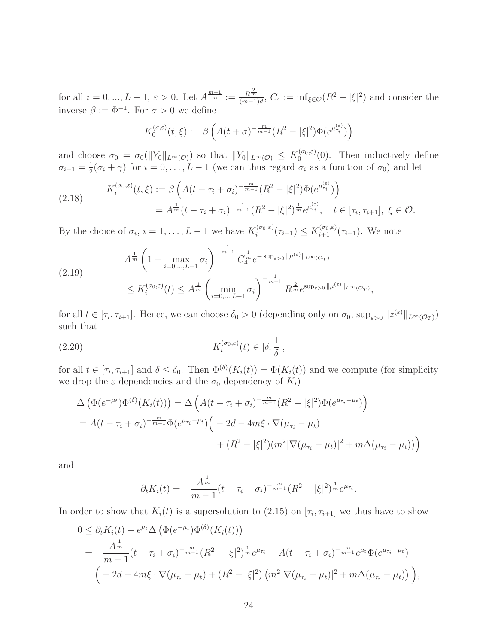for all  $i = 0, ..., L - 1, \varepsilon > 0$ . Let  $A^{\frac{m-1}{m}} := \frac{R^{\frac{2}{m}}}{(m-1)!}$  $\frac{R\overline{m}}{(m-1)d}$ ,  $C_4 := \inf_{\xi \in \mathcal{O}} (R^2 - |\xi|^2)$  and consider the inverse  $\beta := \Phi^{-1}$ . For  $\sigma > 0$  we define

$$
K_0^{(\sigma,\varepsilon)}(t,\xi) := \beta \left( A(t+\sigma)^{-\frac{m}{m-1}} (R^2 - |\xi|^2) \Phi(e^{\mu_{\tau_i}^{(\varepsilon)}}) \right)
$$

and choose  $\sigma_0 = \sigma_0(||Y_0||_{L^{\infty}(\mathcal{O})})$  so that  $||Y_0||_{L^{\infty}(\mathcal{O})} \leq K_0^{(\sigma_0,\varepsilon)}$  $0^{(\sigma_0,\varepsilon)}(0)$ . Then inductively define  $\sigma_{i+1}=\frac{1}{2}$  $\frac{1}{2}(\sigma_i + \gamma)$  for  $i = 0, \ldots, L-1$  (we can thus regard  $\sigma_i$  as a function of  $\sigma_0$ ) and let

$$
(2.18) \t K_i^{(\sigma_0, \varepsilon)}(t, \xi) := \beta \left( A(t - \tau_i + \sigma_i)^{-\frac{m}{m-1}} (R^2 - |\xi|^2) \Phi(e^{\mu_{\tau_i}^{(\varepsilon)}}) \right)
$$
  
=  $A^{\frac{1}{m}} (t - \tau_i + \sigma_i)^{-\frac{1}{m-1}} (R^2 - |\xi|^2)^{\frac{1}{m}} e^{\mu_{\tau_i}^{(\varepsilon)}}, \quad t \in [\tau_i, \tau_{i+1}], \xi \in \mathcal{O}.$ 

By the choice of  $\sigma_i$ ,  $i = 1, \ldots, L-1$  we have  $K_i^{(\sigma_0, \varepsilon)}$  $i^{(\sigma_0,\varepsilon)}(\tau_{i+1}) \leq K_{i+1}^{(\sigma_0,\varepsilon)}(\tau_{i+1}).$  We note

$$
(2.19) \qquad A^{\frac{1}{m}} \left( 1 + \max_{i=0,\dots,L-1} \sigma_i \right)^{-\frac{1}{m-1}} C_4^{\frac{1}{m}} e^{-\sup_{\varepsilon>0} \|\mu^{(\varepsilon)}\|_{L^{\infty}(\mathcal{O}_T)}}
$$
\n
$$
\leq K_i^{(\sigma_0,\varepsilon)}(t) \leq A^{\frac{1}{m}} \left( \min_{i=0,\dots,L-1} \sigma_i \right)^{-\frac{1}{m-1}} R^{\frac{2}{m}} e^{\sup_{\varepsilon>0} \|\mu^{(\varepsilon)}\|_{L^{\infty}(\mathcal{O}_T)}}
$$

for all  $t \in [\tau_i, \tau_{i+1}]$ . Hence, we can choose  $\delta_0 > 0$  (depending only on  $\sigma_0$ ,  $\sup_{\varepsilon > 0} ||z^{(\varepsilon)}||_{L^{\infty}(\mathcal{O}_T)}$ ) such that

,

(2.20) 
$$
K_i^{(\sigma_0,\varepsilon)}(t) \in [\delta, \frac{1}{\delta}],
$$

for all  $t \in [\tau_i, \tau_{i+1}]$  and  $\delta \leq \delta_0$ . Then  $\Phi^{(\delta)}(K_i(t)) = \Phi(K_i(t))$  and we compute (for simplicity we drop the  $\varepsilon$  dependencies and the  $\sigma_0$  dependency of  $K_i$ )

$$
\Delta \left( \Phi(e^{-\mu_t}) \Phi^{(\delta)}(K_i(t)) \right) = \Delta \left( A(t - \tau_i + \sigma_i)^{-\frac{m}{m-1}} (R^2 - |\xi|^2) \Phi(e^{\mu_{\tau_i} - \mu_t}) \right)
$$
  
=  $A(t - \tau_i + \sigma_i)^{-\frac{m}{m-1}} \Phi(e^{\mu_{\tau_i} - \mu_t}) \Big( -2d - 4m\xi \cdot \nabla(\mu_{\tau_i} - \mu_t) + (R^2 - |\xi|^2) (m^2 |\nabla(\mu_{\tau_i} - \mu_t)|^2 + m\Delta(\mu_{\tau_i} - \mu_t)) \Big)$ 

and

$$
\partial_t K_i(t) = -\frac{A^{\frac{1}{m}}}{m-1}(t-\tau_i+\sigma_i)^{-\frac{m}{m-1}}(R^2-|\xi|^2)^{\frac{1}{m}}e^{\mu_{\tau_i}}.
$$

In order to show that  $K_i(t)$  is a supersolution to (2.15) on  $[\tau_i, \tau_{i+1}]$  we thus have to show

$$
0 \leq \partial_t K_i(t) - e^{\mu_t} \Delta \left( \Phi(e^{-\mu_t}) \Phi^{(\delta)}(K_i(t)) \right)
$$
  
= 
$$
-\frac{A^{\frac{1}{m}}}{m-1} (t - \tau_i + \sigma_i)^{-\frac{m}{m-1}} (R^2 - |\xi|^2)^{\frac{1}{m}} e^{\mu \tau_i} - A(t - \tau_i + \sigma_i)^{-\frac{m}{m-1}} e^{\mu t} \Phi(e^{\mu \tau_i - \mu_t})
$$
  

$$
\left( -2d - 4m\xi \cdot \nabla(\mu_{\tau_i} - \mu_t) + (R^2 - |\xi|^2) (m^2 |\nabla(\mu_{\tau_i} - \mu_t)|^2 + m \Delta(\mu_{\tau_i} - \mu_t)) \right),
$$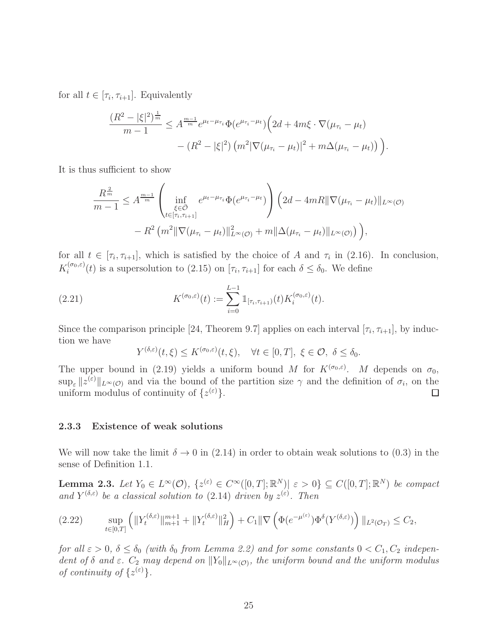for all  $t \in [\tau_i, \tau_{i+1}]$ . Equivalently

$$
\frac{(R^2 - |\xi|^2)^{\frac{1}{m}}}{m-1} \leq A^{\frac{m-1}{m}} e^{\mu_t - \mu_{\tau_i}} \Phi(e^{\mu_{\tau_i} - \mu_t}) \Big( 2d + 4m\xi \cdot \nabla(\mu_{\tau_i} - \mu_t) - (R^2 - |\xi|^2) \left( m^2 |\nabla(\mu_{\tau_i} - \mu_t)|^2 + m \Delta(\mu_{\tau_i} - \mu_t) \right) \Big).
$$

It is thus sufficient to show

$$
\frac{R^{\frac{2}{m}}}{m-1} \leq A^{\frac{m-1}{m}} \left( \inf_{\substack{\xi \in \bar{\mathcal{O}} \\ t \in [\tau_i, \tau_{i+1}]} } e^{\mu_t - \mu_{\tau_i}} \Phi(e^{\mu_{\tau_i} - \mu_t}) \right) \left( 2d - 4mR \|\nabla(\mu_{\tau_i} - \mu_t)\|_{L^{\infty}(\mathcal{O})} \right) \n- R^2 \left( m^2 \|\nabla(\mu_{\tau_i} - \mu_t)\|_{L^{\infty}(\mathcal{O})}^2 + m \|\Delta(\mu_{\tau_i} - \mu_t)\|_{L^{\infty}(\mathcal{O})} \right),
$$

for all  $t \in [\tau_i, \tau_{i+1}]$ , which is satisfied by the choice of A and  $\tau_i$  in (2.16). In conclusion,  $K_i^{(\sigma_0,\varepsilon)}$  $\sum_{i=1}^{\lfloor \sigma_0, \varepsilon \rfloor}(t)$  is a supersolution to  $(2.15)$  on  $[\tau_i, \tau_{i+1}]$  for each  $\delta \leq \delta_0$ . We define

(2.21) 
$$
K^{(\sigma_0,\varepsilon)}(t) := \sum_{i=0}^{L-1} \mathbb{1}_{[\tau_i,\tau_{i+1})}(t) K_i^{(\sigma_0,\varepsilon)}(t).
$$

Since the comparison principle [24, Theorem 9.7] applies on each interval  $[\tau_i, \tau_{i+1}]$ , by induction we have

$$
Y^{(\delta,\varepsilon)}(t,\xi) \leq K^{(\sigma_0,\varepsilon)}(t,\xi), \quad \forall t \in [0,T], \ \xi \in \mathcal{O}, \ \delta \leq \delta_0.
$$

The upper bound in (2.19) yields a uniform bound M for  $K^{(\sigma_0,\varepsilon)}$ . M depends on  $\sigma_0$ ,  $\sup_{\varepsilon} ||z^{(\varepsilon)}||_{L^{\infty}(\mathcal{O})}$  and via the bound of the partition size  $\gamma$  and the definition of  $\sigma_i$ , on the uniform modulus of continuity of  $\{z^{(\varepsilon)}\}.$  $\Box$ 

#### 2.3.3 Existence of weak solutions

We will now take the limit  $\delta \to 0$  in (2.14) in order to obtain weak solutions to (0.3) in the sense of Definition 1.1.

**Lemma 2.3.** Let  $Y_0 \in L^{\infty}(\mathcal{O})$ ,  $\{z^{(\varepsilon)} \in C^{\infty}([0,T];\mathbb{R}^N) | \varepsilon > 0\} \subseteq C([0,T];\mathbb{R}^N)$  be compact and  $Y^{(\delta,\varepsilon)}$  be a classical solution to (2.14) driven by  $z^{(\varepsilon)}$ . Then

$$
(2.22) \qquad \sup_{t\in[0,T]} \left( \|Y_t^{(\delta,\varepsilon)}\|_{m+1}^{m+1} + \|Y_t^{(\delta,\varepsilon)}\|_H^2 \right) + C_1 \|\nabla \left(\Phi(e^{-\mu^{(\varepsilon)}})\Phi^\delta(Y^{(\delta,\varepsilon)})\right)\|_{L^2(\mathcal{O}_T)} \leq C_2,
$$

for all  $\varepsilon > 0$ ,  $\delta \leq \delta_0$  (with  $\delta_0$  from Lemma 2.2) and for some constants  $0 < C_1, C_2$  independent of  $\delta$  and  $\varepsilon$ .  $C_2$  may depend on  $||Y_0||_{L^{\infty}(\mathcal{O})}$ , the uniform bound and the uniform modulus of continuity of  $\{z^{(\varepsilon)}\}.$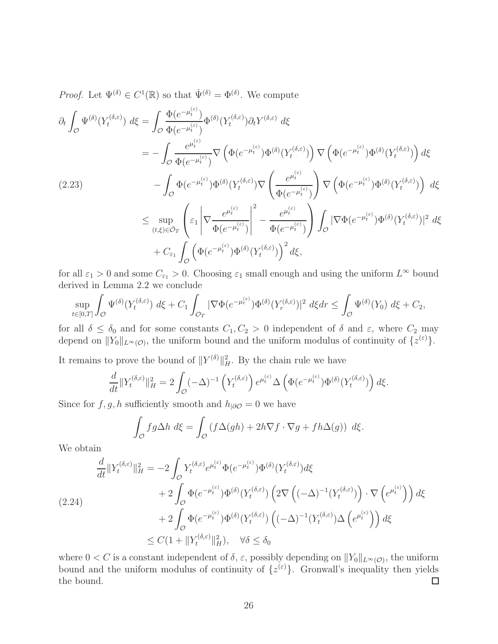*Proof.* Let  $\Psi^{(\delta)} \in C^1(\mathbb{R})$  so that  $\dot{\Psi}^{(\delta)} = \Phi^{(\delta)}$ . We compute

$$
\partial_t \int_{\mathcal{O}} \Psi^{(\delta)}(Y_t^{(\delta,\varepsilon)}) d\xi = \int_{\mathcal{O}} \frac{\Phi(e^{-\mu_t^{(\varepsilon)}})}{\Phi(e^{-\mu_t^{(\varepsilon)}})} \Phi^{(\delta)}(Y_t^{(\delta,\varepsilon)}) \partial_t Y^{(\delta,\varepsilon)} d\xi
$$
\n
$$
= -\int_{\mathcal{O}} \frac{e^{\mu_t^{(\varepsilon)}}}{\Phi(e^{-\mu_t^{(\varepsilon)}})} \nabla \left(\Phi(e^{-\mu_t^{(\varepsilon)}}) \Phi^{(\delta)}(Y_t^{(\delta,\varepsilon)})\right) \nabla \left(\Phi(e^{-\mu_t^{(\varepsilon)}}) \Phi^{(\delta)}(Y_t^{(\delta,\varepsilon)})\right) d\xi
$$
\n
$$
- \int_{\mathcal{O}} \Phi(e^{-\mu_t^{(\varepsilon)}}) \Phi^{(\delta)}(Y_t^{(\delta,\varepsilon)}) \nabla \left(\frac{e^{\mu_t^{(\varepsilon)}}}{\Phi(e^{-\mu_t^{(\varepsilon)}})}\right) \nabla \left(\Phi(e^{-\mu_t^{(\varepsilon)}}) \Phi^{(\delta)}(Y_t^{(\delta,\varepsilon)})\right) d\xi
$$
\n
$$
\leq \sup_{(t,\xi)\in\bar{\mathcal{O}}_T} \left(\varepsilon_1 \left|\nabla \frac{e^{\mu_t^{(\varepsilon)}}}{\Phi(e^{-\mu_t^{(\varepsilon)}})}\right|^2 - \frac{e^{\mu_t^{(\varepsilon)}}}{\Phi(e^{-\mu_t^{(\varepsilon)}})}\right) \int_{\mathcal{O}} |\nabla \Phi(e^{-\mu_t^{(\varepsilon)}}) \Phi^{(\delta)}(Y_t^{(\delta,\varepsilon)})|^2 d\xi
$$
\n
$$
+ C_{\varepsilon_1} \int_{\mathcal{O}} \left(\Phi(e^{-\mu_t^{(\varepsilon)}}) \Phi^{(\delta)}(Y_t^{(\delta,\varepsilon)})\right)^2 d\xi,
$$

for all  $\varepsilon_1 > 0$  and some  $C_{\varepsilon_1} > 0$ . Choosing  $\varepsilon_1$  small enough and using the uniform  $L^{\infty}$  bound derived in Lemma 2.2 we conclude

$$
\sup_{t\in[0,T]}\int_{\mathcal{O}}\Psi^{(\delta)}(Y_t^{(\delta,\varepsilon)})\,d\xi+C_1\int_{\mathcal{O}_T}|\nabla\Phi(e^{-\mu_r^{(\varepsilon)}})\Phi^{(\delta)}(Y_r^{(\delta,\varepsilon)})|^2\,d\xi dr\leq\int_{\mathcal{O}}\Psi^{(\delta)}(Y_0)\,d\xi+C_2,
$$

for all  $\delta \leq \delta_0$  and for some constants  $C_1, C_2 > 0$  independent of  $\delta$  and  $\varepsilon$ , where  $C_2$  may depend on  $||Y_0||_{L^{\infty}(\mathcal{O})}$ , the uniform bound and the uniform modulus of continuity of  $\{z^{(\varepsilon)}\}$ .

It remains to prove the bound of  $||Y^{(\delta)}||_H^2$ . By the chain rule we have

$$
\frac{d}{dt} ||Y_t^{(\delta,\varepsilon)}||_H^2 = 2 \int_{\mathcal{O}} (-\Delta)^{-1} \left( Y_t^{(\delta,\varepsilon)} \right) e^{\mu_t^{(\varepsilon)}} \Delta \left( \Phi(e^{-\mu_t^{(\varepsilon)}}) \Phi^{(\delta)}(Y_t^{(\delta,\varepsilon)}) \right) d\xi.
$$

Since for f, g, h sufficiently smooth and  $h_{|\partial\mathcal{O}} = 0$  we have

$$
\int_{\mathcal{O}} f g \Delta h \, d\xi = \int_{\mathcal{O}} \left( f \Delta(gh) + 2h \nabla f \cdot \nabla g + fh \Delta(g) \right) \, d\xi.
$$

We obtain

$$
\frac{d}{dt} ||Y_t^{(\delta,\varepsilon)}||_H^2 = -2 \int_{\mathcal{O}} Y_t^{(\delta,\varepsilon)} e^{\mu_t^{(\varepsilon)}} \Phi(e^{-\mu_t^{(\varepsilon)}}) \Phi^{(\delta)}(Y_t^{(\delta,\varepsilon)}) d\xi \n+ 2 \int_{\mathcal{O}} \Phi(e^{-\mu_t^{(\varepsilon)}}) \Phi^{(\delta)}(Y_t^{(\delta,\varepsilon)}) \left(2\nabla \left((-\Delta)^{-1}(Y_t^{(\delta,\varepsilon)})\right) \cdot \nabla \left(e^{\mu_t^{(\varepsilon)}}\right)\right) d\xi \n+ 2 \int_{\mathcal{O}} \Phi(e^{-\mu_t^{(\varepsilon)}}) \Phi^{(\delta)}(Y_t^{(\delta,\varepsilon)}) \left((-\Delta)^{-1}(Y_t^{(\delta,\varepsilon)}) \Delta \left(e^{\mu_t^{(\varepsilon)}}\right)\right) d\xi \n\leq C(1 + ||Y_t^{(\delta,\varepsilon)}||_H^2), \quad \forall \delta \leq \delta_0
$$

where  $0 < C$  is a constant independent of  $\delta$ ,  $\varepsilon$ , possibly depending on  $||Y_0||_{L^{\infty}(\mathcal{O})}$ , the uniform bound and the uniform modulus of continuity of  $\{z^{(\varepsilon)}\}$ . Gronwall's inequality then yields the bound.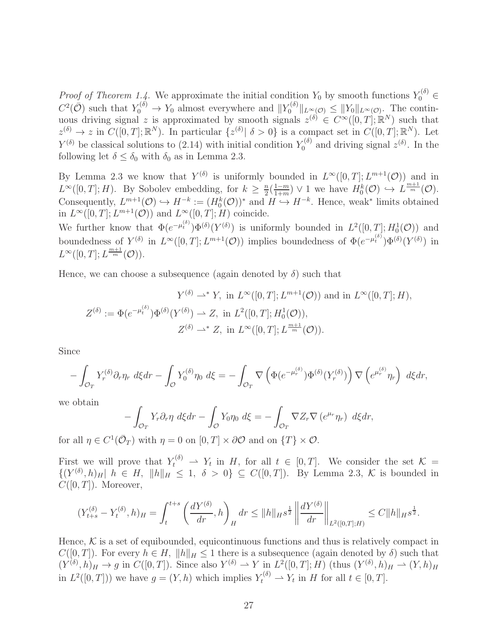Proof of Theorem 1.4. We approximate the initial condition  $Y_0$  by smooth functions  $Y_0^{(\delta)} \in$  $C^2(\bar{\mathcal{O}})$  such that  $Y_0^{(\delta)} \to Y_0$  almost everywhere and  $||Y_0^{(\delta)}||$  $\mathcal{L}_{0}^{(0)}\|_{L^{\infty}(\mathcal{O})} \leq \|Y_{0}\|_{L^{\infty}(\mathcal{O})}$ . The continuous driving signal z is approximated by smooth signals  $z^{(\delta)} \in C^{\infty}([0,T];\mathbb{R}^N)$  such that  $z^{(\delta)} \to z$  in  $C([0,T];\mathbb{R}^N)$ . In particular  $\{z^{(\delta)} | \delta > 0\}$  is a compact set in  $C([0,T];\mathbb{R}^N)$ . Let  $Y^{(\delta)}$  be classical solutions to (2.14) with initial condition  $Y_0^{(\delta)}$  $z^{(\delta)}$  and driving signal  $z^{(\delta)}$ . In the following let  $\delta \leq \delta_0$  with  $\delta_0$  as in Lemma 2.3.

By Lemma 2.3 we know that  $Y^{(\delta)}$  is uniformly bounded in  $L^{\infty}([0,T]; L^{m+1}(\mathcal{O}))$  and in  $L^{\infty}([0,T];H)$ . By Sobolev embedding, for  $k \geq \frac{n}{2}$  $\frac{n}{2}(\frac{1-m}{1+m}$  $\frac{1-m}{1+m}$   $\vee$  1 we have  $H_0^k(\mathcal{O}) \hookrightarrow L^{\frac{m+1}{m}}(\mathcal{O})$ . Consequently,  $L^{m+1}(\mathcal{O}) \hookrightarrow H^{-k} := (H_0^k(\mathcal{O}))^*$  and  $H \hookrightarrow H^{-k}$ . Hence, weak\* limits obtained in  $L^{\infty}([0,T]; L^{m+1}(\mathcal{O}))$  and  $L^{\infty}([0,T]; H)$  coincide.

We further know that  $\Phi(e^{-\mu_t^{(\delta)}})\Phi^{(\delta)}(Y^{(\delta)})$  is uniformly bounded in  $L^2([0,T];H_0^1(\mathcal{O}))$  and boundedness of  $Y^{(\delta)}$  in  $L^{\infty}([0,T]; L^{m+1}(\mathcal{O}))$  implies boundedness of  $\Phi(e^{-\mu_t^{(\delta)}})\Phi^{(\delta)}(Y^{(\delta)})$  in  $L^{\infty}([0,T];L^{\frac{m+1}{m}}(\mathcal{O})).$ 

Hence, we can choose a subsequence (again denoted by  $\delta$ ) such that

$$
Y^{(\delta)} \rightharpoonup^* Y, \text{ in } L^{\infty}([0, T]; L^{m+1}(\mathcal{O})) \text{ and in } L^{\infty}([0, T]; H),
$$
  

$$
Z^{(\delta)} := \Phi(e^{-\mu_t^{(\delta)}}) \Phi^{(\delta)}(Y^{(\delta)}) \rightharpoonup Z, \text{ in } L^2([0, T]; H_0^1(\mathcal{O})),
$$
  

$$
Z^{(\delta)} \rightharpoonup^* Z, \text{ in } L^{\infty}([0, T]; L^{\frac{m+1}{m}}(\mathcal{O})).
$$

Since

$$
-\int_{\mathcal{O}_T} Y_r^{(\delta)} \partial_r \eta_r d\xi dr - \int_{\mathcal{O}} Y_0^{(\delta)} \eta_0 d\xi = -\int_{\mathcal{O}_T} \nabla \left( \Phi(e^{-\mu_r^{(\delta)}}) \Phi^{(\delta)}(Y_r^{(\delta)}) \right) \nabla \left( e^{\mu_r^{(\delta)}} \eta_r \right) d\xi dr,
$$

we obtain

$$
-\int_{\mathcal{O}_T} Y_r \partial_r \eta \, d\xi dr - \int_{\mathcal{O}} Y_0 \eta_0 \, d\xi = -\int_{\mathcal{O}_T} \nabla Z_r \nabla \left( e^{\mu_r} \eta_r \right) \, d\xi dr,
$$

for all  $\eta \in C^1(\bar{\mathcal{O}}_T)$  with  $\eta = 0$  on  $[0, T] \times \partial \mathcal{O}$  and on  $\{T\} \times \mathcal{O}$ .

First we will prove that  $Y_t^{(\delta)} \rightharpoonup Y_t$  in H, for all  $t \in [0,T]$ . We consider the set  $\mathcal{K} =$  $\{(Y^{(\delta)}, h)_H \vert h \in H, \Vert h \Vert_H \leq 1, \delta > 0\} \subseteq C([0, T]).$  By Lemma 2.3, K is bounded in  $C([0,T])$ . Moreover,

$$
(Y_{t+s}^{(\delta)} - Y_t^{(\delta)}, h)_H = \int_t^{t+s} \left(\frac{dY^{(\delta)}}{dr}, h\right)_H dr \le ||h||_H s^{\frac{1}{2}} \left\| \frac{dY^{(\delta)}}{dr} \right\|_{L^2([0,T];H)} \le C ||h||_H s^{\frac{1}{2}}.
$$

Hence,  $K$  is a set of equibounded, equicontinuous functions and thus is relatively compact in  $C([0,T])$ . For every  $h \in H$ ,  $||h||_H \leq 1$  there is a subsequence (again denoted by  $\delta$ ) such that  $(Y^{(\delta)}, h)_H \to g$  in  $C([0, T])$ . Since also  $Y^{(\delta)} \to Y$  in  $L^2([0, T]; H)$  (thus  $(Y^{(\delta)}, h)_H \to (Y, h)_H$ in  $L^2([0,T])$ ) we have  $g = (Y,h)$  which implies  $Y_t^{(\delta)} \rightharpoonup Y_t$  in H for all  $t \in [0,T]$ .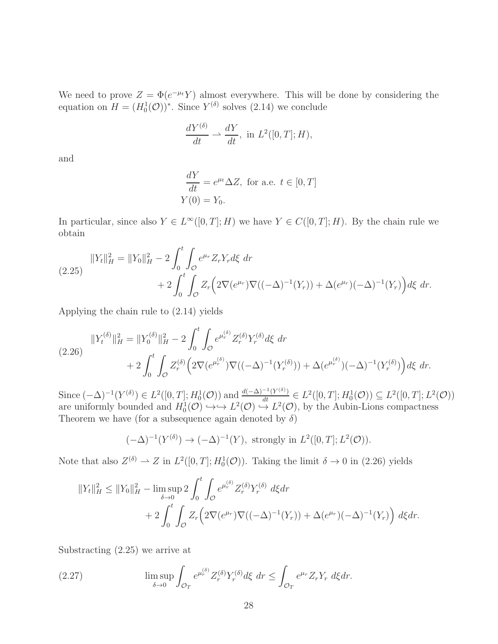We need to prove  $Z = \Phi(e^{-\mu t} Y)$  almost everywhere. This will be done by considering the equation on  $H = (H_0^1(\mathcal{O}))^*$ . Since  $Y^{(\delta)}$  solves (2.14) we conclude

$$
\frac{dY^{(\delta)}}{dt} \rightharpoonup \frac{dY}{dt}, \text{ in } L^2([0,T]; H),
$$

and

$$
\frac{dY}{dt} = e^{\mu t} \Delta Z, \text{ for a.e. } t \in [0, T]
$$
  
 
$$
Y(0) = Y_0.
$$

In particular, since also  $Y \in L^{\infty}([0,T];H)$  we have  $Y \in C([0,T];H)$ . By the chain rule we obtain

$$
||Y_t||_H^2 = ||Y_0||_H^2 - 2 \int_0^t \int_{\mathcal{O}} e^{\mu_r} Z_r Y_r d\xi \, dr
$$
  
+ 
$$
2 \int_0^t \int_{\mathcal{O}} Z_r \Big( 2 \nabla (e^{\mu_r}) \nabla ((-\Delta)^{-1}(Y_r)) + \Delta (e^{\mu_r}) (-\Delta)^{-1}(Y_r) \Big) d\xi \, dr.
$$

Applying the chain rule to (2.14) yields

$$
||Y_t^{(\delta)}||_H^2 = ||Y_0^{(\delta)}||_H^2 - 2 \int_0^t \int_{\mathcal{O}} e^{\mu_r^{(\delta)}} Z_r^{(\delta)} Y_r^{(\delta)} d\xi \, dr
$$
  
+ 
$$
2 \int_0^t \int_{\mathcal{O}} Z_r^{(\delta)} \Big( 2 \nabla (e^{\mu_r^{(\delta)}}) \nabla ((-\Delta)^{-1} (Y_r^{(\delta)})) + \Delta (e^{\mu_r^{(\delta)}}) (-\Delta)^{-1} (Y_r^{(\delta)}) \Big) d\xi \, dr.
$$

Since  $(-\Delta)^{-1}(Y^{(\delta)}) \in L^2([0,T]; H_0^1(\mathcal{O}))$  and  $\frac{d(-\Delta)^{-1}(Y^{(\delta)})}{dt} \in L^2([0,T]; H_0^1(\mathcal{O})) \subseteq L^2([0,T]; L^2(\mathcal{O}))$ are uniformly bounded and  $H_0^1(\mathcal{O}) \hookrightarrow L^2(\mathcal{O}) \hookrightarrow L^2(\mathcal{O})$ , by the Aubin-Lions compactness Theorem we have (for a subsequence again denoted by  $\delta$ )

$$
(-\Delta)^{-1}(Y^{(\delta)}) \to (-\Delta)^{-1}(Y), \text{ strongly in } L^2([0,T]; L^2(\mathcal{O})).
$$

Note that also  $Z^{(\delta)} \to Z$  in  $L^2([0,T]; H_0^1(\mathcal{O}))$ . Taking the limit  $\delta \to 0$  in (2.26) yields

$$
||Y_t||_H^2 \le ||Y_0||_H^2 - \limsup_{\delta \to 0} 2 \int_0^t \int_{\mathcal{O}} e^{\mu_r^{(\delta)}} Z_r^{(\delta)} Y_r^{(\delta)} d\xi dr
$$
  
+ 
$$
2 \int_0^t \int_{\mathcal{O}} Z_r \left( 2 \nabla (e^{\mu_r}) \nabla ((-\Delta)^{-1} (Y_r)) + \Delta (e^{\mu_r}) (-\Delta)^{-1} (Y_r) \right) d\xi dr.
$$

Substracting (2.25) we arrive at

(2.27) 
$$
\limsup_{\delta \to 0} \int_{\mathcal{O}_T} e^{\mu_r^{(\delta)}} Z_r^{(\delta)} Y_r^{(\delta)} d\xi \, dr \leq \int_{\mathcal{O}_T} e^{\mu_r} Z_r Y_r \, d\xi dr.
$$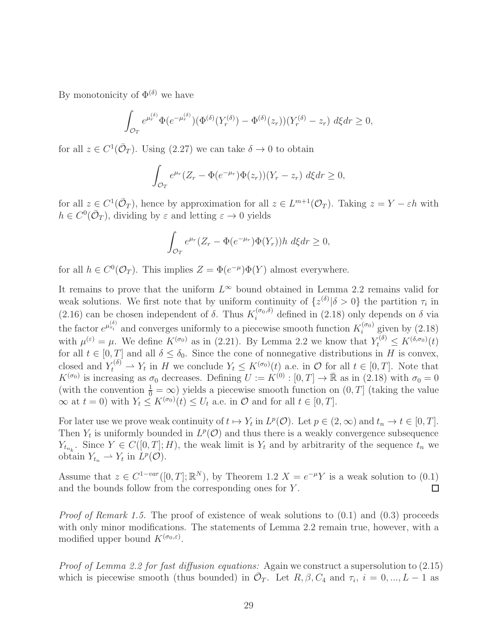By monotonicity of  $\Phi^{(\delta)}$  we have

$$
\int_{\mathcal{O}_T} e^{\mu_r^{(\delta)}} \Phi(e^{-\mu_r^{(\delta)}}) (\Phi^{(\delta)}(Y_r^{(\delta)}) - \Phi^{(\delta)}(z_r)) (Y_r^{(\delta)} - z_r) d\xi dr \ge 0,
$$

for all  $z \in C^1(\bar{\mathcal{O}}_T)$ . Using  $(2.27)$  we can take  $\delta \to 0$  to obtain

$$
\int_{\mathcal{O}_T} e^{\mu_r} (Z_r - \Phi(e^{-\mu_r}) \Phi(z_r)) (Y_r - z_r) d\xi dr \ge 0,
$$

for all  $z \in C^1(\bar{\mathcal{O}}_T)$ , hence by approximation for all  $z \in L^{m+1}(\mathcal{O}_T)$ . Taking  $z = Y - \varepsilon h$  with  $h \in C^0(\bar{\mathcal{O}}_T)$ , dividing by  $\varepsilon$  and letting  $\varepsilon \to 0$  yields

$$
\int_{\mathcal{O}_T} e^{\mu_r} (Z_r - \Phi(e^{-\mu_r}) \Phi(Y_r)) h \ d\xi dr \ge 0,
$$

for all  $h \in C^0(\mathcal{O}_T)$ . This implies  $Z = \Phi(e^{-\mu})\Phi(Y)$  almost everywhere.

It remains to prove that the uniform  $L^{\infty}$  bound obtained in Lemma 2.2 remains valid for weak solutions. We first note that by uniform continuity of  $\{z^{(\delta)} | \delta > 0\}$  the partition  $\tau_i$  in (2.16) can be chosen independent of  $\delta$ . Thus  $K_i^{(\sigma_0,\delta)}$  defined in (2.18) only depends on  $\delta$  via the factor  $e^{\mu_{\tau_i}^{(\delta)}}$  and converges uniformly to a piecewise smooth function  $K_i^{(\sigma_0)}$  $i^{(\sigma_0)}$  given by  $(2.18)$ with  $\mu^{(\varepsilon)} = \mu$ . We define  $K^{(\sigma_0)}$  as in (2.21). By Lemma 2.2 we know that  $Y_t^{(\delta)} \le K^{(\delta,\sigma_0)}(t)$ for all  $t \in [0, T]$  and all  $\delta < \delta_0$ . Since the cone of nonnegative distributions in H is convex, closed and  $Y_t^{(\delta)} \rightharpoonup Y_t$  in H we conclude  $Y_t \leq K^{(\sigma_0)}(t)$  a.e. in  $\mathcal{O}$  for all  $t \in [0, T]$ . Note that  $K^{(\sigma_0)}$  is increasing as  $\sigma_0$  decreases. Defining  $U := K^{(0)} : [0, T] \to \mathbb{R}$  as in (2.18) with  $\sigma_0 = 0$ (with the convention  $\frac{1}{0} = \infty$ ) yields a piecewise smooth function on  $(0, T]$  (taking the value  $\infty$  at  $t = 0$ ) with  $Y_t \leq K^{(\sigma_0)}(t) \leq U_t$  a.e. in  $\mathcal O$  and for all  $t \in [0, T]$ .

For later use we prove weak continuity of  $t \mapsto Y_t$  in  $L^p(\mathcal{O})$ . Let  $p \in (2,\infty)$  and  $t_n \to t \in [0,T]$ . Then  $Y_t$  is uniformly bounded in  $L^p(\mathcal{O})$  and thus there is a weakly convergence subsequence  $Y_{t_{n_k}}$ . Since  $Y \in C([0,T]; H)$ , the weak limit is  $Y_t$  and by arbitrarity of the sequence  $t_n$  we obtain  $Y_{t_n} \rightharpoonup Y_t$  in  $L^p(\mathcal{O})$ .

Assume that  $z \in C^{1-var}([0,T]; \mathbb{R}^N)$ , by Theorem 1.2  $X = e^{-\mu}Y$  is a weak solution to  $(0.1)$ and the bounds follow from the corresponding ones for Y .  $\Box$ 

Proof of Remark 1.5. The proof of existence of weak solutions to  $(0.1)$  and  $(0.3)$  proceeds with only minor modifications. The statements of Lemma 2.2 remain true, however, with a modified upper bound  $K^{(\sigma_0,\varepsilon)}$ .

Proof of Lemma 2.2 for fast diffusion equations: Again we construct a supersolution to  $(2.15)$ which is piecewise smooth (thus bounded) in  $\overline{\mathcal{O}}_T$ . Let  $R, \beta, C_4$  and  $\tau_i$ ,  $i = 0, ..., L - 1$  as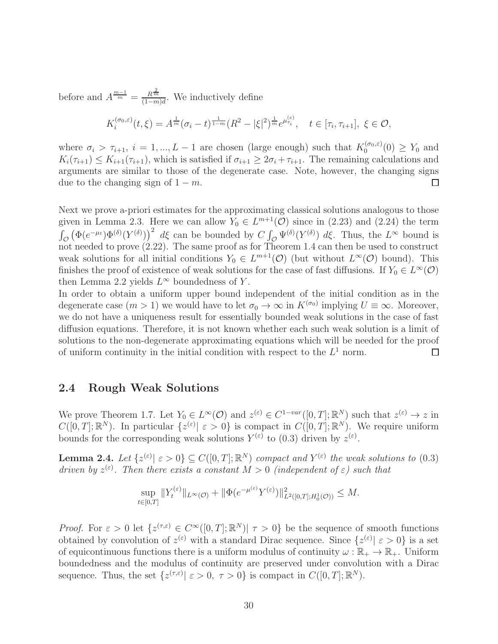before and  $A^{\frac{m-1}{m}} = \frac{R^{\frac{2}{m}}}{(1-m)!}$  $\frac{R^m}{(1-m)d}$ . We inductively define

$$
K_i^{(\sigma_0,\varepsilon)}(t,\xi) = A^{\frac{1}{m}}(\sigma_i-t)^{\frac{1}{1-m}}(R^2-|\xi|^2)^{\frac{1}{m}}e^{\mu_{\tau_i}^{(\varepsilon)}}, \quad t \in [\tau_i, \tau_{i+1}], \ \xi \in \mathcal{O},
$$

where  $\sigma_i > \tau_{i+1}, i = 1, ..., L-1$  are chosen (large enough) such that  $K_0^{(\sigma_0,\varepsilon)}$  $\binom{(0, \varepsilon)}{0}$  (0)  $\geq Y_0$  and  $K_i(\tau_{i+1}) \leq K_{i+1}(\tau_{i+1}),$  which is satisfied if  $\sigma_{i+1} \geq 2\sigma_i + \tau_{i+1}.$  The remaining calculations and arguments are similar to those of the degenerate case. Note, however, the changing signs due to the changing sign of  $1 - m$ .  $\Box$ 

Next we prove a-priori estimates for the approximating classical solutions analogous to those given in Lemma 2.3. Here we can allow  $Y_0 \in L^{m+1}(\mathcal{O})$  since in (2.23) and (2.24) the term  $\int_{\mathcal{O}} (\Phi(e^{-\mu_t}) \Phi^{(\delta)}(Y^{(\delta)}))^2 d\xi$  can be bounded by  $C \int_{\mathcal{O}} \Psi^{(\delta)}(Y^{(\delta)}) d\xi$ . Thus, the  $L^{\infty}$  bound is not needed to prove (2.22). The same proof as for Theorem 1.4 can then be used to construct weak solutions for all initial conditions  $Y_0 \in L^{m+1}(\mathcal{O})$  (but without  $L^{\infty}(\mathcal{O})$  bound). This finishes the proof of existence of weak solutions for the case of fast diffusions. If  $Y_0 \in L^{\infty}(\mathcal{O})$ then Lemma 2.2 yields  $L^{\infty}$  boundedness of Y.

In order to obtain a uniform upper bound independent of the initial condition as in the degenerate case  $(m > 1)$  we would have to let  $\sigma_0 \to \infty$  in  $K^{(\sigma_0)}$  implying  $U \equiv \infty$ . Moreover, we do not have a uniqueness result for essentially bounded weak solutions in the case of fast diffusion equations. Therefore, it is not known whether each such weak solution is a limit of solutions to the non-degenerate approximating equations which will be needed for the proof of uniform continuity in the initial condition with respect to the  $L^1$  norm.  $\Box$ 

# 2.4 Rough Weak Solutions

We prove Theorem 1.7. Let  $Y_0 \in L^{\infty}(\mathcal{O})$  and  $z^{(\varepsilon)} \in C^{1-var}([0,T]; \mathbb{R}^N)$  such that  $z^{(\varepsilon)} \to z$  in  $C([0,T];\mathbb{R}^N)$ . In particular  $\{z^{(\varepsilon)} | \varepsilon > 0\}$  is compact in  $C([0,T];\mathbb{R}^N)$ . We require uniform bounds for the corresponding weak solutions  $Y^{(\varepsilon)}$  to (0.3) driven by  $z^{(\varepsilon)}$ .

**Lemma 2.4.** Let  $\{z^{(\varepsilon)} | \varepsilon > 0\} \subseteq C([0,T];\mathbb{R}^N)$  compact and  $Y^{(\varepsilon)}$  the weak solutions to (0.3) driven by  $z^{(\varepsilon)}$ . Then there exists a constant  $M > 0$  (independent of  $\varepsilon$ ) such that

$$
\sup_{t\in[0,T]}\|Y_t^{(\varepsilon)}\|_{L^{\infty}(\mathcal{O})}+\|\Phi(e^{-\mu^{(\varepsilon)}}Y^{(\varepsilon)})\|_{L^2([0,T];H_0^1(\mathcal{O}))}^2\leq M.
$$

*Proof.* For  $\varepsilon > 0$  let  $\{z^{(\tau,\varepsilon)} \in C^{\infty}([0,T];\mathbb{R}^N) | \tau > 0\}$  be the sequence of smooth functions obtained by convolution of  $z^{(\varepsilon)}$  with a standard Dirac sequence. Since  $\{z^{(\varepsilon)} | \varepsilon > 0\}$  is a set of equicontinuous functions there is a uniform modulus of continuity  $\omega : \mathbb{R}_+ \to \mathbb{R}_+$ . Uniform boundedness and the modulus of continuity are preserved under convolution with a Dirac sequence. Thus, the set  $\{z^{(\tau,\varepsilon)} | \varepsilon > 0, \tau > 0\}$  is compact in  $C([0,T];\mathbb{R}^N)$ .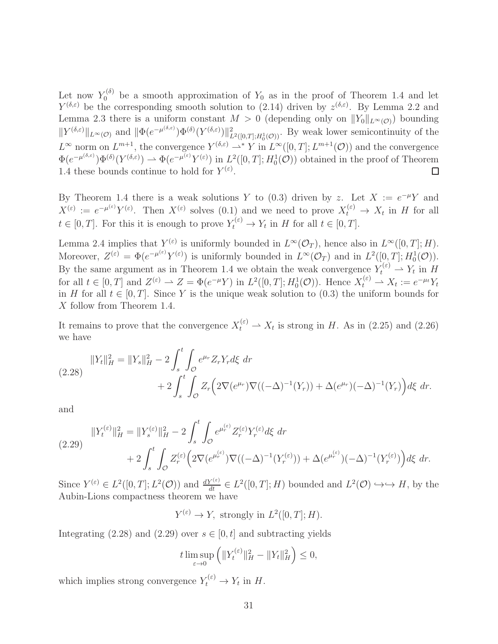Let now  $Y_0^{(\delta)}$  be a smooth approximation of  $Y_0$  as in the proof of Theorem 1.4 and let  $Y^{(\delta,\varepsilon)}$  be the corresponding smooth solution to (2.14) driven by  $z^{(\delta,\varepsilon)}$ . By Lemma 2.2 and Lemma 2.3 there is a uniform constant  $M > 0$  (depending only on  $||Y_0||_{L^{\infty}(\mathcal{O})}$ ) bounding  $||Y^{(\delta,\varepsilon)}||_{L^{\infty}(\mathcal{O})}$  and  $||\Phi(e^{-\mu^{(\delta,\varepsilon)}})\Phi^{(\delta)}(Y^{(\delta,\varepsilon)})||_{L^{2}([0,T];H_0^1(\mathcal{O}))}^2$ . By weak lower semicontinuity of the  $L^{\infty}$  norm on  $L^{m+1}$ , the convergence  $Y^{(\delta,\varepsilon)} \rightharpoonup^* Y$  in  $L^{\infty}([0,T]; L^{m+1}(\mathcal{O}))$  and the convergence  $\Phi(e^{-\mu^{(\delta,\varepsilon)}})\Phi^{(\delta)}(Y^{(\delta,\varepsilon)}) \rightharpoonup \Phi(e^{-\mu^{(\varepsilon)}}Y^{(\varepsilon)})$  in  $L^2([0,T];H_0^1(\mathcal{O}))$  obtained in the proof of Theorem 1.4 these bounds continue to hold for  $Y^{(\varepsilon)}$ .

By Theorem 1.4 there is a weak solutions Y to (0.3) driven by z. Let  $X := e^{-\mu}Y$  and  $X^{(\varepsilon)} := e^{-\mu^{(\varepsilon)}} Y^{(\varepsilon)}$ . Then  $X^{(\varepsilon)}$  solves  $(0.1)$  and we need to prove  $X_t^{(\varepsilon)} \to X_t$  in H for all  $t \in [0, T]$ . For this it is enough to prove  $Y_t^{(\varepsilon)} \to Y_t$  in H for all  $t \in [0, T]$ .

Lemma 2.4 implies that  $Y^{(\varepsilon)}$  is uniformly bounded in  $L^{\infty}(\mathcal{O}_T)$ , hence also in  $L^{\infty}([0,T];H)$ . Moreover,  $Z^{(\varepsilon)} = \Phi(e^{-\mu^{(\varepsilon)}} Y^{(\varepsilon)})$  is uniformly bounded in  $L^{\infty}(\mathcal{O}_T)$  and in  $L^2([0,T]; H_0^1(\mathcal{O}))$ . By the same argument as in Theorem 1.4 we obtain the weak convergence  $Y_t^{(\varepsilon)} \rightharpoonup Y_t$  in H for all  $t \in [0, T]$  and  $Z^{(\varepsilon)} \rightharpoonup Z = \Phi(e^{-\mu}Y)$  in  $L^2([0, T]; H_0^1(\mathcal{O}))$ . Hence  $X_t^{(\varepsilon)} \rightharpoonup X_t := e^{-\mu_t}Y_t$ in H for all  $t \in [0, T]$ . Since Y is the unique weak solution to (0.3) the uniform bounds for X follow from Theorem 1.4.

It remains to prove that the convergence  $X_t^{(\varepsilon)} \rightharpoonup X_t$  is strong in H. As in (2.25) and (2.26) we have

$$
||Y_t||_H^2 = ||Y_s||_H^2 - 2\int_s^t \int_{\mathcal{O}} e^{\mu_r} Z_r Y_r d\xi \, dr
$$
  
+ 
$$
2 \int_s^t \int_{\mathcal{O}} Z_r \Big( 2\nabla (e^{\mu_r}) \nabla ((-\Delta)^{-1}(Y_r)) + \Delta (e^{\mu_r}) (-\Delta)^{-1}(Y_r) \Big) d\xi \, dr.
$$

and

$$
||Y_t^{(\varepsilon)}||_H^2 = ||Y_s^{(\varepsilon)}||_H^2 - 2\int_s^t \int_{\mathcal{O}} e^{\mu_r^{(\varepsilon)}} Z_r^{(\varepsilon)} Y_r^{(\varepsilon)} d\xi \, dr
$$
  
+ 
$$
2\int_s^t \int_{\mathcal{O}} Z_r^{(\varepsilon)} \Big( 2\nabla (e^{\mu_r^{(\varepsilon)}}) \nabla ((-\Delta)^{-1} (Y_r^{(\varepsilon)})) + \Delta (e^{\mu_r^{(\varepsilon)}}) (-\Delta)^{-1} (Y_r^{(\varepsilon)}) \Big) d\xi \, dr.
$$

Since  $Y^{(\varepsilon)} \in L^2([0,T]; L^2(\mathcal{O}))$  and  $\frac{dY^{(\varepsilon)}}{dt} \in L^2([0,T]; H)$  bounded and  $L^2(\mathcal{O}) \hookrightarrow \hookrightarrow H$ , by the Aubin-Lions compactness theorem we have

$$
Y^{(\varepsilon)} \to Y, \text{ strongly in } L^2([0,T]; H).
$$

Integrating (2.28) and (2.29) over  $s \in [0, t]$  and subtracting yields

$$
t \limsup_{\varepsilon \to 0} \left( \|Y_t^{(\varepsilon)}\|_H^2 - \|Y_t\|_H^2 \right) \le 0,
$$

which implies strong convergence  $Y_t^{(\varepsilon)} \to Y_t$  in H.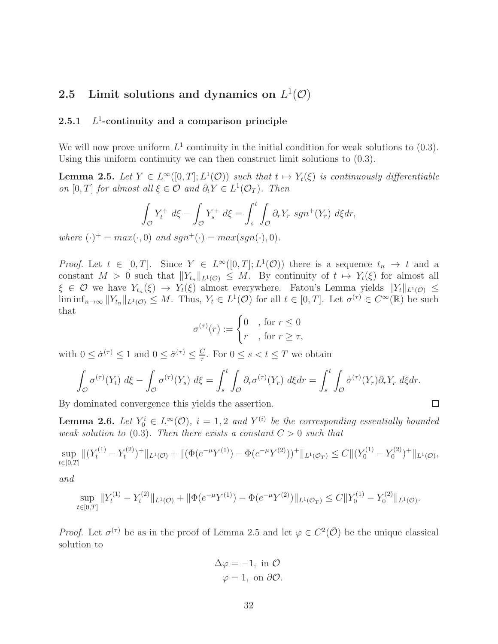# 2.5 Limit solutions and dynamics on  $L^1(\mathcal{O})$

#### $2.5.1$ 1 -continuity and a comparison principle

We will now prove uniform  $L^1$  continuity in the initial condition for weak solutions to  $(0.3)$ . Using this uniform continuity we can then construct limit solutions to (0.3).

**Lemma 2.5.** Let  $Y \in L^{\infty}([0,T]; L^{1}(\mathcal{O}))$  such that  $t \mapsto Y_{t}(\xi)$  is continuously differentiable on [0, T] for almost all  $\xi \in \mathcal{O}$  and  $\partial_t Y \in L^1(\mathcal{O}_T)$ . Then

$$
\int_{\mathcal{O}} Y_t^+ d\xi - \int_{\mathcal{O}} Y_s^+ d\xi = \int_s^t \int_{\mathcal{O}} \partial_r Y_r sgn^+(Y_r) d\xi dr,
$$

where  $(\cdot)^{+} = max(\cdot, 0)$  and  $sgn^{+}(\cdot) = max(sgn(\cdot), 0)$ .

*Proof.* Let  $t \in [0, T]$ . Since  $Y \in L^{\infty}([0, T]; L^{1}(\mathcal{O}))$  there is a sequence  $t_n \to t$  and a constant  $M > 0$  such that  $||Y_{t_n}||_{L^1(\mathcal{O})} \leq M$ . By continuity of  $t \mapsto Y_t(\xi)$  for almost all  $\xi \in \mathcal{O}$  we have  $Y_{t_n}(\xi) \to Y_t(\xi)$  almost everywhere. Fatou's Lemma yields  $||Y_t||_{L^1(\mathcal{O})} \le$  $\liminf_{n\to\infty} ||Y_{t_n}||_{L^1(\mathcal{O})} \leq M$ . Thus,  $Y_t \in L^1(\mathcal{O})$  for all  $t \in [0,T]$ . Let  $\sigma^{(\tau)} \in C^{\infty}(\mathbb{R})$  be such that

$$
\sigma^{(\tau)}(r) := \begin{cases} 0 & \text{, for } r \le 0 \\ r & \text{, for } r \ge \tau, \end{cases}
$$

with  $0 \leq \dot{\sigma}^{(\tau)} \leq 1$  and  $0 \leq \ddot{\sigma}^{(\tau)} \leq \frac{C}{\tau}$  $\frac{C}{\tau}$ . For  $0 \leq s < t \leq T$  we obtain

$$
\int_{\mathcal{O}} \sigma^{(\tau)}(Y_t) \, d\xi - \int_{\mathcal{O}} \sigma^{(\tau)}(Y_s) \, d\xi = \int_s^t \int_{\mathcal{O}} \partial_r \sigma^{(\tau)}(Y_r) \, d\xi dr = \int_s^t \int_{\mathcal{O}} \dot{\sigma}^{(\tau)}(Y_r) \partial_r Y_r \, d\xi dr.
$$

□

By dominated convergence this yields the assertion.

**Lemma 2.6.** Let  $Y_0^i \in L^{\infty}(\mathcal{O})$ ,  $i = 1, 2$  and  $Y^{(i)}$  be the corresponding essentially bounded weak solution to  $(0.3)$ . Then there exists a constant  $C > 0$  such that

$$
\sup_{t\in[0,T]}||(Y_t^{(1)} - Y_t^{(2)})^+||_{L^1(\mathcal{O})} + ||(\Phi(e^{-\mu}Y^{(1)}) - \Phi(e^{-\mu}Y^{(2)}))^+||_{L^1(\mathcal{O}_T)} \leq C||(Y_0^{(1)} - Y_0^{(2)})^+||_{L^1(\mathcal{O})},
$$

and

$$
\sup_{t\in[0,T]}\|Y_t^{(1)} - Y_t^{(2)}\|_{L^1(\mathcal{O})} + \|\Phi(e^{-\mu}Y^{(1)}) - \Phi(e^{-\mu}Y^{(2)})\|_{L^1(\mathcal{O}_T)} \le C\|Y_0^{(1)} - Y_0^{(2)}\|_{L^1(\mathcal{O})}.
$$

*Proof.* Let  $\sigma^{(\tau)}$  be as in the proof of Lemma 2.5 and let  $\varphi \in C^2(\overline{O})$  be the unique classical solution to

$$
\Delta \varphi = -1, \text{ in } \mathcal{O}
$$

$$
\varphi = 1, \text{ on } \partial \mathcal{O}.
$$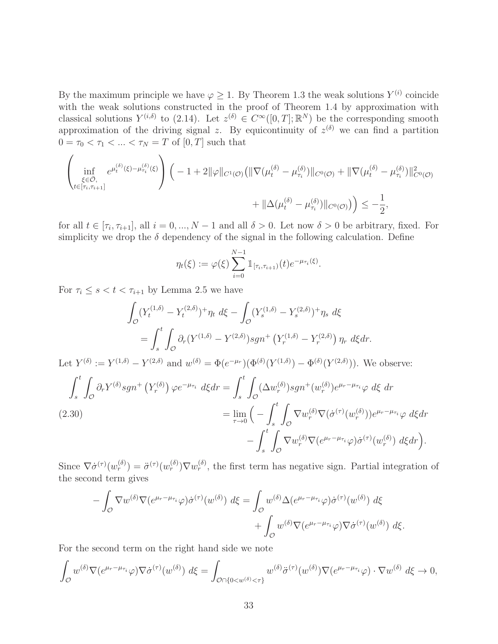By the maximum principle we have  $\varphi \geq 1$ . By Theorem 1.3 the weak solutions  $Y^{(i)}$  coincide with the weak solutions constructed in the proof of Theorem 1.4 by approximation with classical solutions  $Y^{(i,\delta)}$  to (2.14). Let  $z^{(\delta)} \in C^{\infty}([0,T];\mathbb{R}^N)$  be the corresponding smooth approximation of the driving signal z. By equicontinuity of  $z^{(\delta)}$  we can find a partition  $0 = \tau_0 < \tau_1 < ... < \tau_N = T$  of  $[0, T]$  such that

$$
\left(\inf_{\substack{\xi \in \bar{\mathcal{O}}, \\ t \in [\tau_i, \tau_{i+1}]}} e^{\mu_t^{(\delta)}(\xi) - \mu_{\tau_i}^{(\delta)}(\xi)}\right) \left( -1 + 2\|\varphi\|_{C^1(\mathcal{O})} \left( \|\nabla(\mu_t^{(\delta)} - \mu_{\tau_i}^{(\delta)})\|_{C^0(\mathcal{O})} + \|\nabla(\mu_t^{(\delta)} - \mu_{\tau_i}^{(\delta)})\|_{C^0(\mathcal{O})}^2 \right) \right)
$$

$$
+ \|\Delta(\mu_t^{(\delta)} - \mu_{\tau_i}^{(\delta)})\|_{C^0(\mathcal{O})} \left( \|\nabla(\mu_t^{(\delta)} - \mu_{\tau_i}^{(\delta)})\|_{C^0(\mathcal{O})}^2 \right) \leq -\frac{1}{2},
$$

for all  $t \in [\tau_i, \tau_{i+1}],$  all  $i = 0, ..., N - 1$  and all  $\delta > 0$ . Let now  $\delta > 0$  be arbitrary, fixed. For simplicity we drop the  $\delta$  dependency of the signal in the following calculation. Define

$$
\eta_t(\xi) := \varphi(\xi) \sum_{i=0}^{N-1} \mathbb{1}_{[\tau_i, \tau_{i+1})}(t) e^{-\mu_{\tau_i}(\xi)}.
$$

For  $\tau_i \leq s < t < \tau_{i+1}$  by Lemma 2.5 we have

 $\sqrt{2}$ 

$$
\int_{\mathcal{O}} (Y_t^{(1,\delta)} - Y_t^{(2,\delta)})^+ \eta_t \ d\xi - \int_{\mathcal{O}} (Y_s^{(1,\delta)} - Y_s^{(2,\delta)})^+ \eta_s \ d\xi
$$
\n
$$
= \int_s^t \int_{\mathcal{O}} \partial_r (Y^{(1,\delta)} - Y^{(2,\delta)}) sgn^+ (Y_r^{(1,\delta)} - Y_r^{(2,\delta)}) \ \eta_r \ d\xi dr.
$$

Let  $Y^{(\delta)} := Y^{(1,\delta)} - Y^{(2,\delta)}$  and  $w^{(\delta)} = \Phi(e^{-\mu_r}) (\Phi^{(\delta)}(Y^{(1,\delta)}) - \Phi^{(\delta)}(Y^{(2,\delta)}))$ . We observe:

$$
\int_{s}^{t} \int_{\mathcal{O}} \partial_{r} Y^{(\delta)} s g n^{+} \left( Y_{r}^{(\delta)} \right) \varphi e^{-\mu_{\tau_{i}}} d\xi dr = \int_{s}^{t} \int_{\mathcal{O}} (\Delta w_{r}^{(\delta)}) s g n^{+} (w_{r}^{(\delta)}) e^{\mu_{r} - \mu_{\tau_{i}}} \varphi d\xi dr
$$
\n
$$
(2.30)
$$
\n
$$
= \lim_{\tau \to 0} \left( - \int_{s}^{t} \int_{\mathcal{O}} \nabla w_{r}^{(\delta)} \nabla (\dot{\sigma}^{(\tau)} (w_{r}^{(\delta)})) e^{\mu_{r} - \mu_{\tau_{i}}} \varphi d\xi dr - \int_{s}^{t} \int_{\mathcal{O}} \nabla w_{r}^{(\delta)} \nabla (e^{\mu_{r} - \mu_{\tau_{i}}} \varphi) \dot{\sigma}^{(\tau)} (w_{r}^{(\delta)}) d\xi dr \right).
$$

Since  $\nabla \dot{\sigma}^{(\tau)}(w_r^{(\delta)}) = \ddot{\sigma}^{(\tau)}(w_r^{(\delta)}) \nabla w_r^{(\delta)}$ , the first term has negative sign. Partial integration of the second term gives

$$
-\int_{\mathcal{O}} \nabla w^{(\delta)} \nabla (e^{\mu_r - \mu_{\tau_i}} \varphi) \dot{\sigma}^{(\tau)}(w^{(\delta)}) d\xi = \int_{\mathcal{O}} w^{(\delta)} \Delta (e^{\mu_r - \mu_{\tau_i}} \varphi) \dot{\sigma}^{(\tau)}(w^{(\delta)}) d\xi + \int_{\mathcal{O}} w^{(\delta)} \nabla (e^{\mu_r - \mu_{\tau_i}} \varphi) \nabla \dot{\sigma}^{(\tau)}(w^{(\delta)}) d\xi.
$$

For the second term on the right hand side we note

$$
\int_{\mathcal{O}} w^{(\delta)} \nabla (e^{\mu_r - \mu_{\tau_i}} \varphi) \nabla \dot{\sigma}^{(\tau)}(w^{(\delta)}) d\xi = \int_{\mathcal{O} \cap \{0 < w^{(\delta)} < \tau\}} w^{(\delta)} \ddot{\sigma}^{(\tau)}(w^{(\delta)}) \nabla (e^{\mu_r - \mu_{\tau_i}} \varphi) \cdot \nabla w^{(\delta)} d\xi \to 0,
$$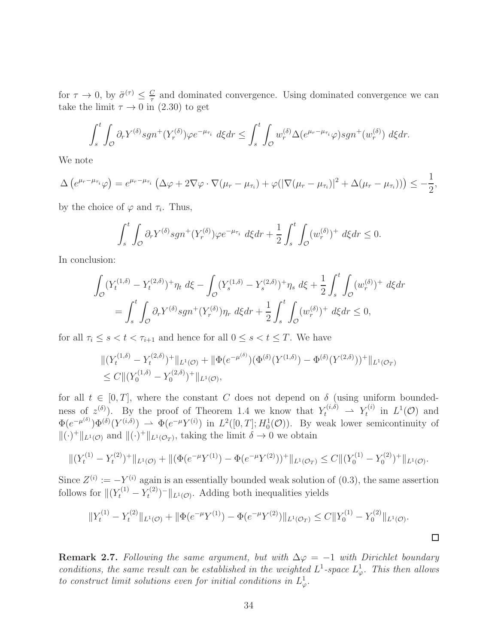for  $\tau \to 0$ , by  $\ddot{\sigma}^{(\tau)} \leq \frac{C}{\tau}$  $\frac{C}{\tau}$  and dominated convergence. Using dominated convergence we can take the limit  $\tau \to 0$  in (2.30) to get

$$
\int_s^t \int_{\mathcal{O}} \partial_r Y^{(\delta)} s g n^+(Y_r^{(\delta)}) \varphi e^{-\mu_{\tau_i}} d\xi dr \le \int_s^t \int_{\mathcal{O}} w_r^{(\delta)} \Delta(e^{\mu_r - \mu_{\tau_i}} \varphi) s g n^+(w_r^{(\delta)}) d\xi dr.
$$

We note

$$
\Delta\left(e^{\mu_r-\mu_{\tau_i}}\varphi\right)=e^{\mu_r-\mu_{\tau_i}}\left(\Delta\varphi+2\nabla\varphi\cdot\nabla(\mu_r-\mu_{\tau_i})+\varphi(|\nabla(\mu_r-\mu_{\tau_i})|^2+\Delta(\mu_r-\mu_{\tau_i}))\right)\leq-\frac{1}{2},
$$

by the choice of  $\varphi$  and  $\tau_i$ . Thus,

$$
\int_s^t \int_{\mathcal{O}} \partial_r Y^{(\delta)} s g n^+ (Y_r^{(\delta)}) \varphi e^{-\mu_{\tau_i}} d\xi dr + \frac{1}{2} \int_s^t \int_{\mathcal{O}} (w_r^{(\delta)})^+ d\xi dr \le 0.
$$

In conclusion:

$$
\int_{\mathcal{O}} (Y_t^{(1,\delta)} - Y_t^{(2,\delta)})^+ \eta_t \, d\xi - \int_{\mathcal{O}} (Y_s^{(1,\delta)} - Y_s^{(2,\delta)})^+ \eta_s \, d\xi + \frac{1}{2} \int_s^t \int_{\mathcal{O}} (w_r^{(\delta)})^+ \, d\xi dr
$$
\n
$$
= \int_s^t \int_{\mathcal{O}} \partial_r Y^{(\delta)} s g n^+ (Y_r^{(\delta)}) \eta_r \, d\xi dr + \frac{1}{2} \int_s^t \int_{\mathcal{O}} (w_r^{(\delta)})^+ \, d\xi dr \le 0,
$$

for all  $\tau_i \leq s < t < \tau_{i+1}$  and hence for all  $0 \leq s < t \leq T$ . We have

$$
\begin{aligned} &\|(Y_t^{(1,\delta)} - Y_t^{(2,\delta)})^+\|_{L^1(\mathcal{O})} + \|\Phi(e^{-\mu^{(\delta)}})(\Phi^{(\delta)}(Y^{(1,\delta)}) - \Phi^{(\delta)}(Y^{(2,\delta)}))^+\|_{L^1(\mathcal{O}_T)} \\ &\leq C \|(Y_0^{(1,\delta)} - Y_0^{(2,\delta)})^+\|_{L^1(\mathcal{O})}, \end{aligned}
$$

for all  $t \in [0, T]$ , where the constant C does not depend on  $\delta$  (using uniform boundedness of  $z^{(\delta)}$ . By the proof of Theorem 1.4 we know that  $Y_t^{(i,\delta)} \rightharpoonup Y_t^{(i)}$  in  $L^1(\mathcal{O})$  and  $\Phi(e^{-\mu(\delta)})\Phi^{(\delta)}(Y^{(i,\delta)}) \rightharpoonup \Phi(e^{-\mu}Y^{(i)})$  in  $L^2([0,T];H_0^1(\mathcal{O}))$ . By weak lower semicontinuity of  $\|(\cdot)^+\|_{L^1(\mathcal{O})}$  and  $\|(\cdot)^+\|_{L^1(\mathcal{O}_T)}$ , taking the limit  $\delta \to 0$  we obtain

$$
\|(Y_t^{(1)} - Y_t^{(2)})^+\|_{L^1(\mathcal{O})} + \|(\Phi(e^{-\mu}Y^{(1)}) - \Phi(e^{-\mu}Y^{(2)}))^+\|_{L^1(\mathcal{O}_T)} \leq C\|(Y_0^{(1)} - Y_0^{(2)})^+\|_{L^1(\mathcal{O})}.
$$

Since  $Z^{(i)} := -Y^{(i)}$  again is an essentially bounded weak solution of  $(0.3)$ , the same assertion follows for  $\|(Y_t^{(1)} - Y_t^{(2)}\)$  $(t^{(2)}_{t})^{-}$  || $_{L^{1}(\mathcal{O})}$ . Adding both inequalities yields

$$
||Y_t^{(1)} - Y_t^{(2)}||_{L^1(\mathcal{O})} + ||\Phi(e^{-\mu}Y^{(1)}) - \Phi(e^{-\mu}Y^{(2)})||_{L^1(\mathcal{O}_T)} \leq C||Y_0^{(1)} - Y_0^{(2)}||_{L^1(\mathcal{O})}.
$$

**Remark 2.7.** Following the same argument, but with  $\Delta \varphi = -1$  with Dirichlet boundary conditions, the same result can be established in the weighted  $L^1$ -space  $L^1_\varphi$ . This then allows to construct limit solutions even for initial conditions in  $L^1_{\varphi}$ .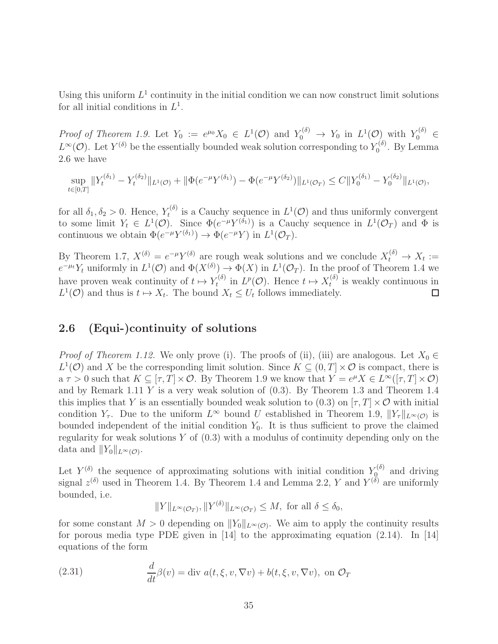Using this uniform  $L^1$  continuity in the initial condition we can now construct limit solutions for all initial conditions in  $L^1$ .

Proof of Theorem 1.9. Let  $Y_0 := e^{\mu_0} X_0 \in L^1(\mathcal{O})$  and  $Y_0^{(\delta)} \to Y_0$  in  $L^1(\mathcal{O})$  with  $Y_0^{(\delta)} \in$  $L^{\infty}(\mathcal{O})$ . Let  $Y^{(\delta)}$  be the essentially bounded weak solution corresponding to  $Y_0^{(\delta)}$  $\delta_0^{\text{(0)}}$ . By Lemma 2.6 we have

$$
\sup_{t\in[0,T]}||Y_t^{(\delta_1)} - Y_t^{(\delta_2)}||_{L^1(\mathcal{O})} + ||\Phi(e^{-\mu}Y^{(\delta_1)}) - \Phi(e^{-\mu}Y^{(\delta_2)})||_{L^1(\mathcal{O}_T)} \leq C||Y_0^{(\delta_1)} - Y_0^{(\delta_2)}||_{L^1(\mathcal{O})},
$$

for all  $\delta_1, \delta_2 > 0$ . Hence,  $Y_t^{(\delta)}$  $t^{(0)}$  is a Cauchy sequence in  $L^1(\mathcal{O})$  and thus uniformly convergent to some limit  $Y_t \in L^1(\mathcal{O})$ . Since  $\Phi(e^{-\mu}Y^{(\delta_1)})$  is a Cauchy sequence in  $L^1(\mathcal{O}_T)$  and  $\Phi$  is continuous we obtain  $\Phi(e^{-\mu}Y^{(\delta_1)}) \to \Phi(e^{-\mu}Y)$  in  $L^1(\mathcal{O}_T)$ .

By Theorem 1.7,  $X^{(\delta)} = e^{-\mu} Y^{(\delta)}$  are rough weak solutions and we conclude  $X_t^{(\delta)} \to X_t :=$  $e^{-\mu t} Y_t$  uniformly in  $L^1(\mathcal{O})$  and  $\Phi(X^{(\delta)}) \to \Phi(X)$  in  $L^1(\mathcal{O}_T)$ . In the proof of Theorem 1.4 we have proven weak continuity of  $t \mapsto Y_t^{(\delta)}$  $t_t^{(\delta)}$  in  $L^p(\mathcal{O})$ . Hence  $t \mapsto X_t^{(\delta)}$  $t_t^{(0)}$  is weakly continuous in  $L^1(\mathcal{O})$  and thus is  $t \mapsto X_t$ . The bound  $X_t \leq U_t$  follows immediately.  $\Box$ 

# 2.6 (Equi-)continuity of solutions

*Proof of Theorem 1.12.* We only prove (i). The proofs of (ii), (iii) are analogous. Let  $X_0 \in$  $L^1(\mathcal{O})$  and X be the corresponding limit solution. Since  $K \subseteq (0,T] \times \mathcal{O}$  is compact, there is  $a \tau > 0$  such that  $K \subseteq [\tau, T] \times \mathcal{O}$ . By Theorem 1.9 we know that  $Y = e^{\mu} X \in L^{\infty}([\tau, T] \times \mathcal{O})$ and by Remark 1.11  $Y$  is a very weak solution of  $(0.3)$ . By Theorem 1.3 and Theorem 1.4 this implies that Y is an essentially bounded weak solution to (0.3) on  $[\tau, T] \times \mathcal{O}$  with initial condition  $Y_{\tau}$ . Due to the uniform  $L^{\infty}$  bound U established in Theorem 1.9,  $||Y_{\tau}||_{L^{\infty}(\mathcal{O})}$  is bounded independent of the initial condition  $Y_0$ . It is thus sufficient to prove the claimed regularity for weak solutions  $Y$  of  $(0.3)$  with a modulus of continuity depending only on the data and  $||Y_0||_{L^{\infty}(\mathcal{O})}$ .

Let  $Y^{(\delta)}$  the sequence of approximating solutions with initial condition  $Y^{(\delta)}_{\mathcal{Q}}$  and driving signal  $z^{(\delta)}$  used in Theorem 1.4. By Theorem 1.4 and Lemma 2.2, Y and  $Y^{(\delta)}$  are uniformly bounded, i.e.

$$
||Y||_{L^{\infty}(\mathcal{O}_{T})}, ||Y^{(\delta)}||_{L^{\infty}(\mathcal{O}_{T})} \leq M, \text{ for all } \delta \leq \delta_{0},
$$

for some constant  $M > 0$  depending on  $||Y_0||_{L^{\infty}(\mathcal{O})}$ . We aim to apply the continuity results for porous media type PDE given in  $\vert 14 \vert$  to the approximating equation (2.14). In  $\vert 14 \vert$ equations of the form

(2.31) 
$$
\frac{d}{dt}\beta(v) = \text{div } a(t, \xi, v, \nabla v) + b(t, \xi, v, \nabla v), \text{ on } \mathcal{O}_T
$$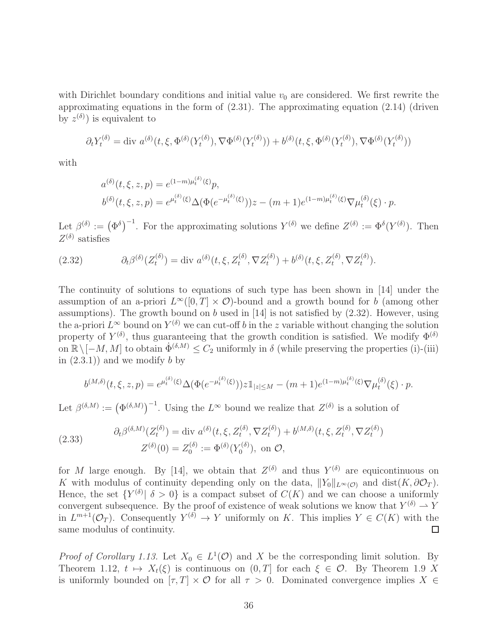with Dirichlet boundary conditions and initial value  $v_0$  are considered. We first rewrite the approximating equations in the form of (2.31). The approximating equation (2.14) (driven by  $z^{(\delta)}$  is equivalent to

$$
\partial_t Y_t^{(\delta)} = \text{div } a^{(\delta)}(t, \xi, \Phi^{(\delta)}(Y_t^{(\delta)}), \nabla \Phi^{(\delta)}(Y_t^{(\delta)})) + b^{(\delta)}(t, \xi, \Phi^{(\delta)}(Y_t^{(\delta)}), \nabla \Phi^{(\delta)}(Y_t^{(\delta)}))
$$

with

$$
a^{(\delta)}(t,\xi,z,p) = e^{(1-m)\mu_t^{(\delta)}(\xi)}p,
$$
  
\n
$$
b^{(\delta)}(t,\xi,z,p) = e^{\mu_t^{(\delta)}(\xi)}\Delta(\Phi(e^{-\mu_t^{(\delta)}(\xi)}))z - (m+1)e^{(1-m)\mu_t^{(\delta)}(\xi)}\nabla\mu_t^{(\delta)}(\xi) \cdot p.
$$

Let  $\beta^{(\delta)} := (\Phi^{\delta})^{-1}$ . For the approximating solutions  $Y^{(\delta)}$  we define  $Z^{(\delta)} := \Phi^{\delta}(Y^{(\delta)})$ . Then  $Z^{(\delta)}$  satisfies

(2.32) 
$$
\partial_t \beta^{(\delta)}(Z_t^{(\delta)}) = \text{div } a^{(\delta)}(t, \xi, Z_t^{(\delta)}, \nabla Z_t^{(\delta)}) + b^{(\delta)}(t, \xi, Z_t^{(\delta)}, \nabla Z_t^{(\delta)}).
$$

The continuity of solutions to equations of such type has been shown in [14] under the assumption of an a-priori  $L^{\infty}([0,T] \times \mathcal{O})$ -bound and a growth bound for b (among other assumptions). The growth bound on  $b$  used in [14] is not satisfied by  $(2.32)$ . However, using the a-priori  $L^{\infty}$  bound on  $Y^{(\delta)}$  we can cut-off b in the z variable without changing the solution property of  $Y^{(\delta)}$ , thus guaranteeing that the growth condition is satisfied. We modify  $\Phi^{(\delta)}$ on  $\mathbb{R}\setminus[-M, M]$  to obtain  $\dot{\Phi}^{(\delta, M)} \leq C_2$  uniformly in  $\delta$  (while preserving the properties (i)-(iii) in  $(2.3.1)$  and we modify b by

$$
b^{(M,\delta)}(t,\xi,z,p) = e^{\mu_t^{(\delta)}(\xi)} \Delta(\Phi(e^{-\mu_t^{(\delta)}(\xi)})) z \mathbb{1}_{|z| \le M} - (m+1) e^{(1-m)\mu_t^{(\delta)}(\xi)} \nabla \mu_t^{(\delta)}(\xi) \cdot p.
$$

Let  $\beta^{(\delta,M)} := (\Phi^{(\delta,M)})^{-1}$ . Using the  $L^{\infty}$  bound we realize that  $Z^{(\delta)}$  is a solution of

(2.33) 
$$
\partial_t \beta^{(\delta, M)}(Z_t^{(\delta)}) = \text{div } a^{(\delta)}(t, \xi, Z_t^{(\delta)}, \nabla Z_t^{(\delta)}) + b^{(M, \delta)}(t, \xi, Z_t^{(\delta)}, \nabla Z_t^{(\delta)}) Z^{(\delta)}(0) = Z_0^{(\delta)} := \Phi^{(\delta)}(Y_0^{(\delta)}), \text{ on } \mathcal{O},
$$

for M large enough. By [14], we obtain that  $Z^{(\delta)}$  and thus  $Y^{(\delta)}$  are equicontinuous on K with modulus of continuity depending only on the data,  $||Y_0||_{L^{\infty}(\mathcal{O})}$  and dist $(K, \partial \mathcal{O}_T)$ . Hence, the set  ${Y^{(\delta)} | \delta > 0}$  is a compact subset of  $C(K)$  and we can choose a uniformly convergent subsequence. By the proof of existence of weak solutions we know that  $Y^{(\delta)} \to Y$ in  $L^{m+1}(\mathcal{O}_T)$ . Consequently  $Y^{(\delta)} \to Y$  uniformly on K. This implies  $Y \in C(K)$  with the same modulus of continuity.

*Proof of Corollary 1.13.* Let  $X_0 \in L^1(\mathcal{O})$  and X be the corresponding limit solution. By Theorem 1.12,  $t \mapsto X_t(\xi)$  is continuous on  $(0, T]$  for each  $\xi \in \mathcal{O}$ . By Theorem 1.9 X is uniformly bounded on  $[\tau, T] \times \mathcal{O}$  for all  $\tau > 0$ . Dominated convergence implies  $X \in$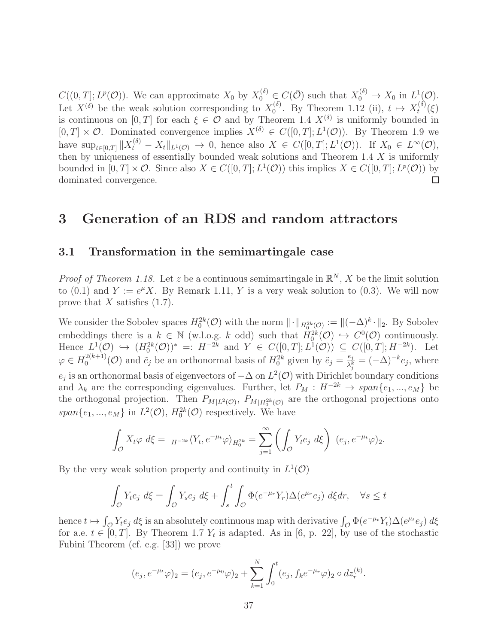$C((0,T]; L^p(\mathcal{O}))$ . We can approximate  $X_0$  by  $X_0^{(\delta)} \in C(\bar{\mathcal{O}})$  such that  $X_0^{(\delta)} \to X_0$  in  $L^1(\mathcal{O})$ . Let  $X^{(\delta)}$  be the weak solution corresponding to  $X_0^{(\delta)}$  $\chi_0^{(\delta)}$ . By Theorem 1.12 (ii),  $t \mapsto X_t^{(\delta)}$  $t^{(0)}(\xi)$ is continuous on  $[0, T]$  for each  $\xi \in \mathcal{O}$  and by Theorem 1.4  $X^{(\delta)}$  is uniformly bounded in  $[0, T] \times \mathcal{O}$ . Dominated convergence implies  $X^{(\delta)} \in C([0, T]; L^1(\mathcal{O}))$ . By Theorem 1.9 we have  $\sup_{t\in[0,T]}\|X_t^{(\delta)}-X_t\|_{L^1(\mathcal{O})}\to 0$ , hence also  $X\in C([0,T];L^1(\mathcal{O}))$ . If  $X_0\in L^{\infty}(\mathcal{O})$ , then by uniqueness of essentially bounded weak solutions and Theorem 1.4 X is uniformly bounded in  $[0, T] \times \mathcal{O}$ . Since also  $X \in C([0, T]; L^1(\mathcal{O}))$  this implies  $X \in C([0, T]; L^p(\mathcal{O}))$  by dominated convergence.

# 3 Generation of an RDS and random attractors

# 3.1 Transformation in the semimartingale case

*Proof of Theorem 1.18.* Let z be a continuous semimartingale in  $\mathbb{R}^N$ , X be the limit solution to (0.1) and  $Y := e^{\mu} X$ . By Remark 1.11, Y is a very weak solution to (0.3). We will now prove that  $X$  satisfies  $(1.7)$ .

We consider the Sobolev spaces  $H_0^{2k}(\mathcal{O})$  with the norm  $\|\cdot\|_{H_0^{2k}(\mathcal{O})} := \|(-\Delta)^k \cdot \|_2$ . By Sobolev embeddings there is a  $k \in \mathbb{N}$  (w.l.o.g. k odd) such that  $H_0^{2k}(\mathcal{O}) \hookrightarrow C^0(\mathcal{O})$  continuously. Hence  $L^1(\mathcal{O}) \hookrightarrow (H_0^{2k}(\mathcal{O}))^* =: H^{-2k}$  and  $Y \in C([0,T]; L^1(\mathcal{O})) \subseteq C([0,T]; H^{-2k})$ . Let  $\varphi \in H_0^{2(k+1)}$  $\tilde{e}_0^{2(k+1)}(\mathcal{O})$  and  $\tilde{e}_j$  be an orthonormal basis of  $H_0^{2k}$  given by  $\tilde{e}_j = \frac{e_j}{\lambda_j^k}$  $\frac{e_j}{\lambda_j^k} = (-\Delta)^{-k} e_j$ , where  $e_j$  is an orthonormal basis of eigenvectors of  $-\Delta$  on  $L^2(\mathcal{O})$  with Dirichlet boundary conditions and  $\lambda_k$  are the corresponding eigenvalues. Further, let  $P_M : H^{-2k} \to span\{e_1, ..., e_M\}$  be the orthogonal projection. Then  $P_{M|L^2(\mathcal{O})}$ ,  $P_{M|H_0^{2k}(\mathcal{O})}$  are the orthogonal projections onto  $span\{e_1, ..., e_M\}$  in  $L^2(\mathcal{O}), H_0^{2k}(\mathcal{O})$  respectively. We have

$$
\int_{\mathcal{O}} X_t \varphi \, d\xi = H^{-2k} \langle Y_t, e^{-\mu_t} \varphi \rangle_{H_0^{2k}} = \sum_{j=1}^{\infty} \left( \int_{\mathcal{O}} Y_t e_j \, d\xi \right) \, (e_j, e^{-\mu_t} \varphi)_2.
$$

By the very weak solution property and continuity in  $L^1(\mathcal{O})$ 

$$
\int_{\mathcal{O}} Y_t e_j \, d\xi = \int_{\mathcal{O}} Y_s e_j \, d\xi + \int_s^t \int_{\mathcal{O}} \Phi(e^{-\mu_r} Y_r) \Delta(e^{\mu_r} e_j) \, d\xi dr, \quad \forall s \le t
$$

hence  $t \mapsto \int_{\mathcal{O}} Y_t e_j d\xi$  is an absolutely continuous map with derivative  $\int_{\mathcal{O}} \Phi(e^{-\mu_t} Y_t) \Delta(e^{\mu_t} e_j) d\xi$ for a.e.  $t \in [0, T]$ . By Theorem 1.7  $Y_t$  is adapted. As in [6, p. 22], by use of the stochastic Fubini Theorem (cf. e.g. [33]) we prove

$$
(e_j, e^{-\mu_t}\varphi)_2 = (e_j, e^{-\mu_0}\varphi)_2 + \sum_{k=1}^N \int_0^t (e_j, f_k e^{-\mu_r}\varphi)_2 \circ dz_r^{(k)}.
$$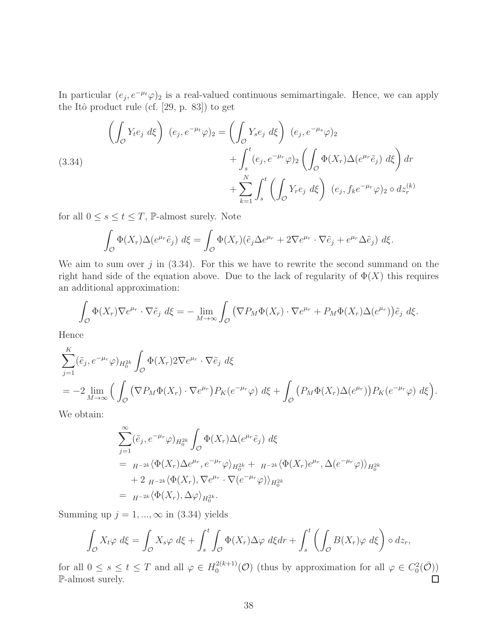In particular  $(e_j, e^{-\mu t}\varphi)_2$  is a real-valued continuous semimartingale. Hence, we can apply the Itô product rule (cf.  $[29, p. 83]$ ) to get

(3.34)  
\n
$$
\left(\int_{\mathcal{O}} Y_t e_j \, d\xi\right) (e_j, e^{-\mu_t} \varphi)_2 = \left(\int_{\mathcal{O}} Y_s e_j \, d\xi\right) (e_j, e^{-\mu_s} \varphi)_2 + \int_s^t (e_j, e^{-\mu_r} \varphi)_2 \left(\int_{\mathcal{O}} \Phi(X_r) \Delta(e^{\mu_r} \tilde{e}_j) \, d\xi\right) dr + \sum_{k=1}^N \int_s^t \left(\int_{\mathcal{O}} Y_r e_j \, d\xi\right) (e_j, f_k e^{-\mu_r} \varphi)_2 \circ dz_r^{(k)}
$$

for all  $0\leq s\leq t\leq T,$   $\mathbb P\text{-almost surely.}$  Note

$$
\int_{\mathcal{O}} \Phi(X_r) \Delta(e^{\mu_r} \tilde{e}_j) d\xi = \int_{\mathcal{O}} \Phi(X_r) (\tilde{e}_j \Delta e^{\mu_r} + 2 \nabla e^{\mu_r} \cdot \nabla \tilde{e}_j + e^{\mu_r} \Delta \tilde{e}_j) d\xi.
$$

We aim to sum over  $j$  in  $(3.34)$ . For this we have to rewrite the second summand on the right hand side of the equation above. Due to the lack of regularity of  $\Phi(X)$  this requires an additional approximation:

$$
\int_{\mathcal{O}} \Phi(X_r) \nabla e^{\mu_r} \cdot \nabla \tilde{e}_j \, d\xi = - \lim_{M \to \infty} \int_{\mathcal{O}} \left( \nabla P_M \Phi(X_r) \cdot \nabla e^{\mu_r} + P_M \Phi(X_r) \Delta(e^{\mu_r}) \right) \tilde{e}_j \, d\xi.
$$

Hence

$$
\sum_{j=1}^{K} (\tilde{e}_j, e^{-\mu_r} \varphi)_{H_0^{2k}} \int_{\mathcal{O}} \Phi(X_r) 2 \nabla e^{\mu_r} \cdot \nabla \tilde{e}_j \, d\xi
$$
\n
$$
= -2 \lim_{M \to \infty} \Big( \int_{\mathcal{O}} \left( \nabla P_M \Phi(X_r) \cdot \nabla e^{\mu_r} \right) P_K(e^{-\mu_r} \varphi) \, d\xi + \int_{\mathcal{O}} \left( P_M \Phi(X_r) \Delta(e^{\mu_r}) \right) P_K(e^{-\mu_r} \varphi) \, d\xi \Big).
$$

We obtain:

$$
\sum_{j=1}^{\infty} (\tilde{e}_j, e^{-\mu_r} \varphi)_{H_0^{2k}} \int_{\mathcal{O}} \Phi(X_r) \Delta(e^{\mu_r} \tilde{e}_j) d\xi
$$
  
=  $H^{-2k} \langle \Phi(X_r) \Delta e^{\mu_r}, e^{-\mu_r} \varphi \rangle_{H_0^{2k}} + H^{-2k} \langle \Phi(X_r) e^{\mu_r}, \Delta(e^{-\mu_r} \varphi) \rangle_{H_0^{2k}}$   
+  $2 H^{-2k} \langle \Phi(X_r), \nabla e^{\mu_r} \cdot \nabla(e^{-\mu_r} \varphi) \rangle_{H_0^{2k}}$   
=  $H^{-2k} \langle \Phi(X_r), \Delta \varphi \rangle_{H_0^{2k}}$ .

Summing up  $j = 1, ..., \infty$  in (3.34) yields

$$
\int_{\mathcal{O}} X_t \varphi \, d\xi = \int_{\mathcal{O}} X_s \varphi \, d\xi + \int_s^t \int_{\mathcal{O}} \Phi(X_r) \Delta \varphi \, d\xi dr + \int_s^t \left( \int_{\mathcal{O}} B(X_r) \varphi \, d\xi \right) \circ dz_r,
$$

for all  $0 \leq s \leq t \leq T$  and all  $\varphi \in H_0^{2(k+1)}$  $C_0^{2(k+1)}(\mathcal{O})$  (thus by approximation for all  $\varphi \in C_0^2(\bar{\mathcal{O}})$ ) P-almost surely.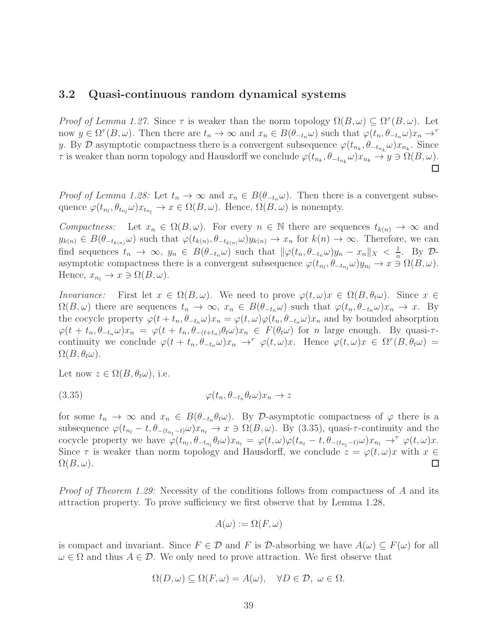#### 3.2 Quasi-continuous random dynamical systems

Proof of Lemma 1.27. Since  $\tau$  is weaker than the norm topology  $\Omega(B,\omega) \subseteq \Omega^{\tau}(B,\omega)$ . Let now  $y \in \Omega^{\tau}(B,\omega)$ . Then there are  $t_n \to \infty$  and  $x_n \in B(\theta_{-t_n}\omega)$  such that  $\varphi(t_n,\theta_{-t_n}\omega)x_n \to$ y. By D asymptotic compactness there is a convergent subsequence  $\varphi(t_{n_k}, \theta_{-t_{n_k}}\omega)x_{n_k}$ . Since  $\tau$  is weaker than norm topology and Hausdorff we conclude  $\varphi(t_{n_k}, \theta_{-t_{n_k}}\omega)x_{n_k} \to y \ni \Omega(B, \omega)$ .

*Proof of Lemma 1.28:* Let  $t_n \to \infty$  and  $x_n \in B(\theta_{-t_n}\omega)$ . Then there is a convergent subsequence  $\varphi(t_{n_l}, \theta_{t_{n_l}}\omega)x_{t_{n_l}} \to x \in \Omega(B, \omega)$ . Hence,  $\Omega(B, \omega)$  is nonempty.

Compactness: Let  $x_n \in \Omega(B, \omega)$ . For every  $n \in \mathbb{N}$  there are sequences  $t_{k(n)} \to \infty$  and  $y_{k(n)} \in B(\theta_{-t_{k(n)}}\omega)$  such that  $\varphi(t_{k(n)}, \theta_{-t_{k(n)}}\omega)y_{k(n)} \to x_n$  for  $k(n) \to \infty$ . Therefore, we can find sequences  $t_n \to \infty$ ,  $y_n \in B(\theta_{-t_n}\omega)$  such that  $\|\varphi(t_n, \theta_{-t_n}\omega)y_n - x_n\|_X < \frac{1}{n}$  $\frac{1}{n}$ . By  $\mathcal{D}$ asymptotic compactness there is a convergent subsequence  $\varphi(t_{n_l}, \theta_{-t_{n_l}}\omega) y_{n_l} \to x \ni \Omega(B, \omega)$ . Hence,  $x_{n_l} \to x \ni \Omega(B,\omega)$ .

Invariance: First let  $x \in \Omega(B, \omega)$ . We need to prove  $\varphi(t, \omega)x \in \Omega(B, \theta_t \omega)$ . Since  $x \in$  $\Omega(B,\omega)$  there are sequences  $t_n \to \infty$ ,  $x_n \in B(\theta_{-t_n}\omega)$  such that  $\varphi(t_n,\theta_{-t_n}\omega)x_n \to x$ . By the cocycle property  $\varphi(t+t_n,\theta_{-t_n}\omega)x_n = \varphi(t,\omega)\varphi(t_n,\theta_{-t_n}\omega)x_n$  and by bounded absorption  $\varphi(t + t_n, \theta_{-t_n}\omega)x_n = \varphi(t + t_n, \theta_{-(t+t_n)}\theta_t\omega)x_n \in F(\theta_t\omega)$  for n large enough. By quasi- $\tau$ continuity we conclude  $\varphi(t + t_n, \theta_{-t_n}\omega)x_n \to^\tau \varphi(t, \omega)x$ . Hence  $\varphi(t, \omega)x \in \Omega^\tau(B, \theta_t\omega) =$  $\Omega(B,\theta_t\omega)$ .

Let now  $z \in \Omega(B, \theta_t \omega)$ , i.e.

$$
\varphi(t_n, \theta_{-t_n} \theta_t \omega) x_n \to z
$$

for some  $t_n \to \infty$  and  $x_n \in B(\theta_{-t_n}\theta_t\omega)$ . By D-asymptotic compactness of  $\varphi$  there is a subsequence  $\varphi(t_{n_l} - t, \theta_{-(t_{n_l}-t)}\omega)x_{n_l} \to x \ni \Omega(B,\omega)$ . By (3.35), quasi- $\tau$ -continuity and the cocycle property we have  $\varphi(t_{n_l}, \theta_{-t_{n_l}} \theta_t \omega) x_{n_l} = \varphi(t, \omega) \varphi(t_{n_l} - t, \theta_{-(t_{n_l} - t)} \omega) x_{n_l} \to^\tau \varphi(t, \omega) x$ . Since  $\tau$  is weaker than norm topology and Hausdorff, we conclude  $z = \varphi(t, \omega)x$  with  $x \in \Omega(B, \omega)$ .  $\Omega(B,\omega).$ 

Proof of Theorem 1.29: Necessity of the conditions follows from compactness of A and its attraction property. To prove sufficiency we first observe that by Lemma 1.28,

$$
A(\omega) := \Omega(F, \omega)
$$

is compact and invariant. Since  $F \in \mathcal{D}$  and F is D-absorbing we have  $A(\omega) \subseteq F(\omega)$  for all  $\omega \in \Omega$  and thus  $A \in \mathcal{D}$ . We only need to prove attraction. We first observe that

$$
\Omega(D,\omega) \subseteq \Omega(F,\omega) = A(\omega), \quad \forall D \in \mathcal{D}, \ \omega \in \Omega.
$$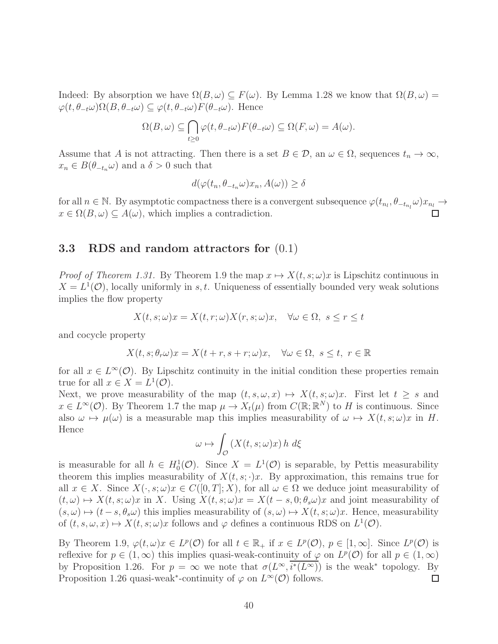Indeed: By absorption we have  $\Omega(B,\omega) \subseteq F(\omega)$ . By Lemma 1.28 we know that  $\Omega(B,\omega)$  =  $\varphi(t, \theta_{-t}\omega)\Omega(B, \theta_{-t}\omega) \subseteq \varphi(t, \theta_{-t}\omega)F(\theta_{-t}\omega)$ . Hence

$$
\Omega(B,\omega) \subseteq \bigcap_{t \ge 0} \varphi(t,\theta_{-t}\omega) F(\theta_{-t}\omega) \subseteq \Omega(F,\omega) = A(\omega).
$$

Assume that A is not attracting. Then there is a set  $B \in \mathcal{D}$ , an  $\omega \in \Omega$ , sequences  $t_n \to \infty$ ,  $x_n \in B(\theta_{-t_n}\omega)$  and a  $\delta > 0$  such that

$$
d(\varphi(t_n, \theta_{-t_n}\omega)x_n, A(\omega)) \ge \delta
$$

for all  $n \in \mathbb{N}$ . By asymptotic compactness there is a convergent subsequence  $\varphi(t_{n_l}, \theta_{-t_{n_l}}\omega)x_{n_l} \to$  $x \in \Omega(B, \omega) \subseteq A(\omega)$ , which implies a contradiction.

## 3.3 RDS and random attractors for (0.1)

*Proof of Theorem 1.31.* By Theorem 1.9 the map  $x \mapsto X(t, s; \omega)x$  is Lipschitz continuous in  $X = L^1(\mathcal{O})$ , locally uniformly in s, t. Uniqueness of essentially bounded very weak solutions implies the flow property

$$
X(t, s; \omega)x = X(t, r; \omega)X(r, s; \omega)x, \quad \forall \omega \in \Omega, \ s \le r \le t
$$

and cocycle property

$$
X(t, s; \theta_r \omega)x = X(t + r, s + r; \omega)x, \quad \forall \omega \in \Omega, s \le t, r \in \mathbb{R}
$$

for all  $x \in L^{\infty}(\mathcal{O})$ . By Lipschitz continuity in the initial condition these properties remain true for all  $x \in X = L^1(\mathcal{O})$ .

Next, we prove measurability of the map  $(t, s, \omega, x) \mapsto X(t, s; \omega)x$ . First let  $t \geq s$  and  $x \in L^{\infty}(\mathcal{O})$ . By Theorem 1.7 the map  $\mu \to X_t(\mu)$  from  $C(\mathbb{R}; \mathbb{R}^N)$  to H is continuous. Since also  $\omega \mapsto \mu(\omega)$  is a measurable map this implies measurability of  $\omega \mapsto X(t, s; \omega)x$  in H. Hence

$$
\omega \mapsto \int_{\mathcal{O}} \left( X(t, s; \omega) x \right) h \, d\xi
$$

is measurable for all  $h \in H_0^1(\mathcal{O})$ . Since  $X = L^1(\mathcal{O})$  is separable, by Pettis measurability theorem this implies measurability of  $X(t, s; \cdot)x$ . By approximation, this remains true for all  $x \in X$ . Since  $X(\cdot, s; \omega)x \in C([0, T]; X)$ , for all  $\omega \in \Omega$  we deduce joint measurability of  $(t, \omega) \mapsto X(t, s; \omega)x$  in X. Using  $X(t, s; \omega)x = X(t - s, 0; \theta_s\omega)x$  and joint measurability of  $(s, \omega) \mapsto (t - s, \theta_s \omega)$  this implies measurability of  $(s, \omega) \mapsto X(t, s; \omega)x$ . Hence, measurability of  $(t, s, \omega, x) \mapsto X(t, s; \omega)x$  follows and  $\varphi$  defines a continuous RDS on  $L^1(\mathcal{O})$ .

By Theorem 1.9,  $\varphi(t,\omega)x \in L^p(\mathcal{O})$  for all  $t \in \mathbb{R}_+$  if  $x \in L^p(\mathcal{O}), p \in [1,\infty]$ . Since  $L^p(\mathcal{O})$  is reflexive for  $p \in (1, \infty)$  this implies quasi-weak-continuity of  $\varphi$  on  $L^p(\mathcal{O})$  for all  $p \in (1, \infty)$ by Proposition 1.26. For  $p = \infty$  we note that  $\sigma(L^{\infty}, \overline{i^*(L^{\infty})})$  is the weak\* topology. By Proposition 1.26 quasi-weak<sup>\*</sup>-continuity of  $\varphi$  on  $L^{\infty}(\mathcal{O})$  follows.  $\Box$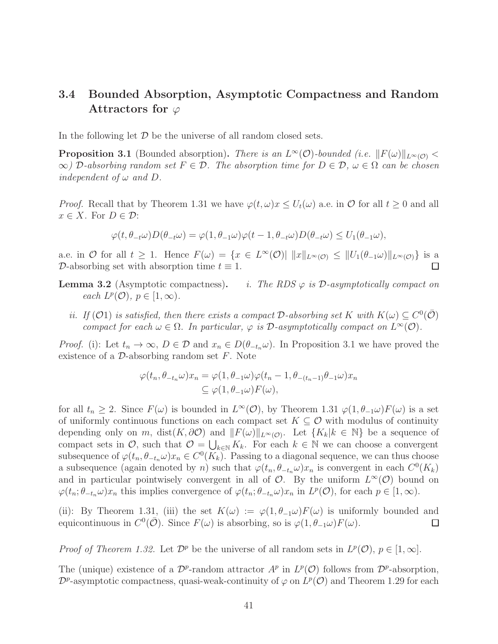# 3.4 Bounded Absorption, Asymptotic Compactness and Random Attractors for  $\varphi$

In the following let  $D$  be the universe of all random closed sets.

**Proposition 3.1** (Bounded absorption). There is an  $L^{\infty}(\mathcal{O})$ -bounded (i.e.  $||F(\omega)||_{L^{\infty}(\mathcal{O})}$  $\infty$ ) D-absorbing random set  $F \in \mathcal{D}$ . The absorption time for  $D \in \mathcal{D}$ ,  $\omega \in \Omega$  can be chosen independent of  $\omega$  and  $D$ .

*Proof.* Recall that by Theorem 1.31 we have  $\varphi(t,\omega)x \leq U_t(\omega)$  a.e. in  $\mathcal O$  for all  $t \geq 0$  and all  $x \in X$ . For  $D \in \mathcal{D}$ :

$$
\varphi(t,\theta_{-t}\omega)D(\theta_{-t}\omega) = \varphi(1,\theta_{-1}\omega)\varphi(t-1,\theta_{-t}\omega)D(\theta_{-t}\omega) \le U_1(\theta_{-1}\omega),
$$

a.e. in  $\mathcal O$  for all  $t \geq 1$ . Hence  $F(\omega) = \{x \in L^{\infty}(\mathcal O) | ||x||_{L^{\infty}(\mathcal O)} \leq ||U_1(\theta_{-1}\omega)||_{L^{\infty}(\mathcal O)} \}$  is a D-absorbing set with absorption time  $t \equiv 1$ .

- **Lemma 3.2** (Asymptotic compactness). i. The RDS  $\varphi$  is D-asymptotically compact on each  $L^p(\mathcal{O}), p \in [1, \infty)$ .
	- ii. If (O1) is satisfied, then there exists a compact D-absorbing set K with  $K(\omega) \subseteq C^0(\overline{O})$ compact for each  $\omega \in \Omega$ . In particular,  $\varphi$  is  $\mathcal{D}$ -asymptotically compact on  $L^{\infty}(\mathcal{O})$ .

*Proof.* (i): Let  $t_n \to \infty$ ,  $D \in \mathcal{D}$  and  $x_n \in D(\theta_{-t_n}\omega)$ . In Proposition 3.1 we have proved the existence of a  $\mathcal{D}\text{-absorbing random set } F$ . Note

$$
\varphi(t_n, \theta_{-t_n}\omega)x_n = \varphi(1, \theta_{-1}\omega)\varphi(t_n - 1, \theta_{-(t_n-1)}\theta_{-1}\omega)x_n
$$
  
\n
$$
\subseteq \varphi(1, \theta_{-1}\omega)F(\omega),
$$

for all  $t_n \geq 2$ . Since  $F(\omega)$  is bounded in  $L^{\infty}(\mathcal{O})$ , by Theorem 1.31  $\varphi(1, \theta_{-1}\omega)F(\omega)$  is a set of uniformly continuous functions on each compact set  $K \subseteq \mathcal{O}$  with modulus of continuity depending only on m, dist(K,  $\partial O$ ) and  $||F(\omega)||_{L^{\infty}(O)}$ . Let  $\{K_k | k \in \mathbb{N}\}\$  be a sequence of compact sets in  $\mathcal{O}$ , such that  $\mathcal{O} = \bigcup_{k \in \mathbb{N}} K_k$ . For each  $k \in \mathbb{N}$  we can choose a convergent subsequence of  $\varphi(t_n, \theta_{-t_n}\omega)x_n \in C^0(K_k)$ . Passing to a diagonal sequence, we can thus choose a subsequence (again denoted by n) such that  $\varphi(t_n, \theta_{-t_n}\omega)x_n$  is convergent in each  $C^0(K_k)$ and in particular pointwisely convergent in all of  $\mathcal{O}$ . By the uniform  $L^{\infty}(\mathcal{O})$  bound on  $\varphi(t_n; \theta_{-t_n}\omega)x_n$  this implies convergence of  $\varphi(t_n; \theta_{-t_n}\omega)x_n$  in  $L^p(\mathcal{O})$ , for each  $p \in [1, \infty)$ .

(ii): By Theorem 1.31, (iii) the set  $K(\omega) := \varphi(1, \theta_{-\alpha}) F(\omega)$  is uniformly bounded and equicontinuous in  $C^0(\overline{\mathcal{O}})$ . Since  $F(\omega)$  is absorbing, so is  $\varphi(1, \theta_{-1}\omega)F(\omega)$ .  $\Box$ 

*Proof of Theorem 1.32.* Let  $\mathcal{D}^p$  be the universe of all random sets in  $L^p(\mathcal{O}), p \in [1, \infty]$ .

The (unique) existence of a  $\mathcal{D}^p$ -random attractor  $A^p$  in  $L^p(\mathcal{O})$  follows from  $\mathcal{D}^p$ -absorption,  $\mathcal{D}^p$ -asymptotic compactness, quasi-weak-continuity of  $\varphi$  on  $L^p(\mathcal{O})$  and Theorem 1.29 for each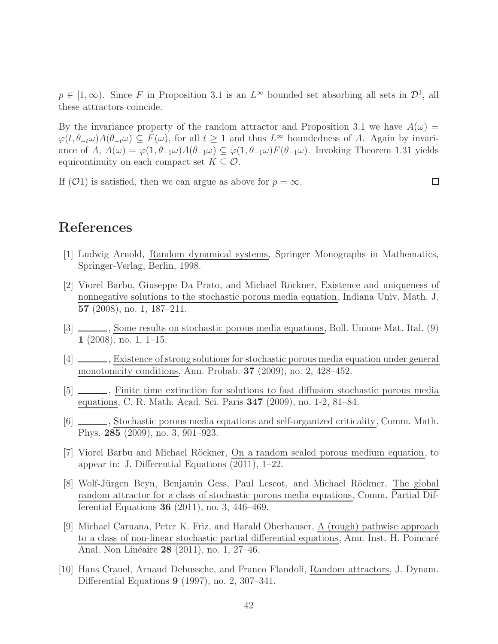$p \in [1,\infty)$ . Since F in Proposition 3.1 is an  $L^{\infty}$  bounded set absorbing all sets in  $\mathcal{D}^1$ , all these attractors coincide.

By the invariance property of the random attractor and Proposition 3.1 we have  $A(\omega)$  =  $\varphi(t,\theta_{-t}\omega)A(\theta_{-t}\omega) \subseteq F(\omega)$ , for all  $t \geq 1$  and thus  $L^{\infty}$  boundedness of A. Again by invariance of A,  $A(\omega) = \varphi(1, \theta_{-1}\omega)A(\theta_{-1}\omega) \subseteq \varphi(1, \theta_{-1}\omega)F(\theta_{-1}\omega)$ . Invoking Theorem 1.31 yields equicontinuity on each compact set  $K \subseteq \mathcal{O}$ .

If (O1) is satisfied, then we can argue as above for  $p = \infty$ .

 $\Box$ 

# References

- [1] Ludwig Arnold, Random dynamical systems, Springer Monographs in Mathematics, Springer-Verlag, Berlin, 1998.
- [2] Viorel Barbu, Giuseppe Da Prato, and Michael Röckner, Existence and uniqueness of nonnegative solutions to the stochastic porous media equation, Indiana Univ. Math. J. 57 (2008), no. 1, 187–211.
- [3] \_\_\_\_, Some results on stochastic porous media equations, Boll. Unione Mat. Ital. (9)  $1$  (2008), no. 1, 1–15.
- [4] , Existence of strong solutions for stochastic porous media equation under general monotonicity conditions, Ann. Probab. 37 (2009), no. 2, 428–452.
- [5]  $\Box$ , Finite time extinction for solutions to fast diffusion stochastic porous media equations, C. R. Math. Acad. Sci. Paris 347 (2009), no. 1-2, 81–84.
- [6]  $\_\_\_\_\$ , Stochastic porous media equations and self-organized criticality, Comm. Math. Phys. 285 (2009), no. 3, 901–923.
- [7] Viorel Barbu and Michael Röckner, On a random scaled porous medium equation, to appear in: J. Differential Equations (2011), 1–22.
- [8] Wolf-Jürgen Beyn, Benjamin Gess, Paul Lescot, and Michael Röckner, The global random attractor for a class of stochastic porous media equations, Comm. Partial Differential Equations 36 (2011), no. 3, 446–469.
- [9] Michael Caruana, Peter K. Friz, and Harald Oberhauser, A (rough) pathwise approach to a class of non-linear stochastic partial differential equations, Ann. Inst. H. Poincaré Anal. Non Linéaire 28 (2011), no. 1, 27-46.
- [10] Hans Crauel, Arnaud Debussche, and Franco Flandoli, Random attractors, J. Dynam. Differential Equations 9 (1997), no. 2, 307–341.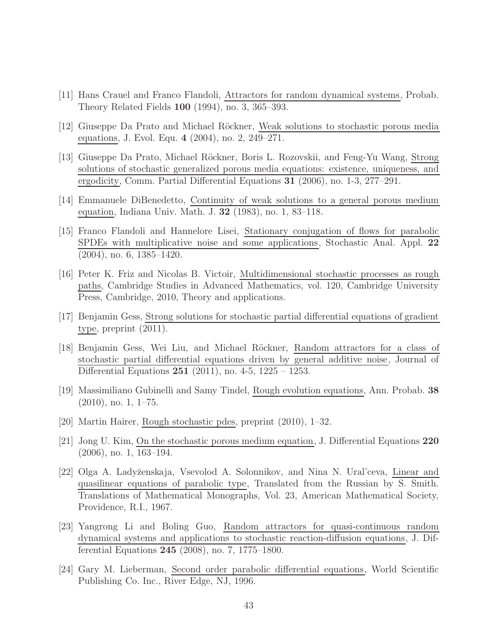- [11] Hans Crauel and Franco Flandoli, Attractors for random dynamical systems, Probab. Theory Related Fields 100 (1994), no. 3, 365–393.
- [12] Giuseppe Da Prato and Michael Röckner, Weak solutions to stochastic porous media equations, J. Evol. Equ. 4 (2004), no. 2, 249–271.
- [13] Giuseppe Da Prato, Michael Röckner, Boris L. Rozovskii, and Feng-Yu Wang, Strong solutions of stochastic generalized porous media equations: existence, uniqueness, and ergodicity, Comm. Partial Differential Equations 31 (2006), no. 1-3, 277–291.
- [14] Emmanuele DiBenedetto, Continuity of weak solutions to a general porous medium equation, Indiana Univ. Math. J. 32 (1983), no. 1, 83–118.
- [15] Franco Flandoli and Hannelore Lisei, Stationary conjugation of flows for parabolic SPDEs with multiplicative noise and some applications, Stochastic Anal. Appl. 22 (2004), no. 6, 1385–1420.
- [16] Peter K. Friz and Nicolas B. Victoir, Multidimensional stochastic processes as rough paths, Cambridge Studies in Advanced Mathematics, vol. 120, Cambridge University Press, Cambridge, 2010, Theory and applications.
- [17] Benjamin Gess, Strong solutions for stochastic partial differential equations of gradient type, preprint (2011).
- [18] Benjamin Gess, Wei Liu, and Michael Röckner, Random attractors for a class of stochastic partial differential equations driven by general additive noise, Journal of Differential Equations 251 (2011), no. 4-5, 1225 – 1253.
- [19] Massimiliano Gubinelli and Samy Tindel, Rough evolution equations, Ann. Probab. 38 (2010), no. 1, 1–75.
- [20] Martin Hairer, Rough stochastic pdes, preprint (2010), 1–32.
- [21] Jong U. Kim, On the stochastic porous medium equation, J. Differential Equations 220 (2006), no. 1, 163–194.
- [22] Olga A. Ladyˇzenskaja, Vsevolod A. Solonnikov, and Nina N. Ural'ceva, Linear and quasilinear equations of parabolic type, Translated from the Russian by S. Smith. Translations of Mathematical Monographs, Vol. 23, American Mathematical Society, Providence, R.I., 1967.
- [23] Yangrong Li and Boling Guo, Random attractors for quasi-continuous random dynamical systems and applications to stochastic reaction-diffusion equations, J. Differential Equations 245 (2008), no. 7, 1775–1800.
- [24] Gary M. Lieberman, Second order parabolic differential equations, World Scientific Publishing Co. Inc., River Edge, NJ, 1996.